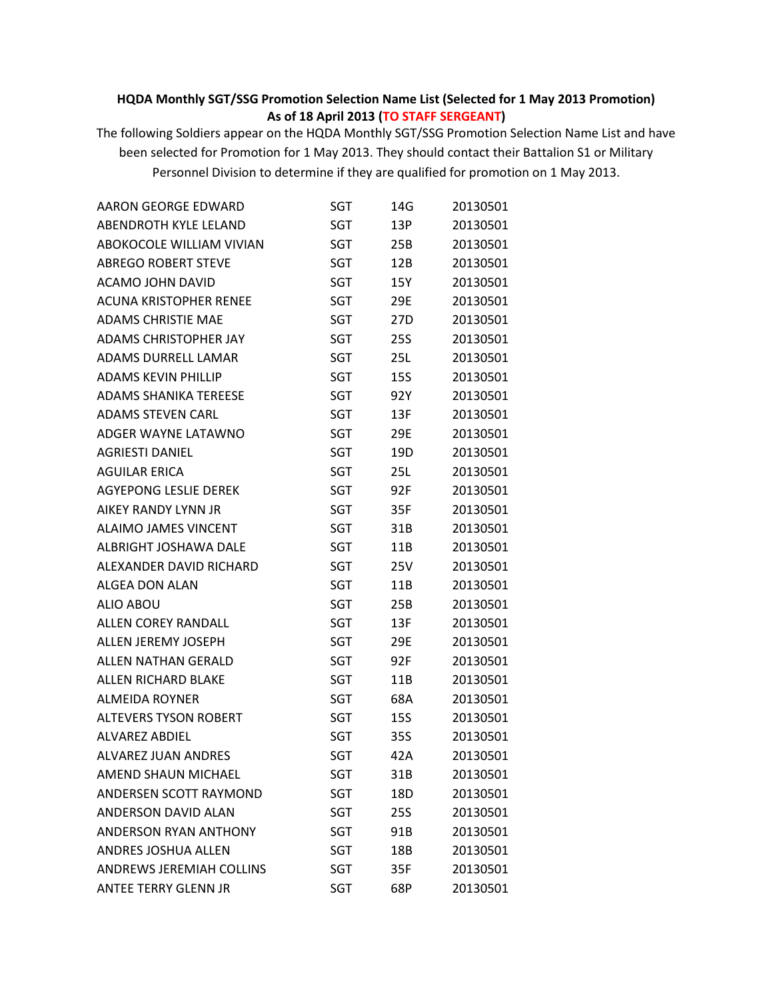## **HQDA Monthly SGT/SSG Promotion Selection Name List (Selected for 1 May 2013 Promotion) As of 18 April 2013 (TO STAFF SERGEANT)**

The following Soldiers appear on the HQDA Monthly SGT/SSG Promotion Selection Name List and have been selected for Promotion for 1 May 2013. They should contact their Battalion S1 or Military Personnel Division to determine if they are qualified for promotion on 1 May 2013.

| <b>AARON GEORGE EDWARD</b>      | SGT        | 14G        | 20130501 |
|---------------------------------|------------|------------|----------|
| <b>ABENDROTH KYLE LELAND</b>    | <b>SGT</b> | 13P        | 20130501 |
| ABOKOCOLE WILLIAM VIVIAN        | SGT        | 25B        | 20130501 |
| <b>ABREGO ROBERT STEVE</b>      | SGT        | 12B        | 20130501 |
| ACAMO JOHN DAVID                | <b>SGT</b> | 15Y        | 20130501 |
| <b>ACUNA KRISTOPHER RENEE</b>   | SGT        | 29E        | 20130501 |
| <b>ADAMS CHRISTIE MAE</b>       | <b>SGT</b> | 27D        | 20130501 |
| <b>ADAMS CHRISTOPHER JAY</b>    | SGT        | <b>25S</b> | 20130501 |
| ADAMS DURRELL LAMAR             | <b>SGT</b> | 25L        | 20130501 |
| <b>ADAMS KEVIN PHILLIP</b>      | <b>SGT</b> | 15S        | 20130501 |
| <b>ADAMS SHANIKA TEREESE</b>    | SGT        | 92Y        | 20130501 |
| <b>ADAMS STEVEN CARL</b>        | SGT        | 13F        | 20130501 |
| ADGER WAYNE LATAWNO             | SGT        | 29E        | 20130501 |
| <b>AGRIESTI DANIEL</b>          | <b>SGT</b> | 19D        | 20130501 |
| <b>AGUILAR ERICA</b>            | <b>SGT</b> | 25L        | 20130501 |
| <b>AGYEPONG LESLIE DEREK</b>    | SGT        | 92F        | 20130501 |
| AIKEY RANDY LYNN JR             | SGT        | 35F        | 20130501 |
| <b>ALAIMO JAMES VINCENT</b>     | <b>SGT</b> | 31B        | 20130501 |
| ALBRIGHT JOSHAWA DALE           | <b>SGT</b> | 11B        | 20130501 |
| ALEXANDER DAVID RICHARD         | SGT        | 25V        | 20130501 |
| <b>ALGEA DON ALAN</b>           | SGT        | 11B        | 20130501 |
| <b>ALIO ABOU</b>                | <b>SGT</b> | 25B        | 20130501 |
| <b>ALLEN COREY RANDALL</b>      | SGT        | 13F        | 20130501 |
| <b>ALLEN JEREMY JOSEPH</b>      | SGT        | 29E        | 20130501 |
| <b>ALLEN NATHAN GERALD</b>      | SGT        | 92F        | 20130501 |
| ALLEN RICHARD BLAKE             | <b>SGT</b> | 11B        | 20130501 |
| <b>ALMEIDA ROYNER</b>           | SGT        | 68A        | 20130501 |
| <b>ALTEVERS TYSON ROBERT</b>    | SGT        | 15S        | 20130501 |
| <b>ALVAREZ ABDIEL</b>           | SGT        | 35S        | 20130501 |
| <b>ALVAREZ JUAN ANDRES</b>      | SGT        | 42A        | 20130501 |
| <b>AMEND SHAUN MICHAEL</b>      | <b>SGT</b> | 31B        | 20130501 |
| ANDERSEN SCOTT RAYMOND          | SGT        | 18D        | 20130501 |
| <b>ANDERSON DAVID ALAN</b>      | SGT        | 25S        | 20130501 |
| ANDERSON RYAN ANTHONY           | SGT        | 91B        | 20130501 |
| ANDRES JOSHUA ALLEN             | SGT        | 18B        | 20130501 |
| <b>ANDREWS JEREMIAH COLLINS</b> | SGT        | 35F        | 20130501 |
| <b>ANTEE TERRY GLENN JR</b>     | <b>SGT</b> | 68P        | 20130501 |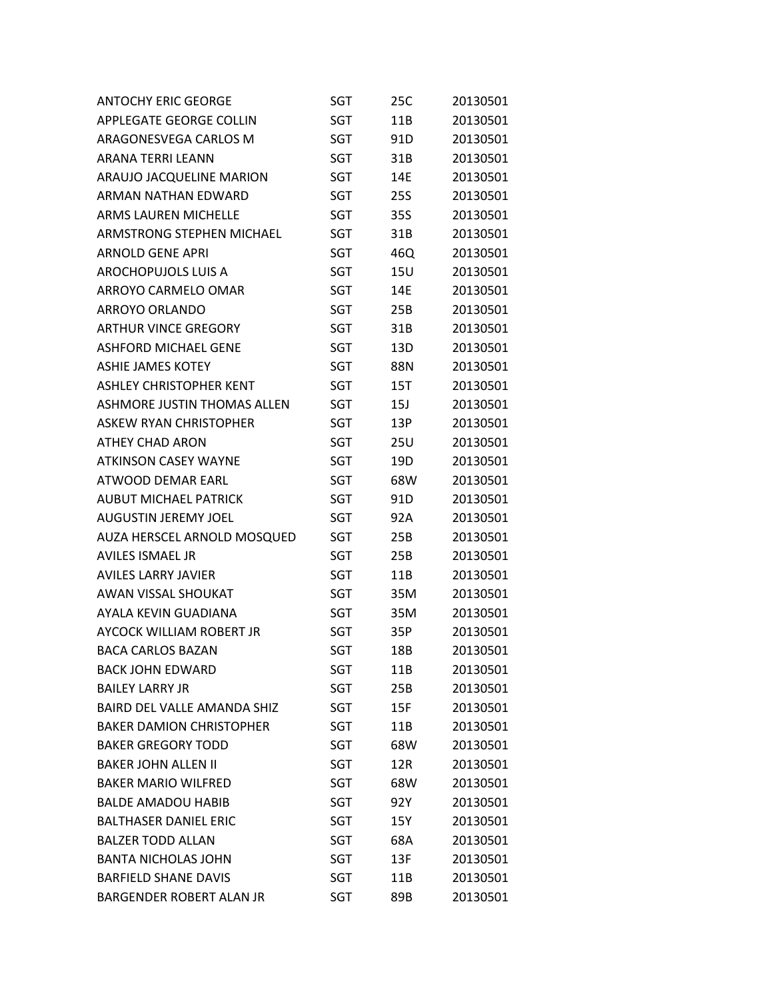| <b>ANTOCHY ERIC GEORGE</b>         | SGT        | 25C        | 20130501 |
|------------------------------------|------------|------------|----------|
| APPLEGATE GEORGE COLLIN            | SGT        | 11B        | 20130501 |
| ARAGONESVEGA CARLOS M              | SGT        | 91D        | 20130501 |
| <b>ARANA TERRI LEANN</b>           | SGT        | 31B        | 20130501 |
| ARAUJO JACQUELINE MARION           | SGT        | 14E        | 20130501 |
| ARMAN NATHAN EDWARD                | SGT        | <b>25S</b> | 20130501 |
| <b>ARMS LAUREN MICHELLE</b>        | SGT        | 35S        | 20130501 |
| ARMSTRONG STEPHEN MICHAEL          | SGT        | 31B        | 20130501 |
| <b>ARNOLD GENE APRI</b>            | SGT        | 46Q        | 20130501 |
| AROCHOPUJOLS LUIS A                | SGT        | <b>15U</b> | 20130501 |
| ARROYO CARMELO OMAR                | SGT        | 14E        | 20130501 |
| <b>ARROYO ORLANDO</b>              | SGT        | 25B        | 20130501 |
| <b>ARTHUR VINCE GREGORY</b>        | SGT        | 31B        | 20130501 |
| <b>ASHFORD MICHAEL GENE</b>        | SGT        | 13D        | 20130501 |
| <b>ASHIE JAMES KOTEY</b>           | SGT        | 88N        | 20130501 |
| <b>ASHLEY CHRISTOPHER KENT</b>     | SGT        | 15T        | 20130501 |
| <b>ASHMORE JUSTIN THOMAS ALLEN</b> | SGT        | 15J        | 20130501 |
| <b>ASKEW RYAN CHRISTOPHER</b>      | SGT        | 13P        | 20130501 |
| <b>ATHEY CHAD ARON</b>             | SGT        | 25U        | 20130501 |
| <b>ATKINSON CASEY WAYNE</b>        | SGT        | 19D        | 20130501 |
| ATWOOD DEMAR EARL                  | SGT        | 68W        | 20130501 |
| <b>AUBUT MICHAEL PATRICK</b>       | SGT        | 91D        | 20130501 |
| <b>AUGUSTIN JEREMY JOEL</b>        | SGT        | 92A        | 20130501 |
| AUZA HERSCEL ARNOLD MOSQUED        | SGT        | 25B        | 20130501 |
| <b>AVILES ISMAEL JR</b>            | SGT        | 25B        | 20130501 |
| <b>AVILES LARRY JAVIER</b>         | SGT        | 11B        | 20130501 |
| AWAN VISSAL SHOUKAT                | SGT        | 35M        | 20130501 |
| AYALA KEVIN GUADIANA               | SGT        | 35M        | 20130501 |
| AYCOCK WILLIAM ROBERT JR           | SGT        | 35P        | 20130501 |
| <b>BACA CARLOS BAZAN</b>           | <b>SGT</b> | 18B        | 20130501 |
| <b>BACK JOHN EDWARD</b>            | SGT        | 11B        | 20130501 |
| <b>BAILEY LARRY JR</b>             | SGT        | 25B        | 20130501 |
| <b>BAIRD DEL VALLE AMANDA SHIZ</b> | SGT        | 15F        | 20130501 |
| <b>BAKER DAMION CHRISTOPHER</b>    | SGT        | 11B        | 20130501 |
| <b>BAKER GREGORY TODD</b>          | SGT        | 68W        | 20130501 |
| <b>BAKER JOHN ALLEN II</b>         | SGT        | 12R        | 20130501 |
| <b>BAKER MARIO WILFRED</b>         | SGT        | 68W        | 20130501 |
| <b>BALDE AMADOU HABIB</b>          | SGT        | 92Y        | 20130501 |
| <b>BALTHASER DANIEL ERIC</b>       | <b>SGT</b> | 15Y        | 20130501 |
| <b>BALZER TODD ALLAN</b>           | SGT        | 68A        | 20130501 |
| <b>BANTA NICHOLAS JOHN</b>         | SGT        | 13F        | 20130501 |
| <b>BARFIELD SHANE DAVIS</b>        | SGT        | 11B        | 20130501 |
| BARGENDER ROBERT ALAN JR           | SGT        | 89B        | 20130501 |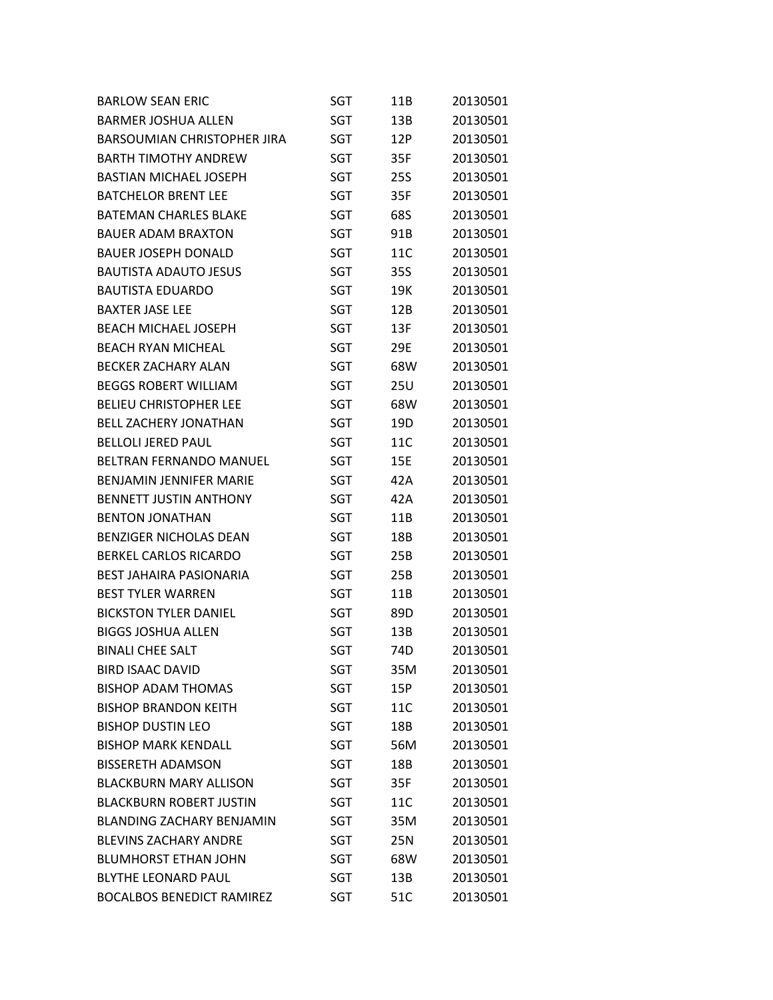| <b>BARLOW SEAN ERIC</b>            | SGT        | 11B | 20130501 |
|------------------------------------|------------|-----|----------|
| <b>BARMER JOSHUA ALLEN</b>         | <b>SGT</b> | 13B | 20130501 |
| <b>BARSOUMIAN CHRISTOPHER JIRA</b> | SGT        | 12P | 20130501 |
| <b>BARTH TIMOTHY ANDREW</b>        | <b>SGT</b> | 35F | 20130501 |
| <b>BASTIAN MICHAEL JOSEPH</b>      | SGT        | 25S | 20130501 |
| <b>BATCHELOR BRENT LEE</b>         | <b>SGT</b> | 35F | 20130501 |
| <b>BATEMAN CHARLES BLAKE</b>       | <b>SGT</b> | 68S | 20130501 |
| <b>BAUER ADAM BRAXTON</b>          | SGT        | 91B | 20130501 |
| <b>BAUER JOSEPH DONALD</b>         | SGT        | 11C | 20130501 |
| <b>BAUTISTA ADAUTO JESUS</b>       | SGT        | 35S | 20130501 |
| <b>BAUTISTA EDUARDO</b>            | <b>SGT</b> | 19K | 20130501 |
| <b>BAXTER JASE LEE</b>             | <b>SGT</b> | 12B | 20130501 |
| <b>BEACH MICHAEL JOSEPH</b>        | SGT        | 13F | 20130501 |
| <b>BEACH RYAN MICHEAL</b>          | SGT        | 29E | 20130501 |
| <b>BECKER ZACHARY ALAN</b>         | <b>SGT</b> | 68W | 20130501 |
| <b>BEGGS ROBERT WILLIAM</b>        | <b>SGT</b> | 25U | 20130501 |
| <b>BELIEU CHRISTOPHER LEE</b>      | SGT        | 68W | 20130501 |
| <b>BELL ZACHERY JONATHAN</b>       | SGT        | 19D | 20130501 |
| <b>BELLOLI JERED PAUL</b>          | <b>SGT</b> | 11C | 20130501 |
| <b>BELTRAN FERNANDO MANUEL</b>     | SGT        | 15E | 20130501 |
| BENJAMIN JENNIFER MARIE            | SGT        | 42A | 20130501 |
| <b>BENNETT JUSTIN ANTHONY</b>      | SGT        | 42A | 20130501 |
| <b>BENTON JONATHAN</b>             | SGT        | 11B | 20130501 |
| <b>BENZIGER NICHOLAS DEAN</b>      | SGT        | 18B | 20130501 |
| <b>BERKEL CARLOS RICARDO</b>       | SGT        | 25B | 20130501 |
| <b>BEST JAHAIRA PASIONARIA</b>     | SGT        | 25B | 20130501 |
| <b>BEST TYLER WARREN</b>           | SGT        | 11B | 20130501 |
| <b>BICKSTON TYLER DANIEL</b>       | SGT        | 89D | 20130501 |
| <b>BIGGS JOSHUA ALLEN</b>          | SGT        | 13B | 20130501 |
| <b>BINALI CHEE SALT</b>            | <b>SGT</b> | 74D | 20130501 |
| <b>BIRD ISAAC DAVID</b>            | SGT        | 35M | 20130501 |
| <b>BISHOP ADAM THOMAS</b>          | SGT        | 15P | 20130501 |
| <b>BISHOP BRANDON KEITH</b>        | <b>SGT</b> | 11C | 20130501 |
| <b>BISHOP DUSTIN LEO</b>           | <b>SGT</b> | 18B | 20130501 |
| <b>BISHOP MARK KENDALL</b>         | <b>SGT</b> | 56M | 20130501 |
| <b>BISSERETH ADAMSON</b>           | SGT        | 18B | 20130501 |
| <b>BLACKBURN MARY ALLISON</b>      | <b>SGT</b> | 35F | 20130501 |
| <b>BLACKBURN ROBERT JUSTIN</b>     | <b>SGT</b> | 11C | 20130501 |
| <b>BLANDING ZACHARY BENJAMIN</b>   | SGT        | 35M | 20130501 |
| <b>BLEVINS ZACHARY ANDRE</b>       | SGT        | 25N | 20130501 |
| <b>BLUMHORST ETHAN JOHN</b>        | <b>SGT</b> | 68W | 20130501 |
| <b>BLYTHE LEONARD PAUL</b>         | <b>SGT</b> | 13B | 20130501 |
| <b>BOCALBOS BENEDICT RAMIREZ</b>   | <b>SGT</b> | 51C | 20130501 |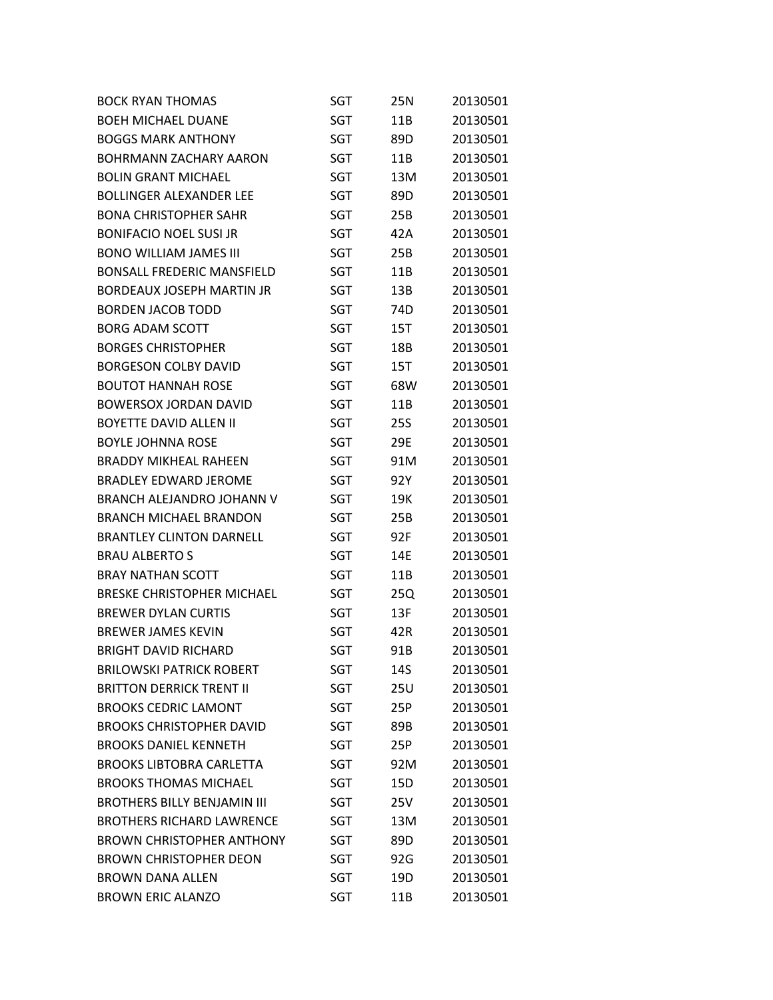| <b>BOCK RYAN THOMAS</b>            | SGT        | 25N        | 20130501 |
|------------------------------------|------------|------------|----------|
| <b>BOEH MICHAEL DUANE</b>          | SGT        | 11B        | 20130501 |
| <b>BOGGS MARK ANTHONY</b>          | SGT        | 89D        | 20130501 |
| <b>BOHRMANN ZACHARY AARON</b>      | SGT        | 11B        | 20130501 |
| <b>BOLIN GRANT MICHAEL</b>         | SGT        | 13M        | 20130501 |
| <b>BOLLINGER ALEXANDER LEE</b>     | SGT        | 89D        | 20130501 |
| <b>BONA CHRISTOPHER SAHR</b>       | SGT        | 25B        | 20130501 |
| <b>BONIFACIO NOEL SUSI JR</b>      | SGT        | 42A        | 20130501 |
| <b>BONO WILLIAM JAMES III</b>      | SGT        | 25B        | 20130501 |
| <b>BONSALL FREDERIC MANSFIELD</b>  | SGT        | 11B        | 20130501 |
| <b>BORDEAUX JOSEPH MARTIN JR</b>   | SGT        | 13B        | 20130501 |
| <b>BORDEN JACOB TODD</b>           | SGT        | 74D        | 20130501 |
| <b>BORG ADAM SCOTT</b>             | SGT        | 15T        | 20130501 |
| <b>BORGES CHRISTOPHER</b>          | SGT        | 18B        | 20130501 |
| <b>BORGESON COLBY DAVID</b>        | SGT        | 15T        | 20130501 |
| <b>BOUTOT HANNAH ROSE</b>          | <b>SGT</b> | 68W        | 20130501 |
| <b>BOWERSOX JORDAN DAVID</b>       | <b>SGT</b> | 11B        | 20130501 |
| <b>BOYETTE DAVID ALLEN II</b>      | SGT        | <b>25S</b> | 20130501 |
| <b>BOYLE JOHNNA ROSE</b>           | SGT        | 29E        | 20130501 |
| <b>BRADDY MIKHEAL RAHEEN</b>       | SGT        | 91M        | 20130501 |
| BRADLEY EDWARD JEROME              | SGT        | 92Y        | 20130501 |
| BRANCH ALEJANDRO JOHANN V          | SGT        | 19K        | 20130501 |
| <b>BRANCH MICHAEL BRANDON</b>      | SGT        | 25B        | 20130501 |
| <b>BRANTLEY CLINTON DARNELL</b>    | SGT        | 92F        | 20130501 |
| <b>BRAU ALBERTO S</b>              | SGT        | 14E        | 20130501 |
| <b>BRAY NATHAN SCOTT</b>           | SGT        | 11B        | 20130501 |
| <b>BRESKE CHRISTOPHER MICHAEL</b>  | SGT        | 25Q        | 20130501 |
| <b>BREWER DYLAN CURTIS</b>         | SGT        | 13F        | 20130501 |
| <b>BREWER JAMES KEVIN</b>          | <b>SGT</b> | 42R        | 20130501 |
| <b>BRIGHT DAVID RICHARD</b>        | SGT        | 91B        | 20130501 |
| <b>BRILOWSKI PATRICK ROBERT</b>    | SGT        | 14S        | 20130501 |
| <b>BRITTON DERRICK TRENT II</b>    | SGT        | <b>25U</b> | 20130501 |
| <b>BROOKS CEDRIC LAMONT</b>        | SGT        | 25P        | 20130501 |
| <b>BROOKS CHRISTOPHER DAVID</b>    | SGT        | 89B        | 20130501 |
| <b>BROOKS DANIEL KENNETH</b>       | SGT        | 25P        | 20130501 |
| <b>BROOKS LIBTOBRA CARLETTA</b>    | SGT        | 92M        | 20130501 |
| <b>BROOKS THOMAS MICHAEL</b>       | SGT        | 15D        | 20130501 |
| <b>BROTHERS BILLY BENJAMIN III</b> | SGT        | 25V        | 20130501 |
| <b>BROTHERS RICHARD LAWRENCE</b>   | SGT        | 13M        | 20130501 |
| <b>BROWN CHRISTOPHER ANTHONY</b>   | SGT        | 89D        | 20130501 |
| <b>BROWN CHRISTOPHER DEON</b>      | SGT        | 92G        | 20130501 |
| <b>BROWN DANA ALLEN</b>            | SGT        | 19D        | 20130501 |
| <b>BROWN ERIC ALANZO</b>           | SGT        | 11B        | 20130501 |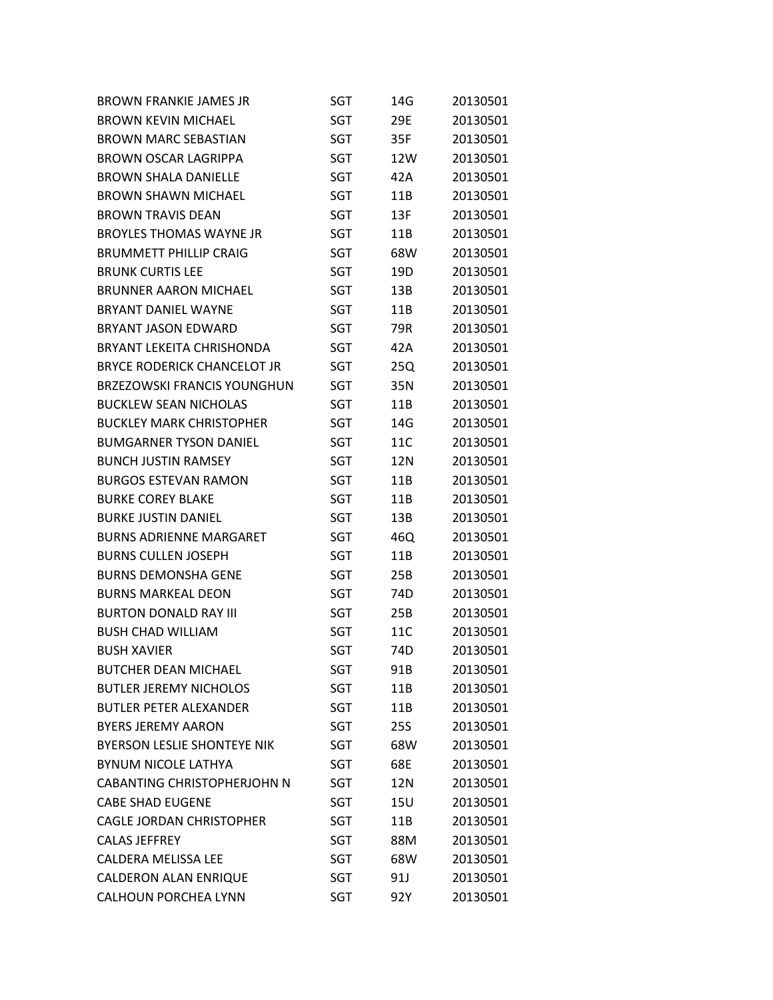| <b>BROWN FRANKIE JAMES JR</b>      | SGT        | 14G        | 20130501 |
|------------------------------------|------------|------------|----------|
| <b>BROWN KEVIN MICHAEL</b>         | <b>SGT</b> | 29E        | 20130501 |
| <b>BROWN MARC SEBASTIAN</b>        | SGT        | 35F        | 20130501 |
| <b>BROWN OSCAR LAGRIPPA</b>        | <b>SGT</b> | 12W        | 20130501 |
| <b>BROWN SHALA DANIELLE</b>        | SGT        | 42A        | 20130501 |
| <b>BROWN SHAWN MICHAEL</b>         | SGT        | 11B        | 20130501 |
| <b>BROWN TRAVIS DEAN</b>           | SGT        | 13F        | 20130501 |
| <b>BROYLES THOMAS WAYNE JR</b>     | SGT        | 11B        | 20130501 |
| <b>BRUMMETT PHILLIP CRAIG</b>      | SGT        | 68W        | 20130501 |
| <b>BRUNK CURTIS LEE</b>            | SGT        | 19D        | 20130501 |
| <b>BRUNNER AARON MICHAEL</b>       | SGT        | 13B        | 20130501 |
| <b>BRYANT DANIEL WAYNE</b>         | SGT        | 11B        | 20130501 |
| <b>BRYANT JASON EDWARD</b>         | SGT        | 79R        | 20130501 |
| <b>BRYANT LEKEITA CHRISHONDA</b>   | SGT        | 42A        | 20130501 |
| <b>BRYCE RODERICK CHANCELOT JR</b> | SGT        | 25Q        | 20130501 |
| <b>BRZEZOWSKI FRANCIS YOUNGHUN</b> | SGT        | 35N        | 20130501 |
| <b>BUCKLEW SEAN NICHOLAS</b>       | SGT        | 11B        | 20130501 |
| <b>BUCKLEY MARK CHRISTOPHER</b>    | SGT        | 14G        | 20130501 |
| <b>BUMGARNER TYSON DANIEL</b>      | <b>SGT</b> | 11C        | 20130501 |
| <b>BUNCH JUSTIN RAMSEY</b>         | SGT        | 12N        | 20130501 |
| <b>BURGOS ESTEVAN RAMON</b>        | SGT        | 11B        | 20130501 |
| <b>BURKE COREY BLAKE</b>           | SGT        | 11B        | 20130501 |
| <b>BURKE JUSTIN DANIEL</b>         | SGT        | 13B        | 20130501 |
| <b>BURNS ADRIENNE MARGARET</b>     | SGT        | 46Q        | 20130501 |
| <b>BURNS CULLEN JOSEPH</b>         | SGT        | 11B        | 20130501 |
| <b>BURNS DEMONSHA GENE</b>         | SGT        | 25B        | 20130501 |
| <b>BURNS MARKEAL DEON</b>          | <b>SGT</b> | 74D        | 20130501 |
| <b>BURTON DONALD RAY III</b>       | <b>SGT</b> | 25B        | 20130501 |
| <b>BUSH CHAD WILLIAM</b>           | SGT        | 11C        | 20130501 |
| <b>BUSH XAVIER</b>                 | <b>SGT</b> | 74D        | 20130501 |
| <b>BUTCHER DEAN MICHAEL</b>        | SGT        | 91B        | 20130501 |
| <b>BUTLER JEREMY NICHOLOS</b>      | SGT        | 11B        | 20130501 |
| <b>BUTLER PETER ALEXANDER</b>      | SGT        | 11B        | 20130501 |
| <b>BYERS JEREMY AARON</b>          | SGT        | <b>25S</b> | 20130501 |
| <b>BYERSON LESLIE SHONTEYE NIK</b> | SGT        | 68W        | 20130501 |
| <b>BYNUM NICOLE LATHYA</b>         | <b>SGT</b> | 68E        | 20130501 |
| <b>CABANTING CHRISTOPHERJOHN N</b> | SGT        | 12N        | 20130501 |
| <b>CABE SHAD EUGENE</b>            | SGT        | 15U        | 20130501 |
| <b>CAGLE JORDAN CHRISTOPHER</b>    | SGT        | 11B        | 20130501 |
| <b>CALAS JEFFREY</b>               | <b>SGT</b> | 88M        | 20130501 |
| <b>CALDERA MELISSA LEE</b>         | SGT        | 68W        | 20130501 |
| <b>CALDERON ALAN ENRIQUE</b>       | SGT        | 91J        | 20130501 |
| <b>CALHOUN PORCHEA LYNN</b>        | <b>SGT</b> | 92Y        | 20130501 |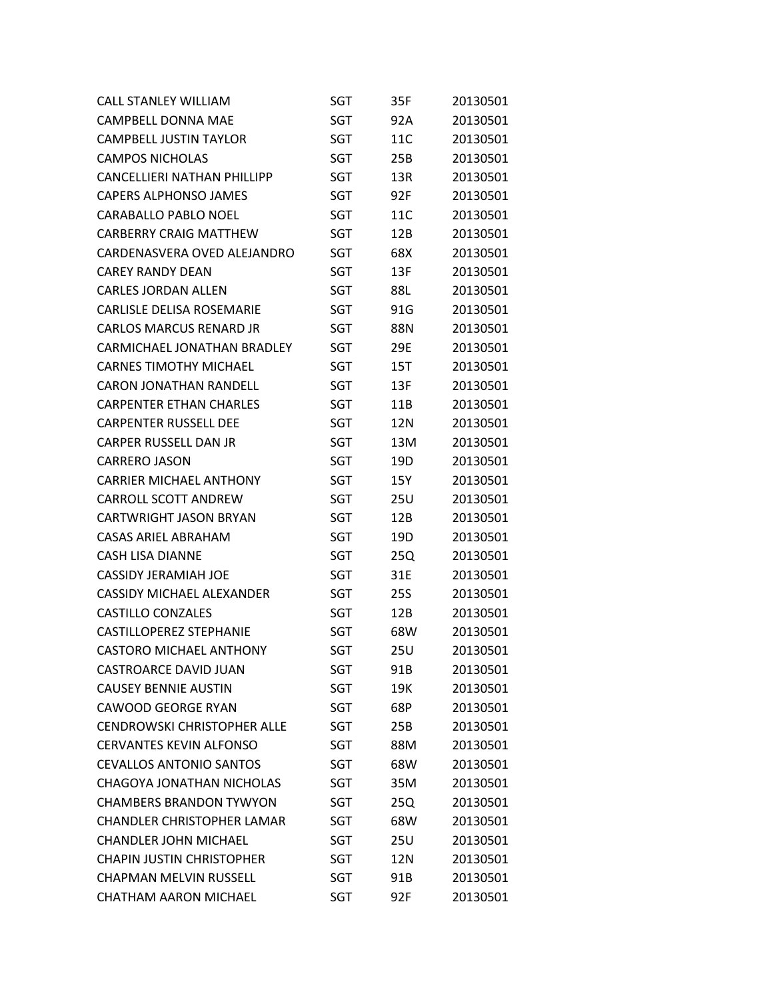| <b>CALL STANLEY WILLIAM</b>        | SGT        | 35F        | 20130501 |
|------------------------------------|------------|------------|----------|
| <b>CAMPBELL DONNA MAE</b>          | <b>SGT</b> | 92A        | 20130501 |
| <b>CAMPBELL JUSTIN TAYLOR</b>      | SGT        | 11C        | 20130501 |
| <b>CAMPOS NICHOLAS</b>             | SGT        | 25B        | 20130501 |
| <b>CANCELLIERI NATHAN PHILLIPP</b> | SGT        | 13R        | 20130501 |
| <b>CAPERS ALPHONSO JAMES</b>       | <b>SGT</b> | 92F        | 20130501 |
| <b>CARABALLO PABLO NOEL</b>        | SGT        | 11C        | 20130501 |
| <b>CARBERRY CRAIG MATTHEW</b>      | SGT        | 12B        | 20130501 |
| CARDENASVERA OVED ALEJANDRO        | SGT        | 68X        | 20130501 |
| <b>CAREY RANDY DEAN</b>            | <b>SGT</b> | 13F        | 20130501 |
| <b>CARLES JORDAN ALLEN</b>         | SGT        | 88L        | 20130501 |
| <b>CARLISLE DELISA ROSEMARIE</b>   | SGT        | 91G        | 20130501 |
| <b>CARLOS MARCUS RENARD JR</b>     | SGT        | 88N        | 20130501 |
| <b>CARMICHAEL JONATHAN BRADLEY</b> | SGT        | 29E        | 20130501 |
| <b>CARNES TIMOTHY MICHAEL</b>      | <b>SGT</b> | 15T        | 20130501 |
| <b>CARON JONATHAN RANDELL</b>      | SGT        | 13F        | 20130501 |
| <b>CARPENTER ETHAN CHARLES</b>     | SGT        | 11B        | 20130501 |
| <b>CARPENTER RUSSELL DEE</b>       | <b>SGT</b> | 12N        | 20130501 |
| <b>CARPER RUSSELL DAN JR</b>       | <b>SGT</b> | 13M        | 20130501 |
| <b>CARRERO JASON</b>               | SGT        | 19D        | 20130501 |
| <b>CARRIER MICHAEL ANTHONY</b>     | SGT        | 15Y        | 20130501 |
| <b>CARROLL SCOTT ANDREW</b>        | SGT        | 25U        | 20130501 |
| <b>CARTWRIGHT JASON BRYAN</b>      | SGT        | 12B        | 20130501 |
| <b>CASAS ARIEL ABRAHAM</b>         | SGT        | 19D        | 20130501 |
| <b>CASH LISA DIANNE</b>            | SGT        | 25Q        | 20130501 |
| <b>CASSIDY JERAMIAH JOE</b>        | SGT        | 31E        | 20130501 |
| <b>CASSIDY MICHAEL ALEXANDER</b>   | SGT        | <b>25S</b> | 20130501 |
| <b>CASTILLO CONZALES</b>           | SGT        | 12B        | 20130501 |
| <b>CASTILLOPEREZ STEPHANIE</b>     | SGT        | 68W        | 20130501 |
| <b>CASTORO MICHAEL ANTHONY</b>     | SGT        | 25U        | 20130501 |
| <b>CASTROARCE DAVID JUAN</b>       | SGT        | 91B        | 20130501 |
| <b>CAUSEY BENNIE AUSTIN</b>        | <b>SGT</b> | 19K        | 20130501 |
| <b>CAWOOD GEORGE RYAN</b>          | SGT        | 68P        | 20130501 |
| <b>CENDROWSKI CHRISTOPHER ALLE</b> | SGT        | 25B        | 20130501 |
| <b>CERVANTES KEVIN ALFONSO</b>     | SGT        | 88M        | 20130501 |
| <b>CEVALLOS ANTONIO SANTOS</b>     | SGT        | 68W        | 20130501 |
| CHAGOYA JONATHAN NICHOLAS          | SGT        | 35M        | 20130501 |
| <b>CHAMBERS BRANDON TYWYON</b>     | SGT        | 25Q        | 20130501 |
| <b>CHANDLER CHRISTOPHER LAMAR</b>  | SGT        | 68W        | 20130501 |
| <b>CHANDLER JOHN MICHAEL</b>       | SGT        | <b>25U</b> | 20130501 |
| <b>CHAPIN JUSTIN CHRISTOPHER</b>   | SGT        | 12N        | 20130501 |
| <b>CHAPMAN MELVIN RUSSELL</b>      | <b>SGT</b> | 91B        | 20130501 |
| <b>CHATHAM AARON MICHAEL</b>       | SGT        | 92F        | 20130501 |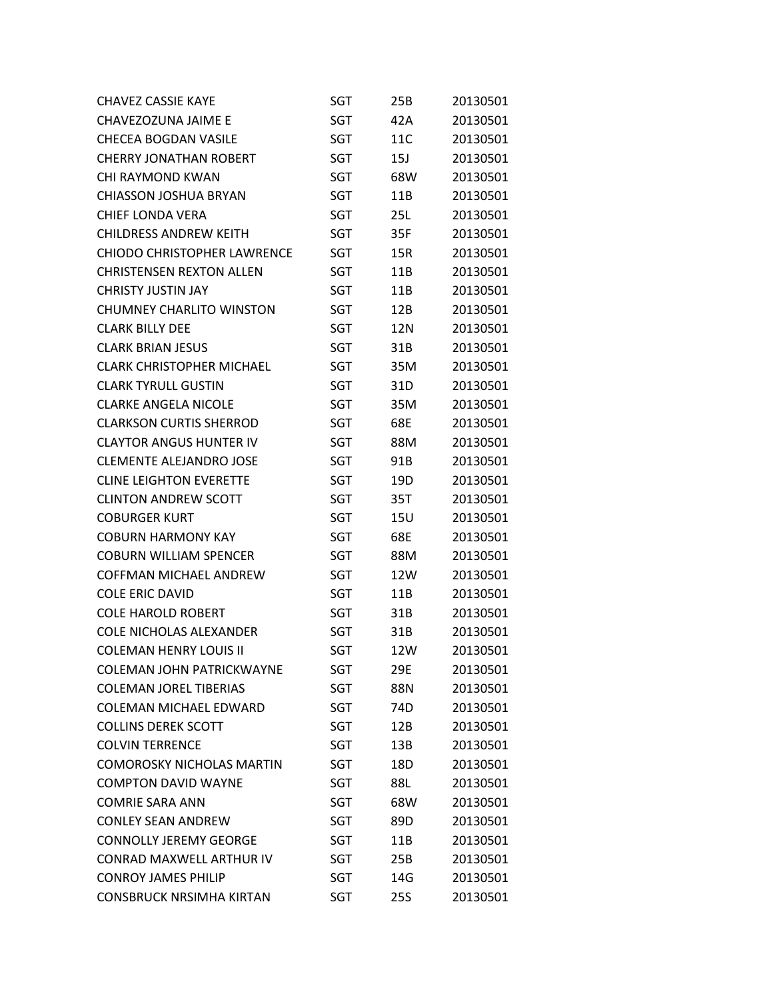| <b>CHAVEZ CASSIE KAYE</b>          | SGT        | 25B        | 20130501 |
|------------------------------------|------------|------------|----------|
| CHAVEZOZUNA JAIME E                | <b>SGT</b> | 42A        | 20130501 |
| <b>CHECEA BOGDAN VASILE</b>        | SGT        | 11C        | 20130501 |
| <b>CHERRY JONATHAN ROBERT</b>      | <b>SGT</b> | 15J        | 20130501 |
| <b>CHI RAYMOND KWAN</b>            | SGT        | 68W        | 20130501 |
| <b>CHIASSON JOSHUA BRYAN</b>       | <b>SGT</b> | 11B        | 20130501 |
| <b>CHIEF LONDA VERA</b>            | SGT        | 25L        | 20130501 |
| <b>CHILDRESS ANDREW KEITH</b>      | SGT        | 35F        | 20130501 |
| <b>CHIODO CHRISTOPHER LAWRENCE</b> | SGT        | 15R        | 20130501 |
| <b>CHRISTENSEN REXTON ALLEN</b>    | <b>SGT</b> | 11B        | 20130501 |
| <b>CHRISTY JUSTIN JAY</b>          | SGT        | 11B        | 20130501 |
| <b>CHUMNEY CHARLITO WINSTON</b>    | <b>SGT</b> | 12B        | 20130501 |
| <b>CLARK BILLY DEE</b>             | SGT        | 12N        | 20130501 |
| <b>CLARK BRIAN JESUS</b>           | <b>SGT</b> | 31B        | 20130501 |
| <b>CLARK CHRISTOPHER MICHAEL</b>   | SGT        | 35M        | 20130501 |
| <b>CLARK TYRULL GUSTIN</b>         | SGT        | 31D        | 20130501 |
| <b>CLARKE ANGELA NICOLE</b>        | SGT        | 35M        | 20130501 |
| <b>CLARKSON CURTIS SHERROD</b>     | <b>SGT</b> | 68E        | 20130501 |
| <b>CLAYTOR ANGUS HUNTER IV</b>     | SGT        | 88M        | 20130501 |
| <b>CLEMENTE ALEJANDRO JOSE</b>     | SGT        | 91B        | 20130501 |
| <b>CLINE LEIGHTON EVERETTE</b>     | SGT        | 19D        | 20130501 |
| <b>CLINTON ANDREW SCOTT</b>        | <b>SGT</b> | 35T        | 20130501 |
| <b>COBURGER KURT</b>               | SGT        | 15U        | 20130501 |
| <b>COBURN HARMONY KAY</b>          | SGT        | 68E        | 20130501 |
| <b>COBURN WILLIAM SPENCER</b>      | SGT        | 88M        | 20130501 |
| <b>COFFMAN MICHAEL ANDREW</b>      | <b>SGT</b> | 12W        | 20130501 |
| <b>COLE ERIC DAVID</b>             | SGT        | 11B        | 20130501 |
| <b>COLE HAROLD ROBERT</b>          | SGT        | 31B        | 20130501 |
| <b>COLE NICHOLAS ALEXANDER</b>     | SGT        | 31B        | 20130501 |
| <b>COLEMAN HENRY LOUIS II</b>      | <b>SGT</b> | 12W        | 20130501 |
| <b>COLEMAN JOHN PATRICKWAYNE</b>   | SGT        | 29E        | 20130501 |
| <b>COLEMAN JOREL TIBERIAS</b>      | SGT        | 88N        | 20130501 |
| <b>COLEMAN MICHAEL EDWARD</b>      | SGT        | 74D        | 20130501 |
| <b>COLLINS DEREK SCOTT</b>         | SGT        | 12B        | 20130501 |
| <b>COLVIN TERRENCE</b>             | SGT        | 13B        | 20130501 |
| <b>COMOROSKY NICHOLAS MARTIN</b>   | SGT        | 18D        | 20130501 |
| <b>COMPTON DAVID WAYNE</b>         | SGT        | 88L        | 20130501 |
| <b>COMRIE SARA ANN</b>             | SGT        | 68W        | 20130501 |
| <b>CONLEY SEAN ANDREW</b>          | SGT        | 89D        | 20130501 |
| <b>CONNOLLY JEREMY GEORGE</b>      | SGT        | 11B        | 20130501 |
| <b>CONRAD MAXWELL ARTHUR IV</b>    | SGT        | 25B        | 20130501 |
| <b>CONROY JAMES PHILIP</b>         | SGT        | 14G        | 20130501 |
| <b>CONSBRUCK NRSIMHA KIRTAN</b>    | <b>SGT</b> | <b>25S</b> | 20130501 |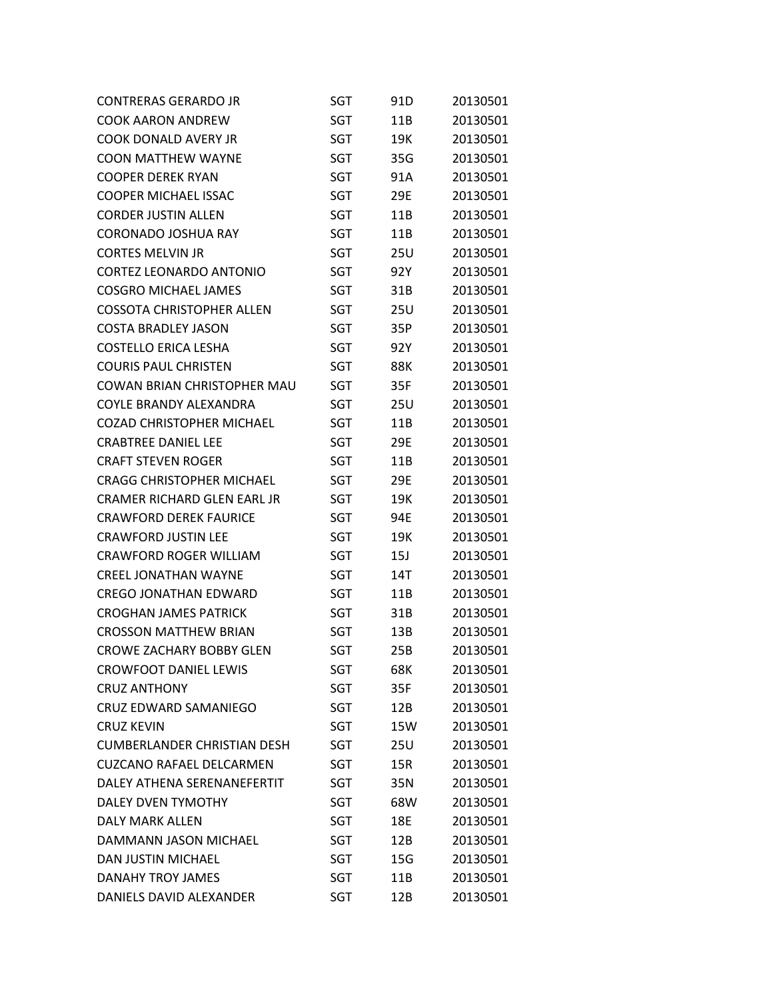| <b>CONTRERAS GERARDO JR</b>        | SGT        | 91D | 20130501 |
|------------------------------------|------------|-----|----------|
| <b>COOK AARON ANDREW</b>           | SGT        | 11B | 20130501 |
| <b>COOK DONALD AVERY JR</b>        | SGT        | 19K | 20130501 |
| <b>COON MATTHEW WAYNE</b>          | SGT        | 35G | 20130501 |
| COOPER DEREK RYAN                  | SGT        | 91A | 20130501 |
| <b>COOPER MICHAEL ISSAC</b>        | <b>SGT</b> | 29E | 20130501 |
| <b>CORDER JUSTIN ALLEN</b>         | SGT        | 11B | 20130501 |
| <b>CORONADO JOSHUA RAY</b>         | <b>SGT</b> | 11B | 20130501 |
| <b>CORTES MELVIN JR</b>            | SGT        | 25U | 20130501 |
| CORTEZ LEONARDO ANTONIO            | SGT        | 92Y | 20130501 |
| <b>COSGRO MICHAEL JAMES</b>        | SGT        | 31B | 20130501 |
| COSSOTA CHRISTOPHER ALLEN          | SGT        | 25U | 20130501 |
| COSTA BRADLEY JASON                | SGT        | 35P | 20130501 |
| <b>COSTELLO ERICA LESHA</b>        | SGT        | 92Y | 20130501 |
| <b>COURIS PAUL CHRISTEN</b>        | <b>SGT</b> | 88K | 20130501 |
| COWAN BRIAN CHRISTOPHER MAU        | <b>SGT</b> | 35F | 20130501 |
| COYLE BRANDY ALEXANDRA             | SGT        | 25U | 20130501 |
| <b>COZAD CHRISTOPHER MICHAEL</b>   | SGT        | 11B | 20130501 |
| <b>CRABTREE DANIEL LEE</b>         | SGT        | 29E | 20130501 |
| <b>CRAFT STEVEN ROGER</b>          | SGT        | 11B | 20130501 |
| <b>CRAGG CHRISTOPHER MICHAEL</b>   | SGT        | 29E | 20130501 |
| CRAMER RICHARD GLEN EARL JR        | SGT        | 19K | 20130501 |
| <b>CRAWFORD DEREK FAURICE</b>      | SGT        | 94E | 20130501 |
| <b>CRAWFORD JUSTIN LEE</b>         | SGT        | 19K | 20130501 |
| <b>CRAWFORD ROGER WILLIAM</b>      | SGT        | 15J | 20130501 |
| <b>CREEL JONATHAN WAYNE</b>        | SGT        | 14T | 20130501 |
| <b>CREGO JONATHAN EDWARD</b>       | SGT        | 11B | 20130501 |
| <b>CROGHAN JAMES PATRICK</b>       | SGT        | 31B | 20130501 |
| <b>CROSSON MATTHEW BRIAN</b>       | SGT        | 13B | 20130501 |
| <b>CROWE ZACHARY BOBBY GLEN</b>    | <b>SGT</b> | 25B | 20130501 |
| <b>CROWFOOT DANIEL LEWIS</b>       | SGT        | 68K | 20130501 |
| <b>CRUZ ANTHONY</b>                | SGT        | 35F | 20130501 |
| <b>CRUZ EDWARD SAMANIEGO</b>       | SGT        | 12B | 20130501 |
| <b>CRUZ KEVIN</b>                  | SGT        | 15W | 20130501 |
| <b>CUMBERLANDER CHRISTIAN DESH</b> | SGT        | 25U | 20130501 |
| <b>CUZCANO RAFAEL DELCARMEN</b>    | SGT        | 15R | 20130501 |
| DALEY ATHENA SERENANEFERTIT        | SGT        | 35N | 20130501 |
| <b>DALEY DVEN TYMOTHY</b>          | SGT        | 68W | 20130501 |
| <b>DALY MARK ALLEN</b>             | SGT        | 18E | 20130501 |
| DAMMANN JASON MICHAEL              | SGT        | 12B | 20130501 |
| <b>DAN JUSTIN MICHAEL</b>          | SGT        | 15G | 20130501 |
| DANAHY TROY JAMES                  | SGT        | 11B | 20130501 |
| DANIELS DAVID ALEXANDER            | <b>SGT</b> | 12B | 20130501 |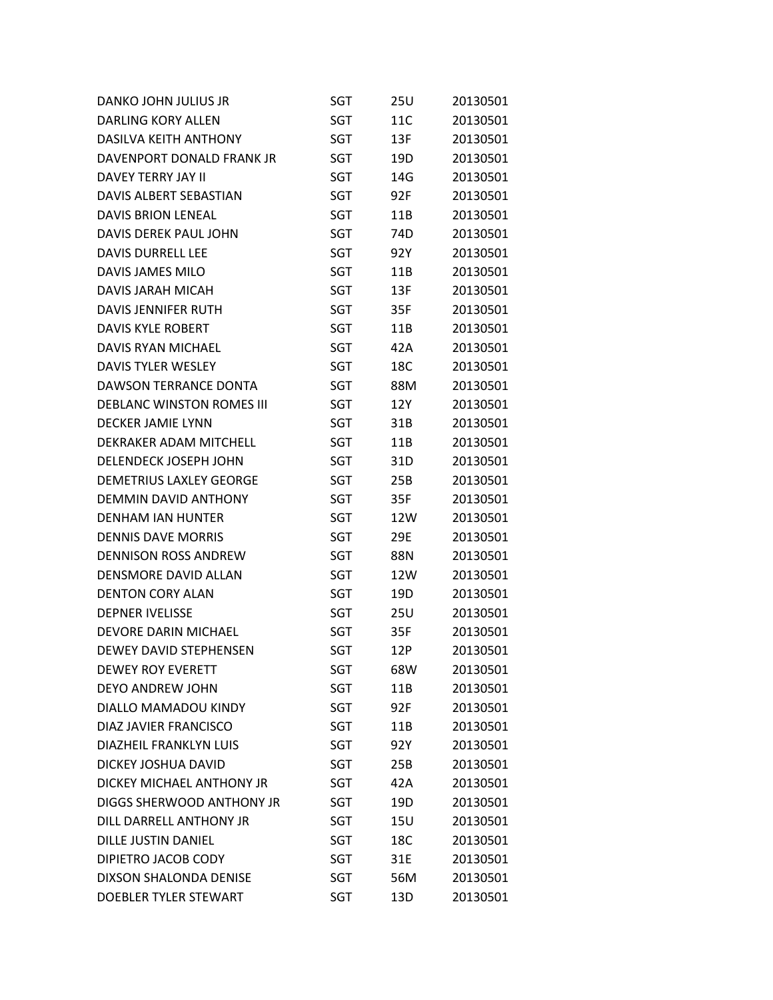| DANKO JOHN JULIUS JR             | SGT        | 25U        | 20130501 |
|----------------------------------|------------|------------|----------|
| DARLING KORY ALLEN               | SGT        | 11C        | 20130501 |
| <b>DASILVA KEITH ANTHONY</b>     | SGT        | 13F        | 20130501 |
| DAVENPORT DONALD FRANK JR        | SGT        | 19D        | 20130501 |
| DAVEY TERRY JAY II               | SGT        | 14G        | 20130501 |
| DAVIS ALBERT SEBASTIAN           | SGT        | 92F        | 20130501 |
| <b>DAVIS BRION LENEAL</b>        | SGT        | 11B        | 20130501 |
| DAVIS DEREK PAUL JOHN            | SGT        | 74D        | 20130501 |
| <b>DAVIS DURRELL LEE</b>         | SGT        | 92Y        | 20130501 |
| <b>DAVIS JAMES MILO</b>          | SGT        | 11B        | 20130501 |
| <b>DAVIS JARAH MICAH</b>         | SGT        | 13F        | 20130501 |
| DAVIS JENNIFER RUTH              | SGT        | 35F        | 20130501 |
| <b>DAVIS KYLE ROBERT</b>         | SGT        | 11B        | 20130501 |
| DAVIS RYAN MICHAEL               | <b>SGT</b> | 42A        | 20130501 |
| <b>DAVIS TYLER WESLEY</b>        | SGT        | 18C        | 20130501 |
| DAWSON TERRANCE DONTA            | SGT        | 88M        | 20130501 |
| <b>DEBLANC WINSTON ROMES III</b> | SGT        | 12Y        | 20130501 |
| <b>DECKER JAMIE LYNN</b>         | SGT        | 31B        | 20130501 |
| DEKRAKER ADAM MITCHELL           | SGT        | 11B        | 20130501 |
| DELENDECK JOSEPH JOHN            | SGT        | 31D        | 20130501 |
| <b>DEMETRIUS LAXLEY GEORGE</b>   | SGT        | 25B        | 20130501 |
| DEMMIN DAVID ANTHONY             | SGT        | 35F        | 20130501 |
| <b>DENHAM IAN HUNTER</b>         | SGT        | 12W        | 20130501 |
| <b>DENNIS DAVE MORRIS</b>        | SGT        | 29E        | 20130501 |
| <b>DENNISON ROSS ANDREW</b>      | SGT        | 88N        | 20130501 |
| DENSMORE DAVID ALLAN             | SGT        | 12W        | 20130501 |
| <b>DENTON CORY ALAN</b>          | SGT        | 19D        | 20130501 |
| <b>DEPNER IVELISSE</b>           | SGT        | 25U        | 20130501 |
| DEVORE DARIN MICHAEL             | <b>SGT</b> | 35F        | 20130501 |
| DEWEY DAVID STEPHENSEN           | <b>SGT</b> | 12P        | 20130501 |
| <b>DEWEY ROY EVERETT</b>         | SGT        | 68W        | 20130501 |
| DEYO ANDREW JOHN                 | SGT        | 11B        | 20130501 |
| DIALLO MAMADOU KINDY             | SGT        | 92F        | 20130501 |
| DIAZ JAVIER FRANCISCO            | SGT        | 11B        | 20130501 |
| <b>DIAZHEIL FRANKLYN LUIS</b>    | SGT        | 92Y        | 20130501 |
| DICKEY JOSHUA DAVID              | SGT        | 25B        | 20130501 |
| DICKEY MICHAEL ANTHONY JR        | SGT        | 42A        | 20130501 |
| DIGGS SHERWOOD ANTHONY JR        | SGT        | 19D        | 20130501 |
| DILL DARRELL ANTHONY JR          | SGT        | <b>15U</b> | 20130501 |
| <b>DILLE JUSTIN DANIEL</b>       | SGT        | 18C        | 20130501 |
| DIPIETRO JACOB CODY              | SGT        | 31E        | 20130501 |
| DIXSON SHALONDA DENISE           | SGT        | 56M        | 20130501 |
| DOEBLER TYLER STEWART            | <b>SGT</b> | 13D        | 20130501 |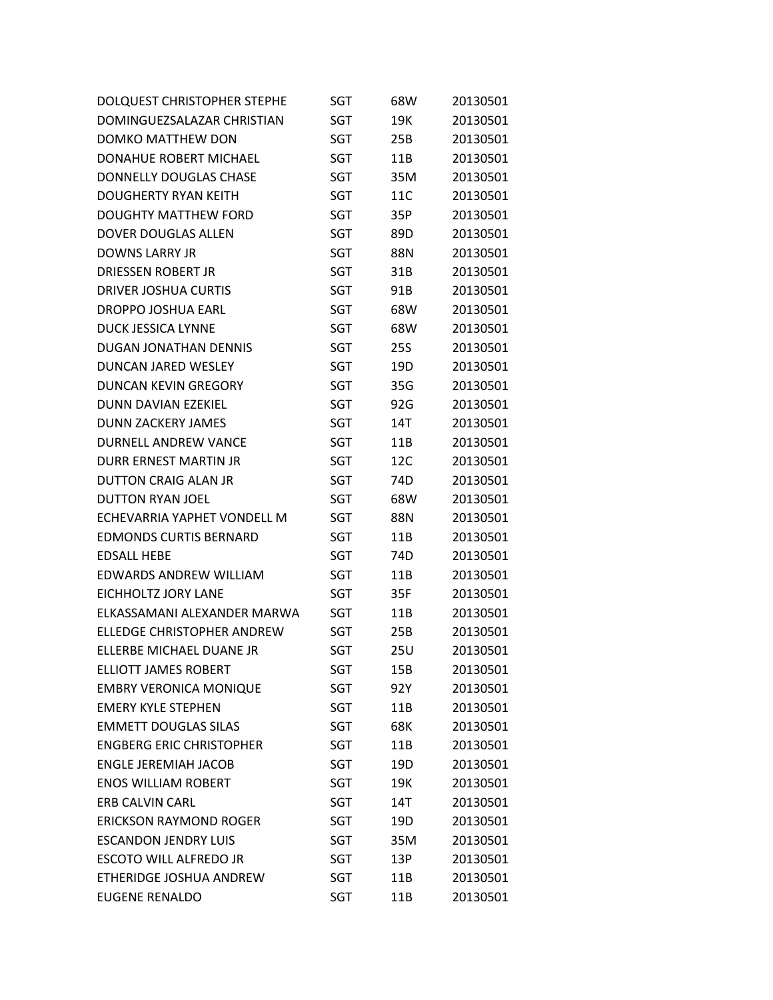| DOLQUEST CHRISTOPHER STEPHE       | SGT        | 68W        | 20130501 |
|-----------------------------------|------------|------------|----------|
| DOMINGUEZSALAZAR CHRISTIAN        | SGT        | 19K        | 20130501 |
| <b>DOMKO MATTHEW DON</b>          | SGT        | 25B        | 20130501 |
| DONAHUE ROBERT MICHAEL            | SGT        | 11B        | 20130501 |
| <b>DONNELLY DOUGLAS CHASE</b>     | SGT        | 35M        | 20130501 |
| DOUGHERTY RYAN KEITH              | SGT        | 11C        | 20130501 |
| <b>DOUGHTY MATTHEW FORD</b>       | SGT        | 35P        | 20130501 |
| DOVER DOUGLAS ALLEN               | <b>SGT</b> | 89D        | 20130501 |
| <b>DOWNS LARRY JR</b>             | SGT        | 88N        | 20130501 |
| <b>DRIESSEN ROBERT JR</b>         | SGT        | 31B        | 20130501 |
| <b>DRIVER JOSHUA CURTIS</b>       | SGT        | 91B        | 20130501 |
| <b>DROPPO JOSHUA EARL</b>         | SGT        | 68W        | 20130501 |
| <b>DUCK JESSICA LYNNE</b>         | SGT        | 68W        | 20130501 |
| <b>DUGAN JONATHAN DENNIS</b>      | SGT        | <b>25S</b> | 20130501 |
| <b>DUNCAN JARED WESLEY</b>        | SGT        | 19D        | 20130501 |
| <b>DUNCAN KEVIN GREGORY</b>       | SGT        | 35G        | 20130501 |
| DUNN DAVIAN EZEKIEL               | SGT        | 92G        | 20130501 |
| <b>DUNN ZACKERY JAMES</b>         | <b>SGT</b> | 14T        | 20130501 |
| <b>DURNELL ANDREW VANCE</b>       | SGT        | 11B        | 20130501 |
| DURR ERNEST MARTIN JR             | SGT        | 12C        | 20130501 |
| <b>DUTTON CRAIG ALAN JR</b>       | SGT        | 74D        | 20130501 |
| <b>DUTTON RYAN JOEL</b>           | SGT        | 68W        | 20130501 |
| ECHEVARRIA YAPHET VONDELL M       | SGT        | 88N        | 20130501 |
| <b>EDMONDS CURTIS BERNARD</b>     | SGT        | 11B        | 20130501 |
| <b>EDSALL HEBE</b>                | SGT        | 74D        | 20130501 |
| <b>EDWARDS ANDREW WILLIAM</b>     | SGT        | 11B        | 20130501 |
| <b>EICHHOLTZ JORY LANE</b>        | <b>SGT</b> | 35F        | 20130501 |
| ELKASSAMANI ALEXANDER MARWA       | SGT        | 11B        | 20130501 |
| <b>ELLEDGE CHRISTOPHER ANDREW</b> | SGT        | 25B        | 20130501 |
| ELLERBE MICHAEL DUANE JR          | SGT        | 25U        | 20130501 |
| <b>ELLIOTT JAMES ROBERT</b>       | SGT        | 15B        | 20130501 |
| <b>EMBRY VERONICA MONIQUE</b>     | SGT        | 92Y        | 20130501 |
| <b>EMERY KYLE STEPHEN</b>         | SGT        | 11B        | 20130501 |
| <b>EMMETT DOUGLAS SILAS</b>       | SGT        | 68K        | 20130501 |
| <b>ENGBERG ERIC CHRISTOPHER</b>   | SGT        | 11B        | 20130501 |
| <b>ENGLE JEREMIAH JACOB</b>       | SGT        | 19D        | 20130501 |
| <b>ENOS WILLIAM ROBERT</b>        | SGT        | 19K        | 20130501 |
| <b>ERB CALVIN CARL</b>            | SGT        | 14T        | 20130501 |
| <b>ERICKSON RAYMOND ROGER</b>     | SGT        | 19D        | 20130501 |
| <b>ESCANDON JENDRY LUIS</b>       | SGT        | 35M        | 20130501 |
| <b>ESCOTO WILL ALFREDO JR</b>     | SGT        | 13P        | 20130501 |
| ETHERIDGE JOSHUA ANDREW           | SGT        | 11B        | 20130501 |
| <b>EUGENE RENALDO</b>             | SGT        | 11B        | 20130501 |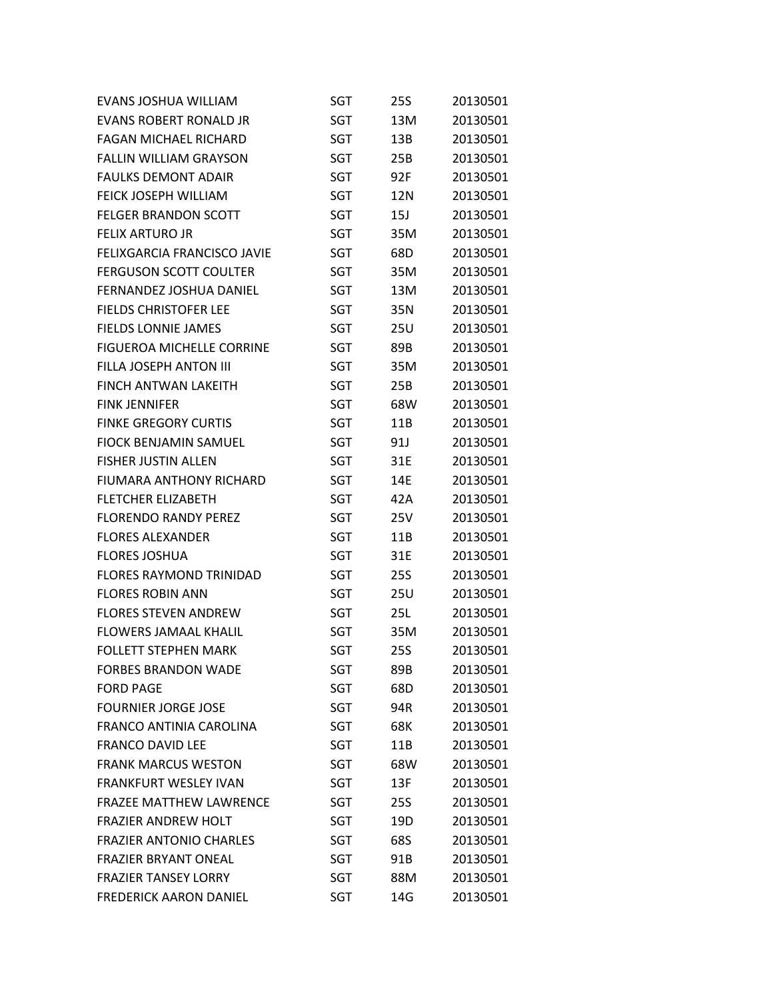| EVANS JOSHUA WILLIAM             | SGT        | 25S        | 20130501 |
|----------------------------------|------------|------------|----------|
| <b>EVANS ROBERT RONALD JR</b>    | SGT        | 13M        | 20130501 |
| <b>FAGAN MICHAEL RICHARD</b>     | SGT        | 13B        | 20130501 |
| <b>FALLIN WILLIAM GRAYSON</b>    | SGT        | 25B        | 20130501 |
| <b>FAULKS DEMONT ADAIR</b>       | SGT        | 92F        | 20130501 |
| <b>FEICK JOSEPH WILLIAM</b>      | SGT        | 12N        | 20130501 |
| <b>FELGER BRANDON SCOTT</b>      | SGT        | 15J        | 20130501 |
| <b>FELIX ARTURO JR</b>           | SGT        | 35M        | 20130501 |
| FELIXGARCIA FRANCISCO JAVIE      | SGT        | 68D        | 20130501 |
| <b>FERGUSON SCOTT COULTER</b>    | SGT        | 35M        | 20130501 |
| FERNANDEZ JOSHUA DANIEL          | SGT        | 13M        | 20130501 |
| <b>FIELDS CHRISTOFER LEE</b>     | SGT        | 35N        | 20130501 |
| <b>FIELDS LONNIE JAMES</b>       | SGT        | 25U        | 20130501 |
| <b>FIGUEROA MICHELLE CORRINE</b> | SGT        | 89B        | 20130501 |
| <b>FILLA JOSEPH ANTON III</b>    | SGT        | 35M        | 20130501 |
| <b>FINCH ANTWAN LAKEITH</b>      | SGT        | 25B        | 20130501 |
| <b>FINK JENNIFER</b>             | <b>SGT</b> | 68W        | 20130501 |
| <b>FINKE GREGORY CURTIS</b>      | SGT        | 11B        | 20130501 |
| <b>FIOCK BENJAMIN SAMUEL</b>     | SGT        | 91J        | 20130501 |
| <b>FISHER JUSTIN ALLEN</b>       | SGT        | 31E        | 20130501 |
| <b>FIUMARA ANTHONY RICHARD</b>   | SGT        | 14E        | 20130501 |
| <b>FLETCHER ELIZABETH</b>        | SGT        | 42A        | 20130501 |
| <b>FLORENDO RANDY PEREZ</b>      | SGT        | 25V        | 20130501 |
| <b>FLORES ALEXANDER</b>          | SGT        | 11B        | 20130501 |
| <b>FLORES JOSHUA</b>             | SGT        | 31E        | 20130501 |
| <b>FLORES RAYMOND TRINIDAD</b>   | SGT        | 25S        | 20130501 |
| <b>FLORES ROBIN ANN</b>          | SGT        | <b>25U</b> | 20130501 |
| <b>FLORES STEVEN ANDREW</b>      | SGT        | 25L        | 20130501 |
| <b>FLOWERS JAMAAL KHALIL</b>     | SGT        | 35M        | 20130501 |
| <b>FOLLETT STEPHEN MARK</b>      | <b>SGT</b> | <b>25S</b> | 20130501 |
| <b>FORBES BRANDON WADE</b>       | SGT        | 89B        | 20130501 |
| <b>FORD PAGE</b>                 | <b>SGT</b> | 68D        | 20130501 |
| <b>FOURNIER JORGE JOSE</b>       | SGT        | 94R        | 20130501 |
| FRANCO ANTINIA CAROLINA          | SGT        | 68K        | 20130501 |
| <b>FRANCO DAVID LEE</b>          | SGT        | 11B        | 20130501 |
| <b>FRANK MARCUS WESTON</b>       | SGT        | 68W        | 20130501 |
| FRANKFURT WESLEY IVAN            | SGT        | 13F        | 20130501 |
| <b>FRAZEE MATTHEW LAWRENCE</b>   | SGT        | 25S        | 20130501 |
| <b>FRAZIER ANDREW HOLT</b>       | SGT        | 19D        | 20130501 |
| <b>FRAZIER ANTONIO CHARLES</b>   | SGT        | 68S        | 20130501 |
| <b>FRAZIER BRYANT ONEAL</b>      | SGT        | 91B        | 20130501 |
| <b>FRAZIER TANSEY LORRY</b>      | SGT        | 88M        | 20130501 |
| <b>FREDERICK AARON DANIEL</b>    | <b>SGT</b> | 14G        | 20130501 |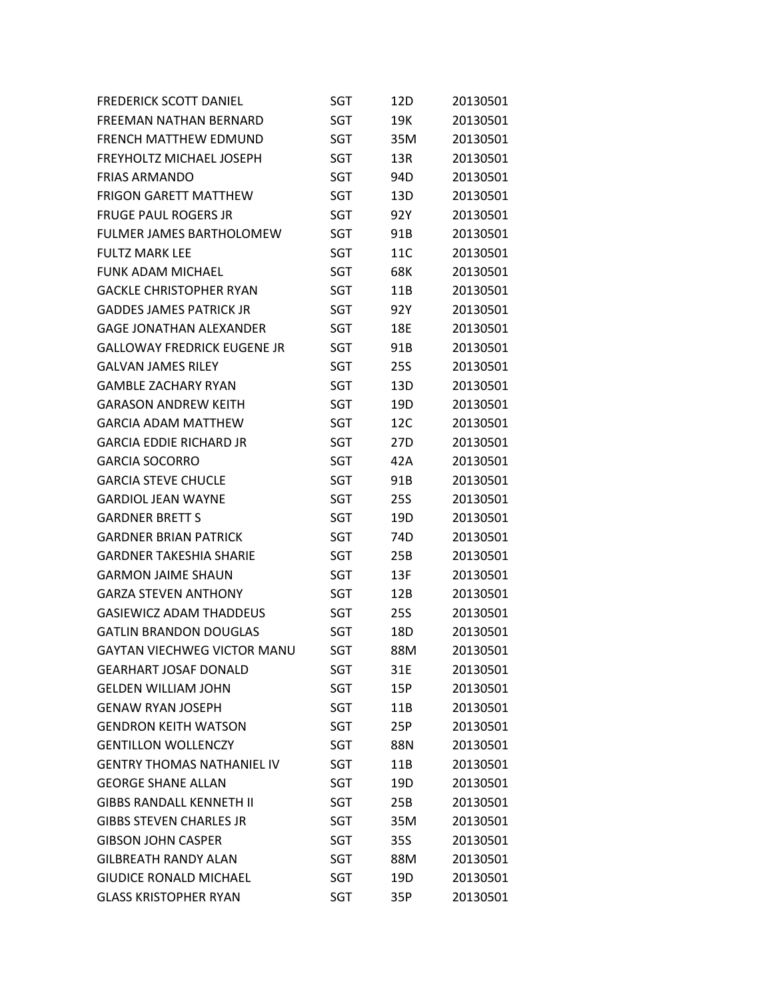| <b>FREDERICK SCOTT DANIEL</b>      | SGT        | 12D        | 20130501 |
|------------------------------------|------------|------------|----------|
| FREEMAN NATHAN BERNARD             | <b>SGT</b> | 19K        | 20130501 |
| <b>FRENCH MATTHEW EDMUND</b>       | SGT        | 35M        | 20130501 |
| FREYHOLTZ MICHAEL JOSEPH           | SGT        | 13R        | 20130501 |
| <b>FRIAS ARMANDO</b>               | SGT        | 94D        | 20130501 |
| <b>FRIGON GARETT MATTHEW</b>       | <b>SGT</b> | 13D        | 20130501 |
| <b>FRUGE PAUL ROGERS JR</b>        | SGT        | 92Y        | 20130501 |
| <b>FULMER JAMES BARTHOLOMEW</b>    | SGT        | 91B        | 20130501 |
| FULTZ MARK LEE                     | SGT        | 11C        | 20130501 |
| <b>FUNK ADAM MICHAEL</b>           | <b>SGT</b> | 68K        | 20130501 |
| <b>GACKLE CHRISTOPHER RYAN</b>     | SGT        | 11B        | 20130501 |
| <b>GADDES JAMES PATRICK JR</b>     | SGT        | 92Y        | 20130501 |
| GAGE JONATHAN ALEXANDER            | SGT        | 18E        | 20130501 |
| <b>GALLOWAY FREDRICK EUGENE JR</b> | <b>SGT</b> | 91B        | 20130501 |
| <b>GALVAN JAMES RILEY</b>          | SGT        | <b>25S</b> | 20130501 |
| <b>GAMBLE ZACHARY RYAN</b>         | SGT        | 13D        | 20130501 |
| <b>GARASON ANDREW KEITH</b>        | SGT        | 19D        | 20130501 |
| <b>GARCIA ADAM MATTHEW</b>         | SGT        | 12C        | 20130501 |
| <b>GARCIA EDDIE RICHARD JR</b>     | SGT        | 27D        | 20130501 |
| <b>GARCIA SOCORRO</b>              | SGT        | 42A        | 20130501 |
| <b>GARCIA STEVE CHUCLE</b>         | SGT        | 91B        | 20130501 |
| <b>GARDIOL JEAN WAYNE</b>          | <b>SGT</b> | <b>25S</b> | 20130501 |
| <b>GARDNER BRETT S</b>             | SGT        | 19D        | 20130501 |
| <b>GARDNER BRIAN PATRICK</b>       | SGT        | 74D        | 20130501 |
| GARDNER TAKESHIA SHARIE            | SGT        | 25B        | 20130501 |
| <b>GARMON JAIME SHAUN</b>          | SGT        | 13F        | 20130501 |
| <b>GARZA STEVEN ANTHONY</b>        | <b>SGT</b> | 12B        | 20130501 |
| <b>GASIEWICZ ADAM THADDEUS</b>     | <b>SGT</b> | 25S        | 20130501 |
| <b>GATLIN BRANDON DOUGLAS</b>      | SGT        | 18D        | 20130501 |
| <b>GAYTAN VIECHWEG VICTOR MANU</b> | <b>SGT</b> | 88M        | 20130501 |
| <b>GEARHART JOSAF DONALD</b>       | SGT        | 31E        | 20130501 |
| <b>GELDEN WILLIAM JOHN</b>         | <b>SGT</b> | 15P        | 20130501 |
| <b>GENAW RYAN JOSEPH</b>           | <b>SGT</b> | 11B        | 20130501 |
| <b>GENDRON KEITH WATSON</b>        | <b>SGT</b> | 25P        | 20130501 |
| <b>GENTILLON WOLLENCZY</b>         | <b>SGT</b> | 88N        | 20130501 |
| <b>GENTRY THOMAS NATHANIEL IV</b>  | <b>SGT</b> | 11B        | 20130501 |
| <b>GEORGE SHANE ALLAN</b>          | <b>SGT</b> | 19D        | 20130501 |
| <b>GIBBS RANDALL KENNETH II</b>    | <b>SGT</b> | 25B        | 20130501 |
| <b>GIBBS STEVEN CHARLES JR</b>     | <b>SGT</b> | 35M        | 20130501 |
| <b>GIBSON JOHN CASPER</b>          | <b>SGT</b> | 35S        | 20130501 |
| <b>GILBREATH RANDY ALAN</b>        | <b>SGT</b> | 88M        | 20130501 |
| <b>GIUDICE RONALD MICHAEL</b>      | <b>SGT</b> | 19D        | 20130501 |
| <b>GLASS KRISTOPHER RYAN</b>       | <b>SGT</b> | 35P        | 20130501 |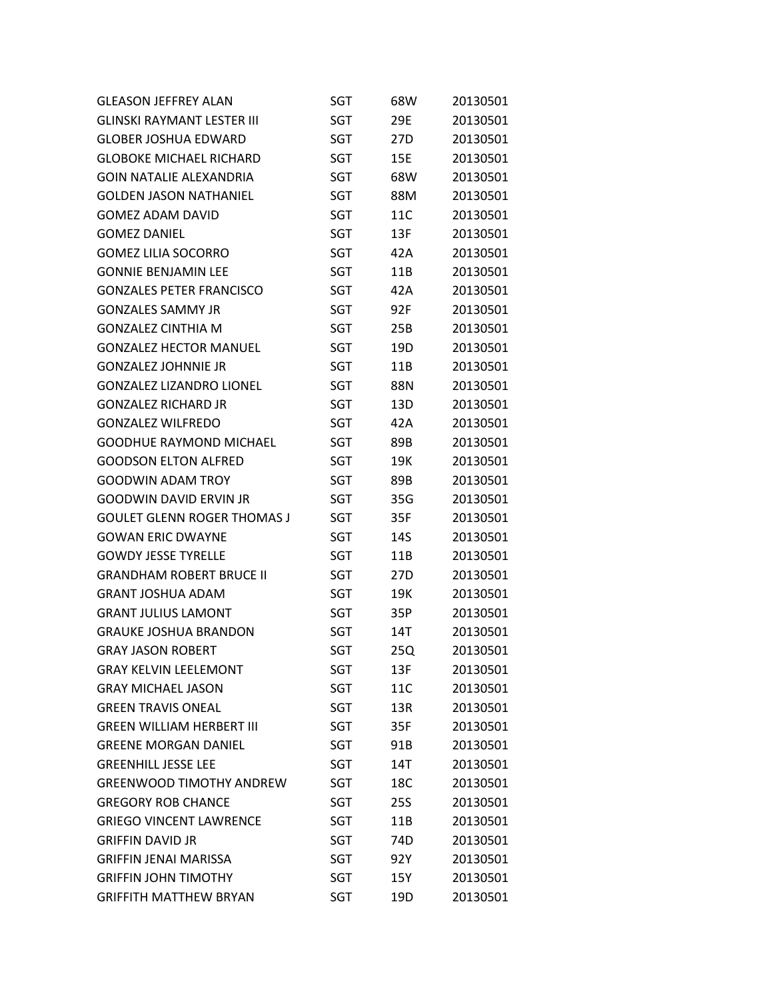| <b>GLEASON JEFFREY ALAN</b>        | SGT        | 68W | 20130501 |
|------------------------------------|------------|-----|----------|
| <b>GLINSKI RAYMANT LESTER III</b>  | SGT        | 29E | 20130501 |
| <b>GLOBER JOSHUA EDWARD</b>        | SGT        | 27D | 20130501 |
| <b>GLOBOKE MICHAEL RICHARD</b>     | SGT        | 15E | 20130501 |
| <b>GOIN NATALIE ALEXANDRIA</b>     | SGT        | 68W | 20130501 |
| <b>GOLDEN JASON NATHANIEL</b>      | SGT        | 88M | 20130501 |
| <b>GOMEZ ADAM DAVID</b>            | SGT        | 11C | 20130501 |
| <b>GOMEZ DANIEL</b>                | SGT        | 13F | 20130501 |
| <b>GOMEZ LILIA SOCORRO</b>         | <b>SGT</b> | 42A | 20130501 |
| <b>GONNIE BENJAMIN LEE</b>         | SGT        | 11B | 20130501 |
| <b>GONZALES PETER FRANCISCO</b>    | SGT        | 42A | 20130501 |
| <b>GONZALES SAMMY JR</b>           | SGT        | 92F | 20130501 |
| <b>GONZALEZ CINTHIA M</b>          | SGT        | 25B | 20130501 |
| <b>GONZALEZ HECTOR MANUEL</b>      | <b>SGT</b> | 19D | 20130501 |
| <b>GONZALEZ JOHNNIE JR</b>         | SGT        | 11B | 20130501 |
| <b>GONZALEZ LIZANDRO LIONEL</b>    | <b>SGT</b> | 88N | 20130501 |
| <b>GONZALEZ RICHARD JR</b>         | <b>SGT</b> | 13D | 20130501 |
| <b>GONZALEZ WILFREDO</b>           | <b>SGT</b> | 42A | 20130501 |
| <b>GOODHUE RAYMOND MICHAEL</b>     | SGT        | 89B | 20130501 |
| <b>GOODSON ELTON ALFRED</b>        | SGT        | 19K | 20130501 |
| <b>GOODWIN ADAM TROY</b>           | SGT        | 89B | 20130501 |
| <b>GOODWIN DAVID ERVIN JR</b>      | SGT        | 35G | 20130501 |
| <b>GOULET GLENN ROGER THOMAS J</b> | SGT        | 35F | 20130501 |
| <b>GOWAN ERIC DWAYNE</b>           | SGT        | 14S | 20130501 |
| <b>GOWDY JESSE TYRELLE</b>         | SGT        | 11B | 20130501 |
| <b>GRANDHAM ROBERT BRUCE II</b>    | SGT        | 27D | 20130501 |
| <b>GRANT JOSHUA ADAM</b>           | SGT        | 19K | 20130501 |
| <b>GRANT JULIUS LAMONT</b>         | SGT        | 35P | 20130501 |
| <b>GRAUKE JOSHUA BRANDON</b>       | SGT        | 14T | 20130501 |
| <b>GRAY JASON ROBERT</b>           | SGT        | 25Q | 20130501 |
| <b>GRAY KELVIN LEELEMONT</b>       | SGT        | 13F | 20130501 |
| <b>GRAY MICHAEL JASON</b>          | SGT        | 11C | 20130501 |
| <b>GREEN TRAVIS ONEAL</b>          | <b>SGT</b> | 13R | 20130501 |
| <b>GREEN WILLIAM HERBERT III</b>   | SGT        | 35F | 20130501 |
| <b>GREENE MORGAN DANIEL</b>        | SGT        | 91B | 20130501 |
| <b>GREENHILL JESSE LEE</b>         | SGT        | 14T | 20130501 |
| <b>GREENWOOD TIMOTHY ANDREW</b>    | SGT        | 18C | 20130501 |
| <b>GREGORY ROB CHANCE</b>          | SGT        | 25S | 20130501 |
| <b>GRIEGO VINCENT LAWRENCE</b>     | SGT        | 11B | 20130501 |
| <b>GRIFFIN DAVID JR</b>            | SGT        | 74D | 20130501 |
| <b>GRIFFIN JENAI MARISSA</b>       | SGT        | 92Y | 20130501 |
| <b>GRIFFIN JOHN TIMOTHY</b>        | SGT        | 15Y | 20130501 |
| <b>GRIFFITH MATTHEW BRYAN</b>      | <b>SGT</b> | 19D | 20130501 |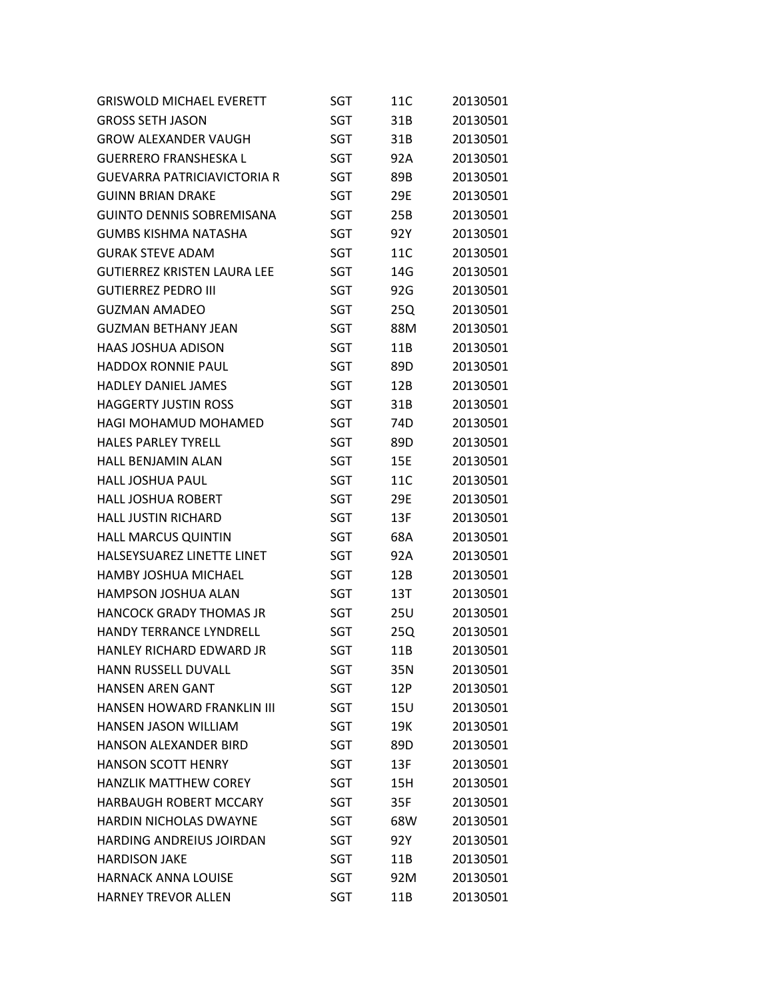| <b>GRISWOLD MICHAEL EVERETT</b>    | <b>SGT</b> | 11C | 20130501 |
|------------------------------------|------------|-----|----------|
| <b>GROSS SETH JASON</b>            | <b>SGT</b> | 31B | 20130501 |
| <b>GROW ALEXANDER VAUGH</b>        | SGT        | 31B | 20130501 |
| <b>GUERRERO FRANSHESKA L</b>       | <b>SGT</b> | 92A | 20130501 |
| <b>GUEVARRA PATRICIAVICTORIA R</b> | <b>SGT</b> | 89B | 20130501 |
| <b>GUINN BRIAN DRAKE</b>           | <b>SGT</b> | 29E | 20130501 |
| <b>GUINTO DENNIS SOBREMISANA</b>   | SGT        | 25B | 20130501 |
| <b>GUMBS KISHMA NATASHA</b>        | <b>SGT</b> | 92Y | 20130501 |
| <b>GURAK STEVE ADAM</b>            | SGT        | 11C | 20130501 |
| <b>GUTIERREZ KRISTEN LAURA LEE</b> | <b>SGT</b> | 14G | 20130501 |
| <b>GUTIERREZ PEDRO III</b>         | SGT        | 92G | 20130501 |
| <b>GUZMAN AMADEO</b>               | SGT        | 25Q | 20130501 |
| <b>GUZMAN BETHANY JEAN</b>         | SGT        | 88M | 20130501 |
| <b>HAAS JOSHUA ADISON</b>          | <b>SGT</b> | 11B | 20130501 |
| <b>HADDOX RONNIE PAUL</b>          | <b>SGT</b> | 89D | 20130501 |
| <b>HADLEY DANIEL JAMES</b>         | SGT        | 12B | 20130501 |
| <b>HAGGERTY JUSTIN ROSS</b>        | SGT        | 31B | 20130501 |
| HAGI MOHAMUD MOHAMED               | <b>SGT</b> | 74D | 20130501 |
| <b>HALES PARLEY TYRELL</b>         | SGT        | 89D | 20130501 |
| <b>HALL BENJAMIN ALAN</b>          | SGT        | 15E | 20130501 |
| <b>HALL JOSHUA PAUL</b>            | SGT        | 11C | 20130501 |
| <b>HALL JOSHUA ROBERT</b>          | SGT        | 29E | 20130501 |
| <b>HALL JUSTIN RICHARD</b>         | SGT        | 13F | 20130501 |
| <b>HALL MARCUS QUINTIN</b>         | SGT        | 68A | 20130501 |
| HALSEYSUAREZ LINETTE LINET         | SGT        | 92A | 20130501 |
| <b>HAMBY JOSHUA MICHAEL</b>        | SGT        | 12B | 20130501 |
| <b>HAMPSON JOSHUA ALAN</b>         | SGT        | 13T | 20130501 |
| HANCOCK GRADY THOMAS JR            | SGT        | 25U | 20130501 |
| <b>HANDY TERRANCE LYNDRELL</b>     | SGT        | 25Q | 20130501 |
| <b>HANLEY RICHARD EDWARD JR</b>    | <b>SGT</b> | 11B | 20130501 |
| <b>HANN RUSSELL DUVALL</b>         | SGT        | 35N | 20130501 |
| <b>HANSEN AREN GANT</b>            | SGT        | 12P | 20130501 |
| <b>HANSEN HOWARD FRANKLIN III</b>  | <b>SGT</b> | 15U | 20130501 |
| HANSEN JASON WILLIAM               | <b>SGT</b> | 19K | 20130501 |
| <b>HANSON ALEXANDER BIRD</b>       | SGT        | 89D | 20130501 |
| <b>HANSON SCOTT HENRY</b>          | SGT        | 13F | 20130501 |
| <b>HANZLIK MATTHEW COREY</b>       | <b>SGT</b> | 15H | 20130501 |
| <b>HARBAUGH ROBERT MCCARY</b>      | <b>SGT</b> | 35F | 20130501 |
| <b>HARDIN NICHOLAS DWAYNE</b>      | <b>SGT</b> | 68W | 20130501 |
| <b>HARDING ANDREIUS JOIRDAN</b>    | SGT        | 92Y | 20130501 |
| <b>HARDISON JAKE</b>               | <b>SGT</b> | 11B | 20130501 |
| <b>HARNACK ANNA LOUISE</b>         | <b>SGT</b> | 92M | 20130501 |
| <b>HARNEY TREVOR ALLEN</b>         | <b>SGT</b> | 11B | 20130501 |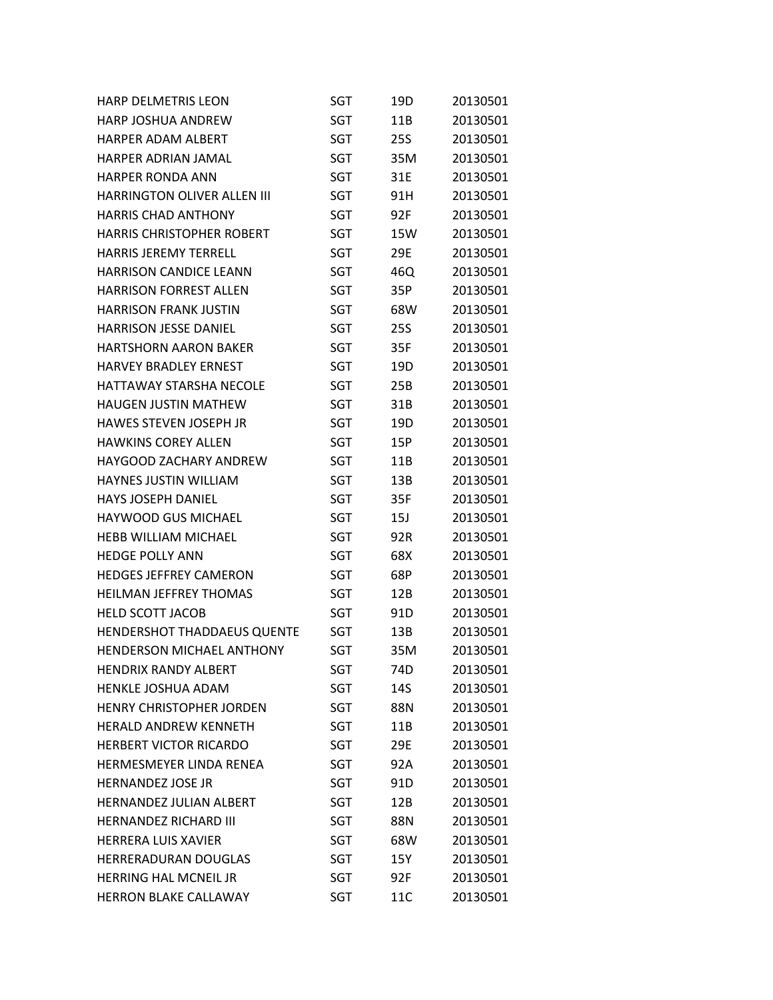| <b>HARP DELMETRIS LEON</b>         | SGT        | 19D             | 20130501 |
|------------------------------------|------------|-----------------|----------|
| <b>HARP JOSHUA ANDREW</b>          | <b>SGT</b> | 11B             | 20130501 |
| HARPER ADAM ALBERT                 | SGT        | <b>25S</b>      | 20130501 |
| <b>HARPER ADRIAN JAMAL</b>         | <b>SGT</b> | 35M             | 20130501 |
| <b>HARPER RONDA ANN</b>            | SGT        | 31E             | 20130501 |
| <b>HARRINGTON OLIVER ALLEN III</b> | <b>SGT</b> | 91H             | 20130501 |
| <b>HARRIS CHAD ANTHONY</b>         | <b>SGT</b> | 92F             | 20130501 |
| <b>HARRIS CHRISTOPHER ROBERT</b>   | SGT        | 15W             | 20130501 |
| <b>HARRIS JEREMY TERRELL</b>       | SGT        | 29E             | 20130501 |
| <b>HARRISON CANDICE LEANN</b>      | <b>SGT</b> | 46Q             | 20130501 |
| <b>HARRISON FORREST ALLEN</b>      | <b>SGT</b> | 35P             | 20130501 |
| <b>HARRISON FRANK JUSTIN</b>       | <b>SGT</b> | 68W             | 20130501 |
| <b>HARRISON JESSE DANIEL</b>       | SGT        | <b>25S</b>      | 20130501 |
| <b>HARTSHORN AARON BAKER</b>       | <b>SGT</b> | 35F             | 20130501 |
| <b>HARVEY BRADLEY ERNEST</b>       | SGT        | 19D             | 20130501 |
| HATTAWAY STARSHA NECOLE            | <b>SGT</b> | 25B             | 20130501 |
| <b>HAUGEN JUSTIN MATHEW</b>        | SGT        | 31B             | 20130501 |
| HAWES STEVEN JOSEPH JR             | <b>SGT</b> | 19D             | 20130501 |
| <b>HAWKINS COREY ALLEN</b>         | <b>SGT</b> | 15P             | 20130501 |
| <b>HAYGOOD ZACHARY ANDREW</b>      | <b>SGT</b> | 11B             | 20130501 |
| <b>HAYNES JUSTIN WILLIAM</b>       | SGT        | 13B             | 20130501 |
| <b>HAYS JOSEPH DANIEL</b>          | <b>SGT</b> | 35F             | 20130501 |
| <b>HAYWOOD GUS MICHAEL</b>         | <b>SGT</b> | 15J             | 20130501 |
| <b>HEBB WILLIAM MICHAEL</b>        | <b>SGT</b> | 92R             | 20130501 |
| <b>HEDGE POLLY ANN</b>             | SGT        | 68X             | 20130501 |
| <b>HEDGES JEFFREY CAMERON</b>      | <b>SGT</b> | 68P             | 20130501 |
| <b>HEILMAN JEFFREY THOMAS</b>      | <b>SGT</b> | 12B             | 20130501 |
| <b>HELD SCOTT JACOB</b>            | SGT        | 91 <sub>D</sub> | 20130501 |
| HENDERSHOT THADDAEUS QUENTE        | SGT        | 13B             | 20130501 |
| <b>HENDERSON MICHAEL ANTHONY</b>   | <b>SGT</b> | 35M             | 20130501 |
| <b>HENDRIX RANDY ALBERT</b>        | <b>SGT</b> | 74D             | 20130501 |
| HENKLE JOSHUA ADAM                 | SGT        | 14S             | 20130501 |
| <b>HENRY CHRISTOPHER JORDEN</b>    | SGT        | 88N             | 20130501 |
| <b>HERALD ANDREW KENNETH</b>       | SGT        | 11B             | 20130501 |
| <b>HERBERT VICTOR RICARDO</b>      | SGT        | 29E             | 20130501 |
| <b>HERMESMEYER LINDA RENEA</b>     | SGT        | 92A             | 20130501 |
| <b>HERNANDEZ JOSE JR</b>           | SGT        | 91D             | 20130501 |
| HERNANDEZ JULIAN ALBERT            | SGT        | 12B             | 20130501 |
| <b>HERNANDEZ RICHARD III</b>       | SGT        | 88N             | 20130501 |
| <b>HERRERA LUIS XAVIER</b>         | SGT        | 68W             | 20130501 |
| <b>HERRERADURAN DOUGLAS</b>        | SGT        | 15Y             | 20130501 |
| <b>HERRING HAL MCNEIL JR</b>       | SGT        | 92F             | 20130501 |
| <b>HERRON BLAKE CALLAWAY</b>       | <b>SGT</b> | 11C             | 20130501 |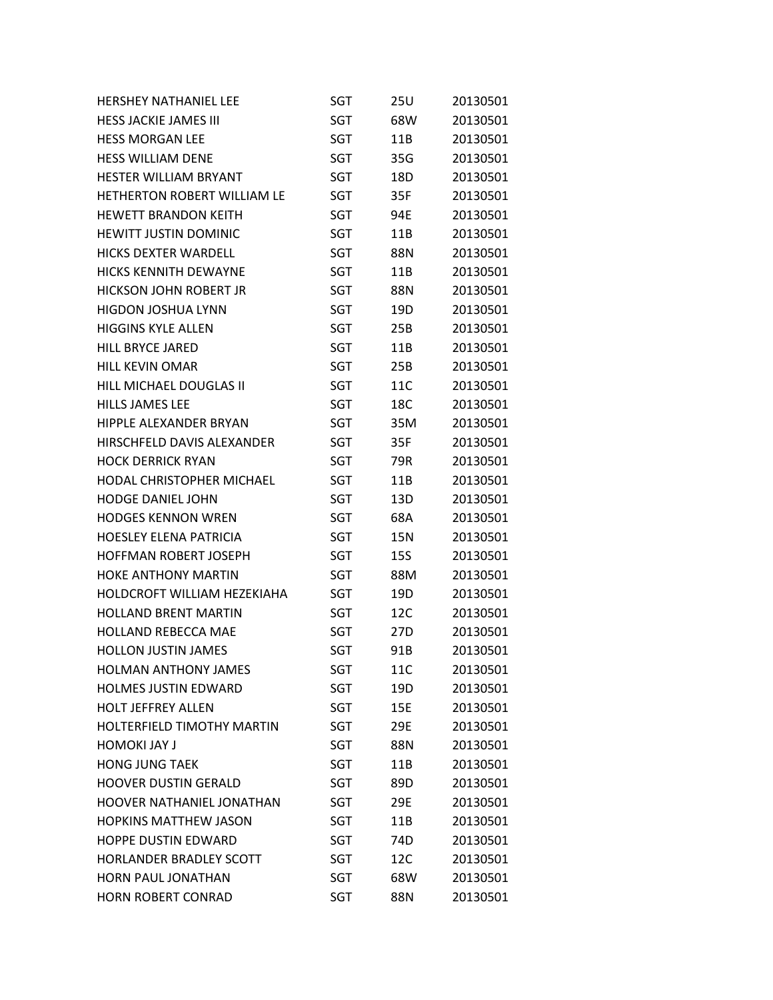| <b>HERSHEY NATHANIEL LEE</b>       | SGT        | 25U             | 20130501 |
|------------------------------------|------------|-----------------|----------|
| <b>HESS JACKIE JAMES III</b>       | SGT        | 68W             | 20130501 |
| <b>HESS MORGAN LEE</b>             | SGT        | 11B             | 20130501 |
| <b>HESS WILLIAM DENE</b>           | SGT        | 35G             | 20130501 |
| <b>HESTER WILLIAM BRYANT</b>       | SGT        | 18D             | 20130501 |
| HETHERTON ROBERT WILLIAM LE        | SGT        | 35F             | 20130501 |
| <b>HEWETT BRANDON KEITH</b>        | SGT        | 94E             | 20130501 |
| HEWITT JUSTIN DOMINIC              | SGT        | 11B             | 20130501 |
| <b>HICKS DEXTER WARDELL</b>        | <b>SGT</b> | 88N             | 20130501 |
| <b>HICKS KENNITH DEWAYNE</b>       | SGT        | 11B             | 20130501 |
| HICKSON JOHN ROBERT JR             | SGT        | 88N             | 20130501 |
| <b>HIGDON JOSHUA LYNN</b>          | SGT        | 19D             | 20130501 |
| <b>HIGGINS KYLE ALLEN</b>          | SGT        | 25B             | 20130501 |
| <b>HILL BRYCE JARED</b>            | SGT        | 11B             | 20130501 |
| <b>HILL KEVIN OMAR</b>             | SGT        | 25B             | 20130501 |
| HILL MICHAEL DOUGLAS II            | SGT        | 11C             | 20130501 |
| <b>HILLS JAMES LEE</b>             | SGT        | 18C             | 20130501 |
| HIPPLE ALEXANDER BRYAN             | <b>SGT</b> | 35M             | 20130501 |
| HIRSCHFELD DAVIS ALEXANDER         | SGT        | 35F             | 20130501 |
| <b>HOCK DERRICK RYAN</b>           | SGT        | 79R             | 20130501 |
| <b>HODAL CHRISTOPHER MICHAEL</b>   | SGT        | 11B             | 20130501 |
| <b>HODGE DANIEL JOHN</b>           | SGT        | 13D             | 20130501 |
| <b>HODGES KENNON WREN</b>          | SGT        | 68A             | 20130501 |
| <b>HOESLEY ELENA PATRICIA</b>      | SGT        | 15N             | 20130501 |
| HOFFMAN ROBERT JOSEPH              | SGT        | 15S             | 20130501 |
| <b>HOKE ANTHONY MARTIN</b>         | SGT        | 88M             | 20130501 |
| <b>HOLDCROFT WILLIAM HEZEKIAHA</b> | SGT        | 19D             | 20130501 |
| <b>HOLLAND BRENT MARTIN</b>        | SGT        | 12C             | 20130501 |
| <b>HOLLAND REBECCA MAE</b>         | SGT        | 27 <sub>D</sub> | 20130501 |
| <b>HOLLON JUSTIN JAMES</b>         | SGT        | 91B             | 20130501 |
| <b>HOLMAN ANTHONY JAMES</b>        | SGT        | 11C             | 20130501 |
| <b>HOLMES JUSTIN EDWARD</b>        | SGT        | 19D             | 20130501 |
| <b>HOLT JEFFREY ALLEN</b>          | SGT        | 15E             | 20130501 |
| <b>HOLTERFIELD TIMOTHY MARTIN</b>  | SGT        | 29E             | 20130501 |
| <b>HOMOKI JAY J</b>                | SGT        | 88N             | 20130501 |
| <b>HONG JUNG TAEK</b>              | <b>SGT</b> | 11B             | 20130501 |
| <b>HOOVER DUSTIN GERALD</b>        | SGT        | 89D             | 20130501 |
| <b>HOOVER NATHANIEL JONATHAN</b>   | SGT        | 29E             | 20130501 |
| <b>HOPKINS MATTHEW JASON</b>       | SGT        | 11B             | 20130501 |
| <b>HOPPE DUSTIN EDWARD</b>         | SGT        | 74D             | 20130501 |
| <b>HORLANDER BRADLEY SCOTT</b>     | SGT        | 12C             | 20130501 |
| HORN PAUL JONATHAN                 | SGT        | 68W             | 20130501 |
| HORN ROBERT CONRAD                 | SGT        | 88N             | 20130501 |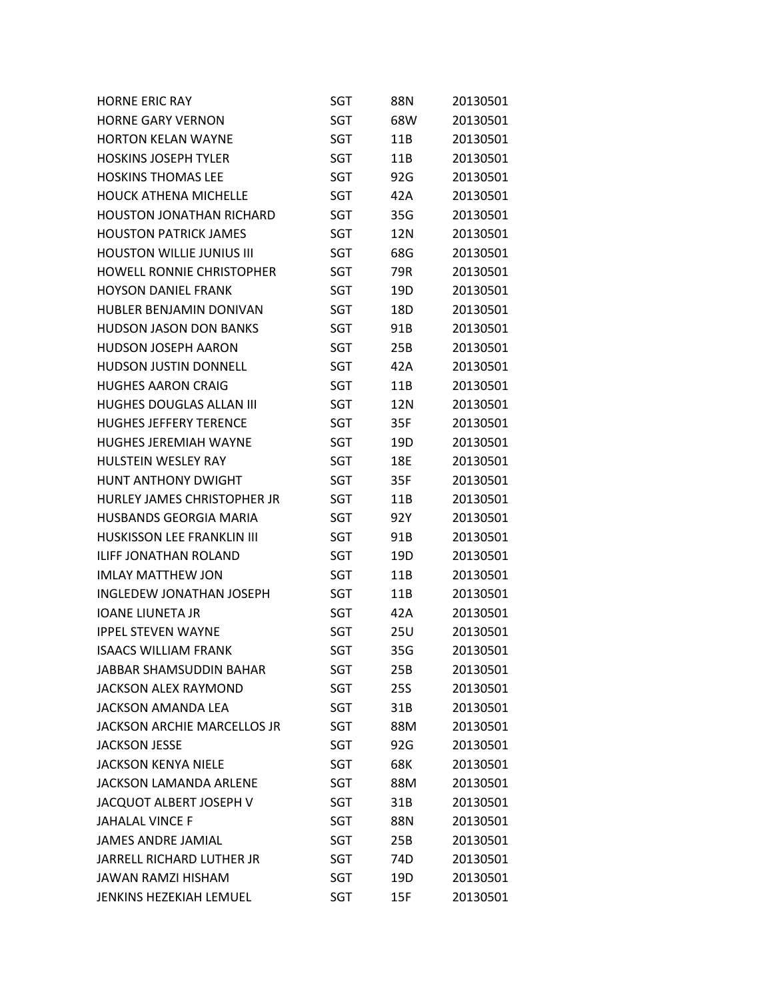| <b>HORNE ERIC RAY</b>              | SGT        | 88N        | 20130501 |
|------------------------------------|------------|------------|----------|
| <b>HORNE GARY VERNON</b>           | SGT        | 68W        | 20130501 |
| <b>HORTON KELAN WAYNE</b>          | SGT        | 11B        | 20130501 |
| <b>HOSKINS JOSEPH TYLER</b>        | SGT        | 11B        | 20130501 |
| <b>HOSKINS THOMAS LEE</b>          | SGT        | 92G        | 20130501 |
| <b>HOUCK ATHENA MICHELLE</b>       | SGT        | 42A        | 20130501 |
| <b>HOUSTON JONATHAN RICHARD</b>    | SGT        | 35G        | 20130501 |
| <b>HOUSTON PATRICK JAMES</b>       | SGT        | 12N        | 20130501 |
| <b>HOUSTON WILLIE JUNIUS III</b>   | SGT        | 68G        | 20130501 |
| <b>HOWELL RONNIE CHRISTOPHER</b>   | SGT        | 79R        | 20130501 |
| <b>HOYSON DANIEL FRANK</b>         | SGT        | 19D        | 20130501 |
| HUBLER BENJAMIN DONIVAN            | SGT        | 18D        | 20130501 |
| <b>HUDSON JASON DON BANKS</b>      | SGT        | 91B        | 20130501 |
| <b>HUDSON JOSEPH AARON</b>         | SGT        | 25B        | 20130501 |
| <b>HUDSON JUSTIN DONNELL</b>       | SGT        | 42A        | 20130501 |
| <b>HUGHES AARON CRAIG</b>          | <b>SGT</b> | 11B        | 20130501 |
| <b>HUGHES DOUGLAS ALLAN III</b>    | SGT        | 12N        | 20130501 |
| <b>HUGHES JEFFERY TERENCE</b>      | SGT        | 35F        | 20130501 |
| <b>HUGHES JEREMIAH WAYNE</b>       | SGT        | 19D        | 20130501 |
| HULSTEIN WESLEY RAY                | SGT        | 18E        | 20130501 |
| <b>HUNT ANTHONY DWIGHT</b>         | SGT        | 35F        | 20130501 |
| HURLEY JAMES CHRISTOPHER JR        | SGT        | 11B        | 20130501 |
| <b>HUSBANDS GEORGIA MARIA</b>      | SGT        | 92Y        | 20130501 |
| <b>HUSKISSON LEE FRANKLIN III</b>  | SGT        | 91B        | 20130501 |
| <b>ILIFF JONATHAN ROLAND</b>       | SGT        | 19D        | 20130501 |
| <b>IMLAY MATTHEW JON</b>           | SGT        | 11B        | 20130501 |
| <b>INGLEDEW JONATHAN JOSEPH</b>    | SGT        | 11B        | 20130501 |
| <b>IOANE LIUNETA JR</b>            | SGT        | 42A        | 20130501 |
| <b>IPPEL STEVEN WAYNE</b>          | SGT        | 25U        | 20130501 |
| <b>ISAACS WILLIAM FRANK</b>        | <b>SGT</b> | 35G        | 20130501 |
| JABBAR SHAMSUDDIN BAHAR            | SGT        | 25B        | 20130501 |
| <b>JACKSON ALEX RAYMOND</b>        | SGT        | <b>25S</b> | 20130501 |
| JACKSON AMANDA LEA                 | SGT        | 31B        | 20130501 |
| <b>JACKSON ARCHIE MARCELLOS JR</b> | SGT        | 88M        | 20130501 |
| <b>JACKSON JESSE</b>               | SGT        | 92G        | 20130501 |
| <b>JACKSON KENYA NIELE</b>         | SGT        | 68K        | 20130501 |
| <b>JACKSON LAMANDA ARLENE</b>      | SGT        | 88M        | 20130501 |
| JACQUOT ALBERT JOSEPH V            | SGT        | 31B        | 20130501 |
| <b>JAHALAL VINCE F</b>             | SGT        | 88N        | 20130501 |
| <b>JAMES ANDRE JAMIAL</b>          | SGT        | 25B        | 20130501 |
| <b>JARRELL RICHARD LUTHER JR</b>   | SGT        | 74D        | 20130501 |
| <b>JAWAN RAMZI HISHAM</b>          | SGT        | 19D        | 20130501 |
| JENKINS HEZEKIAH LEMUEL            | <b>SGT</b> | 15F        | 20130501 |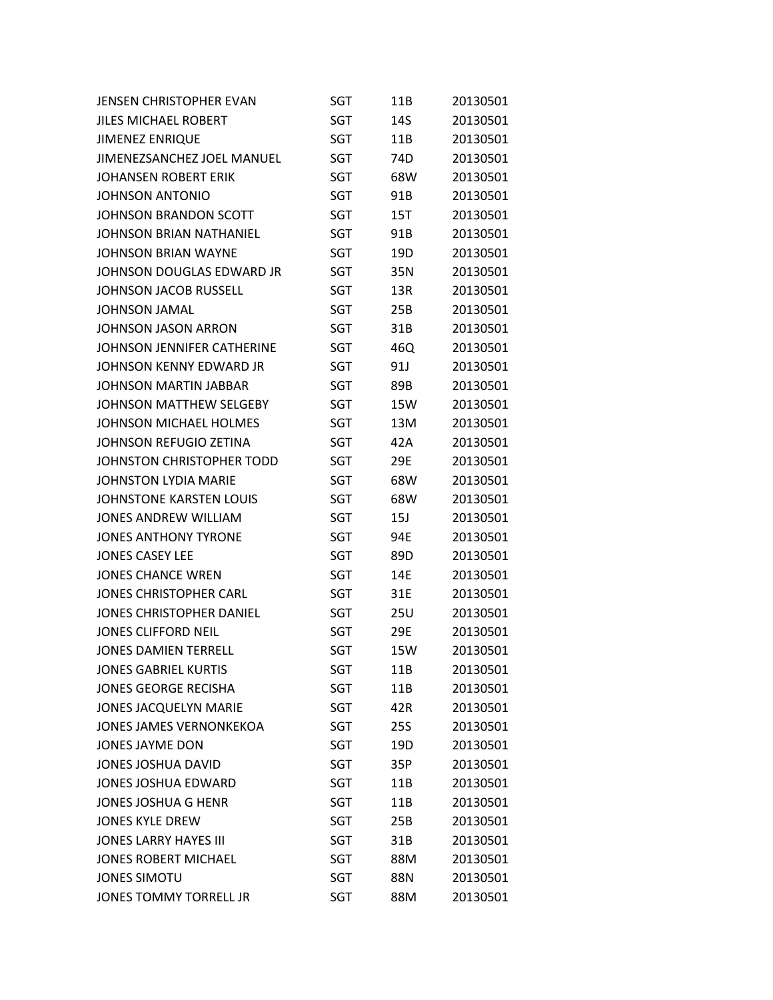| <b>JENSEN CHRISTOPHER EVAN</b>  | SGT        | 11B             | 20130501 |
|---------------------------------|------------|-----------------|----------|
| <b>JILES MICHAEL ROBERT</b>     | <b>SGT</b> | 14S             | 20130501 |
| <b>JIMENEZ ENRIQUE</b>          | <b>SGT</b> | 11B             | 20130501 |
| JIMENEZSANCHEZ JOEL MANUEL      | SGT        | 74D             | 20130501 |
| <b>JOHANSEN ROBERT ERIK</b>     | SGT        | 68W             | 20130501 |
| <b>JOHNSON ANTONIO</b>          | <b>SGT</b> | 91B             | 20130501 |
| JOHNSON BRANDON SCOTT           | SGT        | 15T             | 20130501 |
| JOHNSON BRIAN NATHANIEL         | SGT        | 91B             | 20130501 |
| JOHNSON BRIAN WAYNE             | SGT        | 19D             | 20130501 |
| JOHNSON DOUGLAS EDWARD JR       | SGT        | 35N             | 20130501 |
| <b>JOHNSON JACOB RUSSELL</b>    | SGT        | 13R             | 20130501 |
| <b>JOHNSON JAMAL</b>            | SGT        | 25B             | 20130501 |
| <b>JOHNSON JASON ARRON</b>      | SGT        | 31B             | 20130501 |
| JOHNSON JENNIFER CATHERINE      | SGT        | 46Q             | 20130501 |
| <b>JOHNSON KENNY EDWARD JR</b>  | SGT        | 91J             | 20130501 |
| JOHNSON MARTIN JABBAR           | SGT        | 89B             | 20130501 |
| JOHNSON MATTHEW SELGEBY         | SGT        | 15W             | 20130501 |
| JOHNSON MICHAEL HOLMES          | SGT        | 13M             | 20130501 |
| <b>JOHNSON REFUGIO ZETINA</b>   | SGT        | 42A             | 20130501 |
| JOHNSTON CHRISTOPHER TODD       | SGT        | 29E             | 20130501 |
| <b>JOHNSTON LYDIA MARIE</b>     | SGT        | 68W             | 20130501 |
| <b>JOHNSTONE KARSTEN LOUIS</b>  | SGT        | 68W             | 20130501 |
| <b>JONES ANDREW WILLIAM</b>     | SGT        | 15J             | 20130501 |
| <b>JONES ANTHONY TYRONE</b>     | SGT        | 94E             | 20130501 |
| <b>JONES CASEY LEE</b>          | SGT        | 89D             | 20130501 |
| <b>JONES CHANCE WREN</b>        | SGT        | 14E             | 20130501 |
| <b>JONES CHRISTOPHER CARL</b>   | SGT        | 31E             | 20130501 |
| <b>JONES CHRISTOPHER DANIEL</b> | SGT        | 25U             | 20130501 |
| <b>JONES CLIFFORD NEIL</b>      | SGT        | 29E             | 20130501 |
| <b>JONES DAMIEN TERRELL</b>     | <b>SGT</b> | 15W             | 20130501 |
| <b>JONES GABRIEL KURTIS</b>     | SGT        | 11B             | 20130501 |
| <b>JONES GEORGE RECISHA</b>     | SGT        | 11B             | 20130501 |
| <b>JONES JACQUELYN MARIE</b>    | SGT        | 42R             | 20130501 |
| <b>JONES JAMES VERNONKEKOA</b>  | SGT        | 25S             | 20130501 |
| <b>JONES JAYME DON</b>          | SGT        | 19 <sub>D</sub> | 20130501 |
| JONES JOSHUA DAVID              | SGT        | 35P             | 20130501 |
| <b>JONES JOSHUA EDWARD</b>      | SGT        | 11B             | 20130501 |
| <b>JONES JOSHUA G HENR</b>      | SGT        | 11B             | 20130501 |
| <b>JONES KYLE DREW</b>          | SGT        | 25B             | 20130501 |
| <b>JONES LARRY HAYES III</b>    | <b>SGT</b> | 31B             | 20130501 |
| <b>JONES ROBERT MICHAEL</b>     | <b>SGT</b> | 88M             | 20130501 |
| <b>JONES SIMOTU</b>             | SGT        | 88N             | 20130501 |
| <b>JONES TOMMY TORRELL JR</b>   | <b>SGT</b> | 88M             | 20130501 |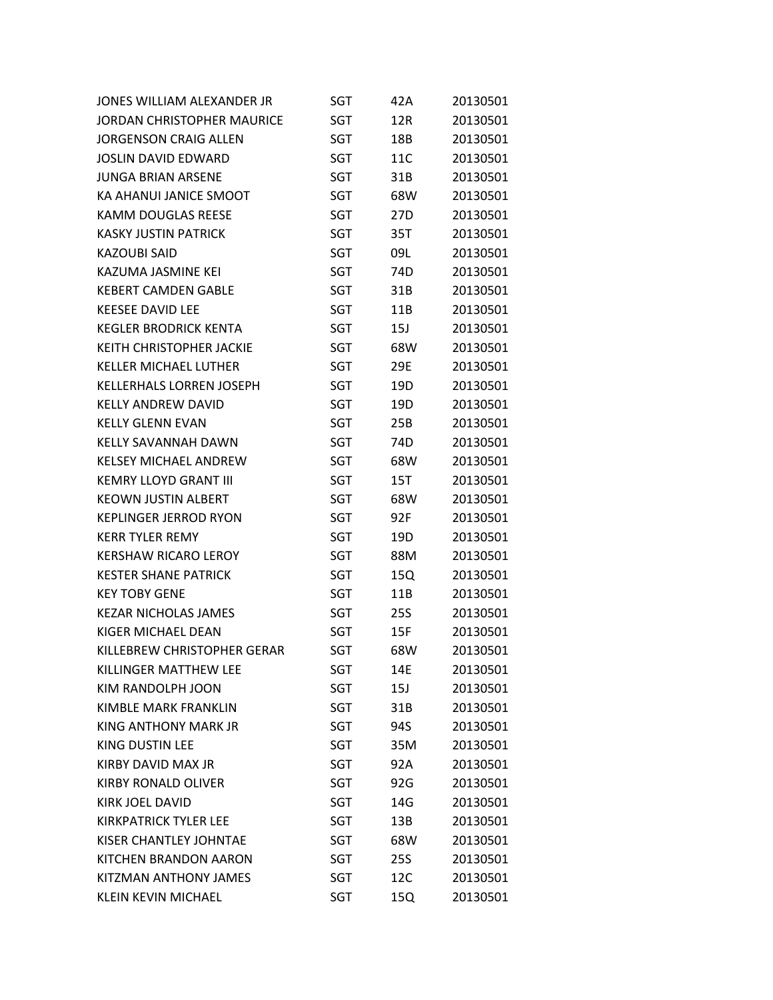| JONES WILLIAM ALEXANDER JR      | SGT        | 42A             | 20130501 |
|---------------------------------|------------|-----------------|----------|
| JORDAN CHRISTOPHER MAURICE      | SGT        | 12R             | 20130501 |
| <b>JORGENSON CRAIG ALLEN</b>    | SGT        | 18B             | 20130501 |
| <b>JOSLIN DAVID EDWARD</b>      | SGT        | 11C             | 20130501 |
| JUNGA BRIAN ARSENE              | SGT        | 31B             | 20130501 |
| KA AHANUI JANICE SMOOT          | SGT        | 68W             | 20130501 |
| <b>KAMM DOUGLAS REESE</b>       | SGT        | 27D             | 20130501 |
| <b>KASKY JUSTIN PATRICK</b>     | <b>SGT</b> | 35T             | 20130501 |
| <b>KAZOUBI SAID</b>             | <b>SGT</b> | 09L             | 20130501 |
| KAZUMA JASMINE KEI              | <b>SGT</b> | 74D             | 20130501 |
| <b>KEBERT CAMDEN GABLE</b>      | SGT        | 31B             | 20130501 |
| <b>KEESEE DAVID LEE</b>         | SGT        | 11B             | 20130501 |
| <b>KEGLER BRODRICK KENTA</b>    | SGT        | 15J             | 20130501 |
| <b>KEITH CHRISTOPHER JACKIE</b> | SGT        | 68W             | 20130501 |
| <b>KELLER MICHAEL LUTHER</b>    | SGT        | 29E             | 20130501 |
| <b>KELLERHALS LORREN JOSEPH</b> | SGT        | 19 <sub>D</sub> | 20130501 |
| KELLY ANDREW DAVID              | SGT        | 19D             | 20130501 |
| <b>KELLY GLENN EVAN</b>         | SGT        | 25B             | 20130501 |
| <b>KELLY SAVANNAH DAWN</b>      | SGT        | 74D             | 20130501 |
| <b>KELSEY MICHAEL ANDREW</b>    | SGT        | 68W             | 20130501 |
| <b>KEMRY LLOYD GRANT III</b>    | SGT        | 15T             | 20130501 |
| <b>KEOWN JUSTIN ALBERT</b>      | SGT        | 68W             | 20130501 |
| <b>KEPLINGER JERROD RYON</b>    | SGT        | 92F             | 20130501 |
| <b>KERR TYLER REMY</b>          | SGT        | 19D             | 20130501 |
| <b>KERSHAW RICARO LEROY</b>     | SGT        | 88M             | 20130501 |
| <b>KESTER SHANE PATRICK</b>     | SGT        | 15Q             | 20130501 |
| <b>KEY TOBY GENE</b>            | <b>SGT</b> | 11B             | 20130501 |
| <b>KEZAR NICHOLAS JAMES</b>     | SGT        | 25S             | 20130501 |
| KIGER MICHAEL DEAN              | SGT        | 15F             | 20130501 |
| KILLEBREW CHRISTOPHER GERAR     | <b>SGT</b> | 68W             | 20130501 |
| KILLINGER MATTHEW LEE           | SGT        | 14E             | 20130501 |
| KIM RANDOLPH JOON               | SGT        | 15J             | 20130501 |
| KIMBLE MARK FRANKLIN            | SGT        | 31B             | 20130501 |
| KING ANTHONY MARK JR            | SGT        | 94S             | 20130501 |
| <b>KING DUSTIN LEE</b>          | SGT        | 35M             | 20130501 |
| KIRBY DAVID MAX JR              | SGT        | 92A             | 20130501 |
| <b>KIRBY RONALD OLIVER</b>      | SGT        | 92G             | 20130501 |
| <b>KIRK JOEL DAVID</b>          | SGT        | 14G             | 20130501 |
| KIRKPATRICK TYLER LEE           | SGT        | 13B             | 20130501 |
| KISER CHANTLEY JOHNTAE          | SGT        | 68W             | 20130501 |
| KITCHEN BRANDON AARON           | SGT        | 25S             | 20130501 |
| KITZMAN ANTHONY JAMES           | SGT        | 12C             | 20130501 |
| <b>KLEIN KEVIN MICHAEL</b>      | SGT        | 15Q             | 20130501 |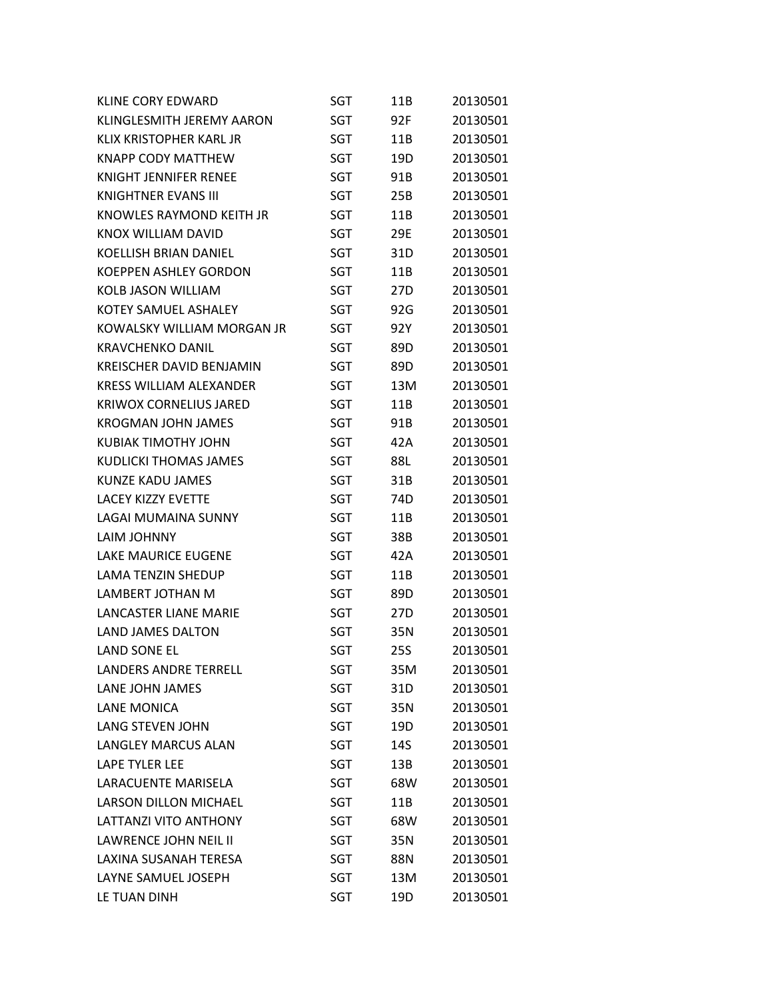| <b>KLINE CORY EDWARD</b>        | SGT        | 11B             | 20130501 |
|---------------------------------|------------|-----------------|----------|
| KLINGLESMITH JEREMY AARON       | SGT        | 92F             | 20130501 |
| KLIX KRISTOPHER KARL JR         | SGT        | 11B             | 20130501 |
| <b>KNAPP CODY MATTHEW</b>       | SGT        | 19D             | 20130501 |
| KNIGHT JENNIFER RENEE           | SGT        | 91B             | 20130501 |
| <b>KNIGHTNER EVANS III</b>      | SGT        | 25B             | 20130501 |
| KNOWLES RAYMOND KEITH JR        | SGT        | 11B             | 20130501 |
| KNOX WILLIAM DAVID              | SGT        | 29E             | 20130501 |
| <b>KOELLISH BRIAN DANIEL</b>    | SGT        | 31D             | 20130501 |
| <b>KOEPPEN ASHLEY GORDON</b>    | SGT        | 11B             | 20130501 |
| <b>KOLB JASON WILLIAM</b>       | SGT        | 27D             | 20130501 |
| <b>KOTEY SAMUEL ASHALEY</b>     | SGT        | 92G             | 20130501 |
| KOWALSKY WILLIAM MORGAN JR      | SGT        | 92Y             | 20130501 |
| <b>KRAVCHENKO DANIL</b>         | SGT        | 89D             | 20130501 |
| <b>KREISCHER DAVID BENJAMIN</b> | SGT        | 89D             | 20130501 |
| <b>KRESS WILLIAM ALEXANDER</b>  | SGT        | 13M             | 20130501 |
| <b>KRIWOX CORNELIUS JARED</b>   | SGT        | 11B             | 20130501 |
| <b>KROGMAN JOHN JAMES</b>       | <b>SGT</b> | 91B             | 20130501 |
| <b>KUBIAK TIMOTHY JOHN</b>      | SGT        | 42A             | 20130501 |
| KUDLICKI THOMAS JAMES           | SGT        | 88L             | 20130501 |
| KUNZE KADU JAMES                | SGT        | 31B             | 20130501 |
| <b>LACEY KIZZY EVETTE</b>       | SGT        | 74D             | 20130501 |
| LAGAI MUMAINA SUNNY             | SGT        | 11B             | 20130501 |
| LAIM JOHNNY                     | SGT        | 38B             | 20130501 |
| <b>LAKE MAURICE EUGENE</b>      | SGT        | 42A             | 20130501 |
| <b>LAMA TENZIN SHEDUP</b>       | SGT        | 11B             | 20130501 |
| LAMBERT JOTHAN M                | SGT        | 89D             | 20130501 |
| LANCASTER LIANE MARIE           | SGT        | 27 <sub>D</sub> | 20130501 |
| <b>LAND JAMES DALTON</b>        | SGT        | 35N             | 20130501 |
| <b>LAND SONE EL</b>             | SGT        | <b>25S</b>      | 20130501 |
| <b>LANDERS ANDRE TERRELL</b>    | SGT        | 35M             | 20130501 |
| LANE JOHN JAMES                 | SGT        | 31D             | 20130501 |
| LANE MONICA                     | <b>SGT</b> | 35N             | 20130501 |
| LANG STEVEN JOHN                | SGT        | 19D             | 20130501 |
| <b>LANGLEY MARCUS ALAN</b>      | SGT        | 14S             | 20130501 |
| LAPE TYLER LEE                  | SGT        | 13B             | 20130501 |
| LARACUENTE MARISELA             | SGT        | 68W             | 20130501 |
| <b>LARSON DILLON MICHAEL</b>    | SGT        | 11B             | 20130501 |
| <b>LATTANZI VITO ANTHONY</b>    | SGT        | 68W             | 20130501 |
| LAWRENCE JOHN NEIL II           | SGT        | 35N             | 20130501 |
| LAXINA SUSANAH TERESA           | SGT        | 88N             | 20130501 |
| LAYNE SAMUEL JOSEPH             | SGT        | 13M             | 20130501 |
| LE TUAN DINH                    | SGT        | 19D             | 20130501 |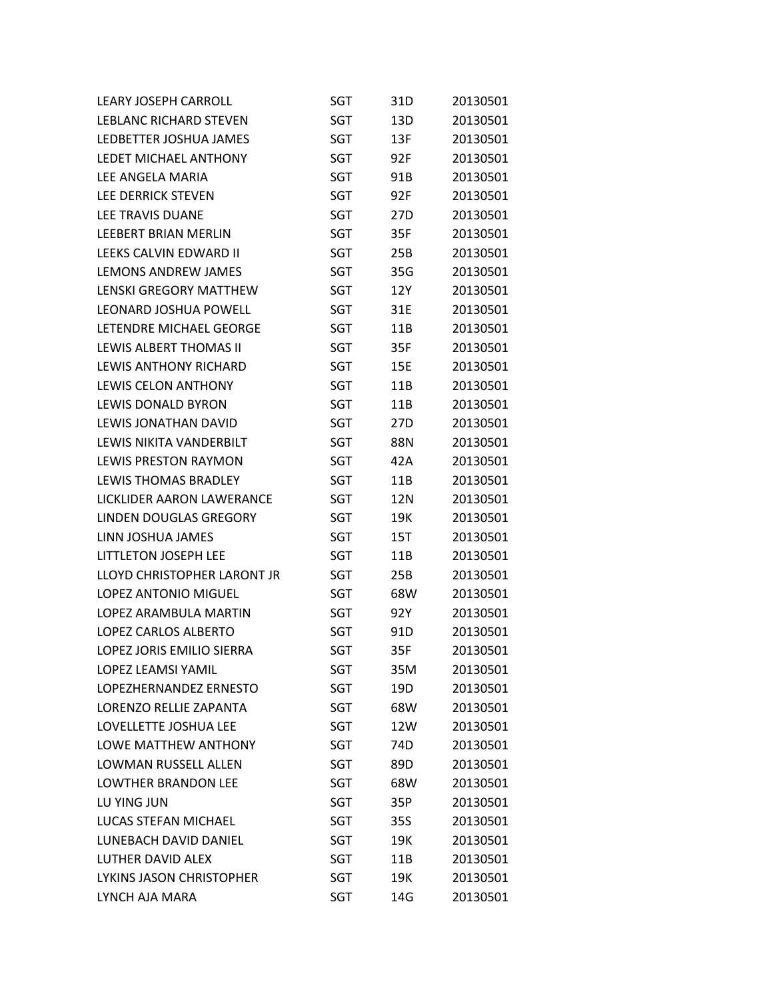| LEARY JOSEPH CARROLL          | SGT        | 31D             | 20130501 |
|-------------------------------|------------|-----------------|----------|
| LEBLANC RICHARD STEVEN        | SGT        | 13D             | 20130501 |
| LEDBETTER JOSHUA JAMES        | SGT        | 13F             | 20130501 |
| <b>LEDET MICHAEL ANTHONY</b>  | <b>SGT</b> | 92F             | 20130501 |
| LFF ANGFLA MARIA              | <b>SGT</b> | 91B             | 20130501 |
| LEE DERRICK STEVEN            | SGT        | 92F             | 20130501 |
| LEE TRAVIS DUANE              | SGT        | 27D             | 20130501 |
| <b>LEEBERT BRIAN MERLIN</b>   | SGT        | 35F             | 20130501 |
| LEEKS CALVIN EDWARD II        | SGT        | 25B             | 20130501 |
| LEMONS ANDREW JAMES           | SGT        | 35G             | 20130501 |
| <b>LENSKI GREGORY MATTHEW</b> | SGT        | 12Y             | 20130501 |
| LEONARD JOSHUA POWELL         | SGT        | 31E             | 20130501 |
| LETENDRE MICHAEL GEORGE       | SGT        | 11B             | 20130501 |
| LEWIS ALBERT THOMAS II        | SGT        | 35F             | 20130501 |
| LEWIS ANTHONY RICHARD         | SGT        | 15E             | 20130501 |
| <b>LEWIS CELON ANTHONY</b>    | SGT        | 11B             | 20130501 |
| LEWIS DONALD BYRON            | SGT        | 11B             | 20130501 |
| LEWIS JONATHAN DAVID          | SGT        | 27D             | 20130501 |
| LEWIS NIKITA VANDERBILT       | <b>SGT</b> | 88N             | 20130501 |
| LEWIS PRESTON RAYMON          | SGT        | 42A             | 20130501 |
| LEWIS THOMAS BRADLEY          | SGT        | 11B             | 20130501 |
| LICKLIDER AARON LAWERANCE     | SGT        | 12N             | 20130501 |
| LINDEN DOUGLAS GREGORY        | SGT        | 19K             | 20130501 |
| LINN JOSHUA JAMES             | SGT        | 15T             | 20130501 |
| <b>LITTLETON JOSEPH LEE</b>   | SGT        | 11B             | 20130501 |
| LLOYD CHRISTOPHER LARONT JR   | SGT        | 25B             | 20130501 |
| <b>LOPEZ ANTONIO MIGUEL</b>   | SGT        | 68W             | 20130501 |
| LOPEZ ARAMBULA MARTIN         | SGT        | 92Y             | 20130501 |
| <b>LOPEZ CARLOS ALBERTO</b>   | SGT        | 91D             | 20130501 |
| LOPEZ JORIS EMILIO SIERRA     | <b>SGT</b> | 35F             | 20130501 |
| <b>LOPEZ LEAMSI YAMIL</b>     | SGT        | 35M             | 20130501 |
| LOPEZHERNANDEZ ERNESTO        | SGT        | 19D             | 20130501 |
| LORENZO RELLIE ZAPANTA        | SGT        | 68W             | 20130501 |
| LOVELLETTE JOSHUA LEE         | SGT        | 12W             | 20130501 |
| LOWE MATTHEW ANTHONY          | SGT        | 74 <sub>D</sub> | 20130501 |
| LOWMAN RUSSELL ALLEN          | SGT        | 89D             | 20130501 |
| <b>LOWTHER BRANDON LEE</b>    | SGT        | 68W             | 20130501 |
| LU YING JUN                   | SGT        | 35P             | 20130501 |
| LUCAS STEFAN MICHAEL          | SGT        | 35S             | 20130501 |
| LUNEBACH DAVID DANIEL         | SGT        | 19K             | 20130501 |
| LUTHER DAVID ALEX             | SGT        | 11B             | 20130501 |
| LYKINS JASON CHRISTOPHER      | SGT        | 19K             | 20130501 |
| LYNCH AJA MARA                | SGT        | 14G             | 20130501 |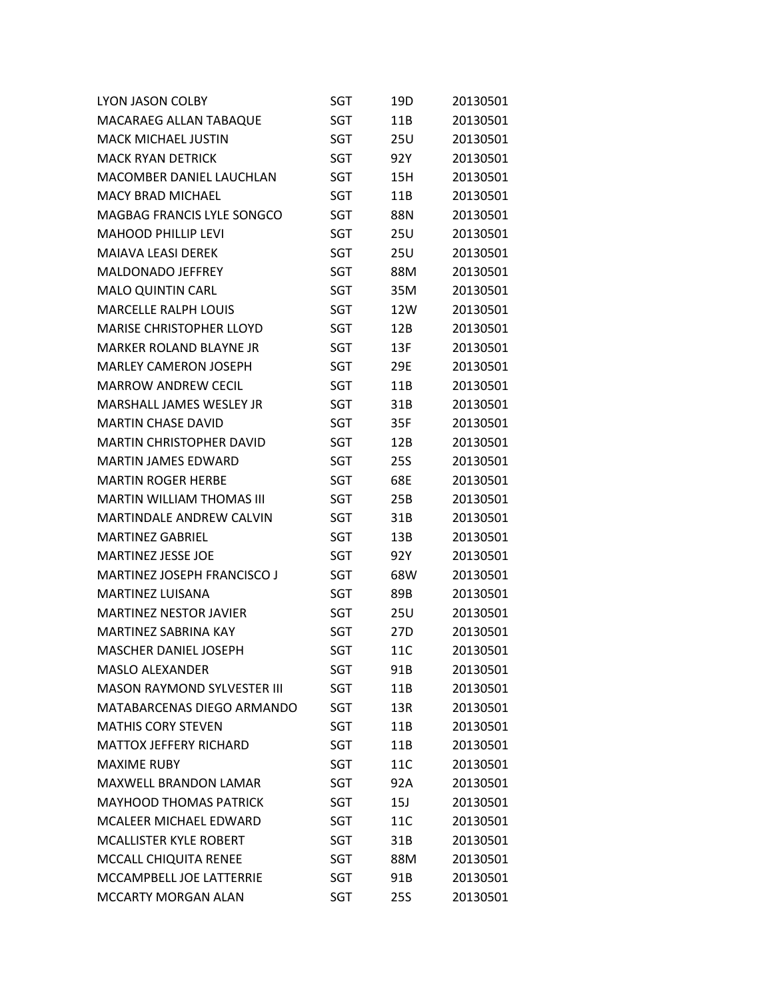| <b>LYON JASON COLBY</b>            | SGT        | 19D        | 20130501 |
|------------------------------------|------------|------------|----------|
| MACARAEG ALLAN TABAQUE             | SGT        | 11B        | 20130501 |
| <b>MACK MICHAEL JUSTIN</b>         | SGT        | 25U        | 20130501 |
| <b>MACK RYAN DETRICK</b>           | SGT        | 92Y        | 20130501 |
| <b>MACOMBER DANIEL LAUCHLAN</b>    | SGT        | 15H        | 20130501 |
| <b>MACY BRAD MICHAEL</b>           | SGT        | 11B        | 20130501 |
| MAGBAG FRANCIS LYLE SONGCO         | SGT        | 88N        | 20130501 |
| <b>MAHOOD PHILLIP LEVI</b>         | SGT        | <b>25U</b> | 20130501 |
| <b>MAIAVA LEASI DEREK</b>          | SGT        | 25U        | 20130501 |
| <b>MALDONADO JEFFREY</b>           | SGT        | 88M        | 20130501 |
| <b>MALO QUINTIN CARL</b>           | SGT        | 35M        | 20130501 |
| <b>MARCELLE RALPH LOUIS</b>        | SGT        | 12W        | 20130501 |
| <b>MARISE CHRISTOPHER LLOYD</b>    | SGT        | 12B        | 20130501 |
| <b>MARKER ROLAND BLAYNE JR</b>     | SGT        | 13F        | 20130501 |
| <b>MARLEY CAMERON JOSEPH</b>       | SGT        | 29E        | 20130501 |
| <b>MARROW ANDREW CECIL</b>         | <b>SGT</b> | 11B        | 20130501 |
| <b>MARSHALL JAMES WESLEY JR</b>    | SGT        | 31B        | 20130501 |
| <b>MARTIN CHASE DAVID</b>          | SGT        | 35F        | 20130501 |
| <b>MARTIN CHRISTOPHER DAVID</b>    | SGT        | 12B        | 20130501 |
| <b>MARTIN JAMES EDWARD</b>         | SGT        | 25S        | 20130501 |
| <b>MARTIN ROGER HERBE</b>          | SGT        | 68E        | 20130501 |
| <b>MARTIN WILLIAM THOMAS III</b>   | SGT        | 25B        | 20130501 |
| <b>MARTINDALE ANDREW CALVIN</b>    | SGT        | 31B        | 20130501 |
| <b>MARTINEZ GABRIEL</b>            | SGT        | 13B        | 20130501 |
| <b>MARTINEZ JESSE JOE</b>          | SGT        | 92Y        | 20130501 |
| <b>MARTINEZ JOSEPH FRANCISCO J</b> | SGT        | 68W        | 20130501 |
| <b>MARTINEZ LUISANA</b>            | SGT        | 89B        | 20130501 |
| <b>MARTINEZ NESTOR JAVIER</b>      | SGT        | 25U        | 20130501 |
| <b>MARTINEZ SABRINA KAY</b>        | SGT        | 27D        | 20130501 |
| <b>MASCHER DANIEL JOSEPH</b>       | <b>SGT</b> | 11C        | 20130501 |
| <b>MASLO ALEXANDER</b>             | SGT        | 91B        | 20130501 |
| <b>MASON RAYMOND SYLVESTER III</b> | SGT        | 11B        | 20130501 |
| MATABARCENAS DIEGO ARMANDO         | SGT        | 13R        | 20130501 |
| <b>MATHIS CORY STEVEN</b>          | SGT        | 11B        | 20130501 |
| <b>MATTOX JEFFERY RICHARD</b>      | SGT        | 11B        | 20130501 |
| <b>MAXIME RUBY</b>                 | SGT        | 11C        | 20130501 |
| <b>MAXWELL BRANDON LAMAR</b>       | SGT        | 92A        | 20130501 |
| <b>MAYHOOD THOMAS PATRICK</b>      | SGT        | 15J        | 20130501 |
| <b>MCALEER MICHAEL EDWARD</b>      | SGT        | 11C        | 20130501 |
| <b>MCALLISTER KYLE ROBERT</b>      | SGT        | 31B        | 20130501 |
| MCCALL CHIQUITA RENEE              | SGT        | 88M        | 20130501 |
| MCCAMPBELL JOE LATTERRIE           | SGT        | 91B        | 20130501 |
| MCCARTY MORGAN ALAN                | SGT        | 25S        | 20130501 |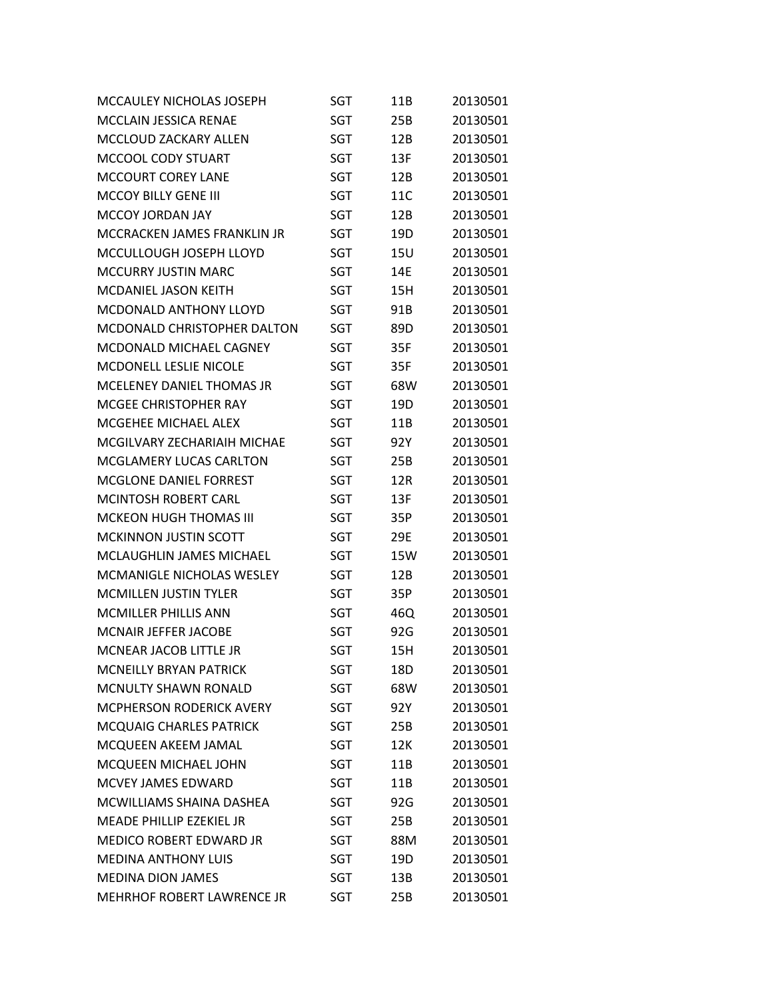| MCCAULEY NICHOLAS JOSEPH           | <b>SGT</b> | 11B | 20130501 |
|------------------------------------|------------|-----|----------|
| <b>MCCLAIN JESSICA RENAE</b>       | SGT        | 25B | 20130501 |
| MCCLOUD ZACKARY ALLEN              | SGT        | 12B | 20130501 |
| MCCOOL CODY STUART                 | SGT        | 13F | 20130501 |
| <b>MCCOURT COREY LANE</b>          | SGT        | 12B | 20130501 |
| <b>MCCOY BILLY GENE III</b>        | SGT        | 11C | 20130501 |
| <b>MCCOY JORDAN JAY</b>            | SGT        | 12B | 20130501 |
| MCCRACKEN JAMES FRANKLIN JR        | SGT        | 19D | 20130501 |
| MCCULLOUGH JOSEPH LLOYD            | SGT        | 15U | 20130501 |
| <b>MCCURRY JUSTIN MARC</b>         | SGT        | 14E | 20130501 |
| <b>MCDANIEL JASON KEITH</b>        | SGT        | 15H | 20130501 |
| <b>MCDONALD ANTHONY LLOYD</b>      | SGT        | 91B | 20130501 |
| <b>MCDONALD CHRISTOPHER DALTON</b> | SGT        | 89D | 20130501 |
| MCDONALD MICHAEL CAGNEY            | SGT        | 35F | 20130501 |
| <b>MCDONELL LESLIE NICOLE</b>      | <b>SGT</b> | 35F | 20130501 |
| MCELENEY DANIEL THOMAS JR          | SGT        | 68W | 20130501 |
| MCGEE CHRISTOPHER RAY              | SGT        | 19D | 20130501 |
| MCGEHEE MICHAEL ALEX               | SGT        | 11B | 20130501 |
| MCGILVARY ZECHARIAIH MICHAE        | <b>SGT</b> | 92Y | 20130501 |
| <b>MCGLAMERY LUCAS CARLTON</b>     | SGT        | 25B | 20130501 |
| <b>MCGLONE DANIEL FORREST</b>      | SGT        | 12R | 20130501 |
| MCINTOSH ROBERT CARL               | SGT        | 13F | 20130501 |
| <b>MCKEON HUGH THOMAS III</b>      | SGT        | 35P | 20130501 |
| <b>MCKINNON JUSTIN SCOTT</b>       | SGT        | 29E | 20130501 |
| MCLAUGHLIN JAMES MICHAEL           | SGT        | 15W | 20130501 |
| MCMANIGLE NICHOLAS WESLEY          | SGT        | 12B | 20130501 |
| <b>MCMILLEN JUSTIN TYLER</b>       | SGT        | 35P | 20130501 |
| <b>MCMILLER PHILLIS ANN</b>        | SGT        | 46Q | 20130501 |
| <b>MCNAIR JEFFER JACOBE</b>        | SGT        | 92G | 20130501 |
| <b>MCNEAR JACOB LITTLE JR</b>      | SGT        | 15H | 20130501 |
| <b>MCNEILLY BRYAN PATRICK</b>      | SGT        | 18D | 20130501 |
| <b>MCNULTY SHAWN RONALD</b>        | SGT        | 68W | 20130501 |
| <b>MCPHERSON RODERICK AVERY</b>    | SGT        | 92Y | 20130501 |
| <b>MCQUAIG CHARLES PATRICK</b>     | SGT        | 25B | 20130501 |
| MCQUEEN AKEEM JAMAL                | SGT        | 12K | 20130501 |
| MCQUEEN MICHAEL JOHN               | SGT        | 11B | 20130501 |
| MCVEY JAMES EDWARD                 | SGT        | 11B | 20130501 |
| MCWILLIAMS SHAINA DASHEA           | SGT        | 92G | 20130501 |
| MEADE PHILLIP EZEKIEL JR           | <b>SGT</b> | 25B | 20130501 |
| <b>MEDICO ROBERT EDWARD JR</b>     | SGT        | 88M | 20130501 |
| <b>MEDINA ANTHONY LUIS</b>         | SGT        | 19D | 20130501 |
| <b>MEDINA DION JAMES</b>           | SGT        | 13B | 20130501 |
| MEHRHOF ROBERT LAWRENCE JR         | SGT        | 25B | 20130501 |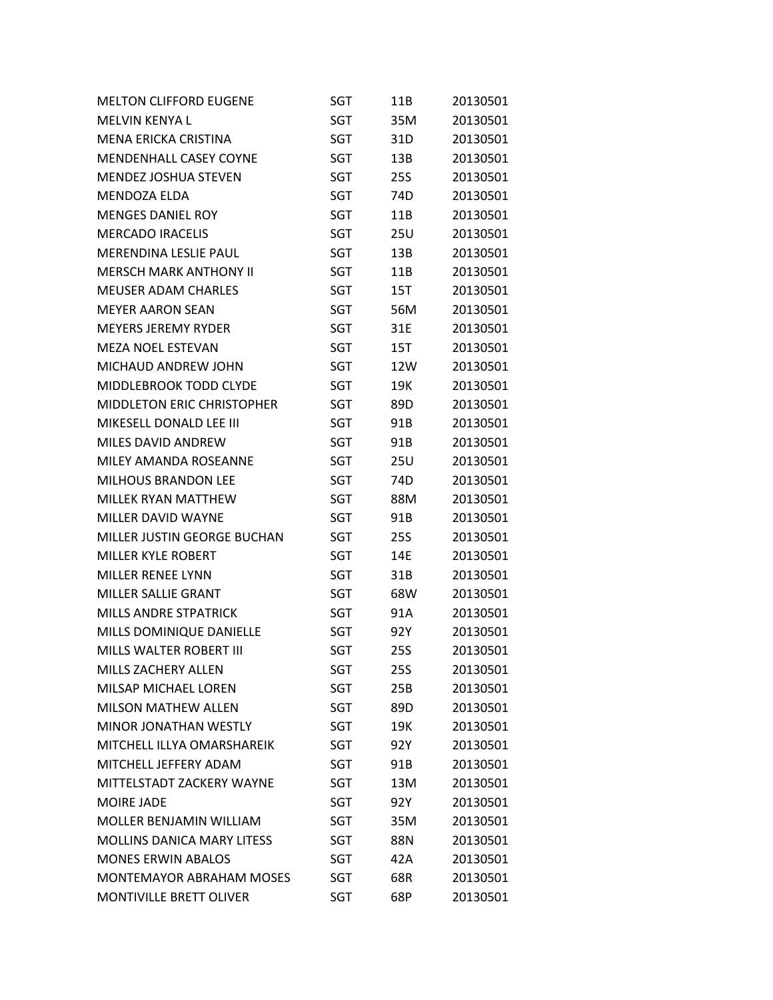| <b>MELTON CLIFFORD EUGENE</b>     | SGT        | 11B        | 20130501 |
|-----------------------------------|------------|------------|----------|
| MELVIN KENYA L                    | SGT        | 35M        | 20130501 |
| <b>MENA ERICKA CRISTINA</b>       | SGT        | 31D        | 20130501 |
| MENDENHALL CASEY COYNE            | SGT        | 13B        | 20130501 |
| <b>MENDEZ JOSHUA STEVEN</b>       | SGT        | <b>25S</b> | 20130501 |
| <b>MENDOZA ELDA</b>               | SGT        | 74D        | 20130501 |
| <b>MENGES DANIEL ROY</b>          | <b>SGT</b> | 11B        | 20130501 |
| <b>MERCADO IRACELIS</b>           | SGT        | 25U        | 20130501 |
| <b>MERENDINA LESLIE PAUL</b>      | SGT        | 13B        | 20130501 |
| <b>MERSCH MARK ANTHONY II</b>     | SGT        | 11B        | 20130501 |
| <b>MEUSER ADAM CHARLES</b>        | SGT        | 15T        | 20130501 |
| <b>MEYER AARON SEAN</b>           | SGT        | 56M        | 20130501 |
| <b>MEYERS JEREMY RYDER</b>        | SGT        | 31E        | 20130501 |
| <b>MEZA NOEL ESTEVAN</b>          | SGT        | 15T        | 20130501 |
| MICHAUD ANDREW JOHN               | SGT        | 12W        | 20130501 |
| MIDDLEBROOK TODD CLYDE            | SGT        | 19K        | 20130501 |
| <b>MIDDLETON ERIC CHRISTOPHER</b> | SGT        | 89D        | 20130501 |
| MIKESELL DONALD LEE III           | SGT        | 91B        | 20130501 |
| <b>MILES DAVID ANDREW</b>         | SGT        | 91B        | 20130501 |
| MILEY AMANDA ROSEANNE             | SGT        | 25U        | 20130501 |
| <b>MILHOUS BRANDON LEE</b>        | SGT        | 74D        | 20130501 |
| MILLEK RYAN MATTHEW               | SGT        | 88M        | 20130501 |
| <b>MILLER DAVID WAYNE</b>         | SGT        | 91B        | 20130501 |
| MILLER JUSTIN GEORGE BUCHAN       | SGT        | <b>25S</b> | 20130501 |
| <b>MILLER KYLE ROBERT</b>         | SGT        | 14E        | 20130501 |
| <b>MILLER RENEE LYNN</b>          | SGT        | 31B        | 20130501 |
| <b>MILLER SALLIE GRANT</b>        | SGT        | 68W        | 20130501 |
| MILLS ANDRE STPATRICK             | <b>SGT</b> | 91A        | 20130501 |
| MILLS DOMINIQUE DANIELLE          | SGT        | 92Y        | 20130501 |
| MILLS WALTER ROBERT III           | <b>SGT</b> | <b>25S</b> | 20130501 |
| <b>MILLS ZACHERY ALLEN</b>        | <b>SGT</b> | 25S        | 20130501 |
| MILSAP MICHAEL LOREN              | SGT        | 25B        | 20130501 |
| <b>MILSON MATHEW ALLEN</b>        | SGT        | 89D        | 20130501 |
| <b>MINOR JONATHAN WESTLY</b>      | <b>SGT</b> | 19K        | 20130501 |
| MITCHELL ILLYA OMARSHAREIK        | SGT        | 92Y        | 20130501 |
| MITCHELL JEFFERY ADAM             | SGT        | 91B        | 20130501 |
| MITTELSTADT ZACKERY WAYNE         | SGT        | 13M        | 20130501 |
| <b>MOIRE JADE</b>                 | SGT        | 92Y        | 20130501 |
| MOLLER BENJAMIN WILLIAM           | SGT        | 35M        | 20130501 |
| <b>MOLLINS DANICA MARY LITESS</b> | SGT        | 88N        | 20130501 |
| <b>MONES ERWIN ABALOS</b>         | SGT        | 42A        | 20130501 |
| <b>MONTEMAYOR ABRAHAM MOSES</b>   | SGT        | 68R        | 20130501 |
| MONTIVILLE BRETT OLIVER           | <b>SGT</b> | 68P        | 20130501 |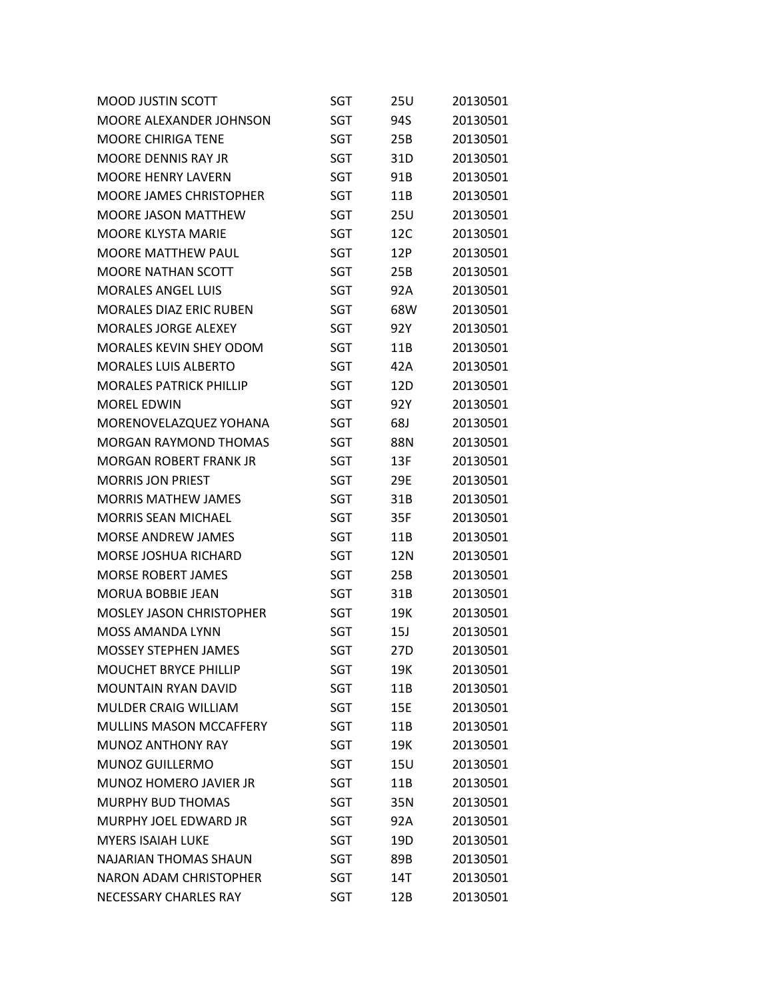| <b>MOOD JUSTIN SCOTT</b>        | SGT        | 25U             | 20130501 |
|---------------------------------|------------|-----------------|----------|
| MOORE ALEXANDER JOHNSON         | SGT        | 94S             | 20130501 |
| <b>MOORE CHIRIGA TENE</b>       | SGT        | 25B             | 20130501 |
| <b>MOORE DENNIS RAY JR</b>      | SGT        | 31D             | 20130501 |
| <b>MOORE HENRY LAVERN</b>       | <b>SGT</b> | 91B             | 20130501 |
| <b>MOORE JAMES CHRISTOPHER</b>  | SGT        | 11B             | 20130501 |
| <b>MOORE JASON MATTHEW</b>      | SGT        | 25U             | 20130501 |
| <b>MOORE KLYSTA MARIE</b>       | SGT        | 12C             | 20130501 |
| <b>MOORE MATTHEW PAUL</b>       | SGT        | 12P             | 20130501 |
| <b>MOORE NATHAN SCOTT</b>       | SGT        | 25B             | 20130501 |
| <b>MORALES ANGEL LUIS</b>       | SGT        | 92A             | 20130501 |
| <b>MORALES DIAZ ERIC RUBEN</b>  | SGT        | 68W             | 20130501 |
| <b>MORALES JORGE ALEXEY</b>     | SGT        | 92Y             | 20130501 |
| <b>MORALES KEVIN SHEY ODOM</b>  | SGT        | 11 <sub>B</sub> | 20130501 |
| <b>MORALES LUIS ALBERTO</b>     | SGT        | 42A             | 20130501 |
| <b>MORALES PATRICK PHILLIP</b>  | SGT        | 12D             | 20130501 |
| <b>MOREL EDWIN</b>              | <b>SGT</b> | 92Y             | 20130501 |
| MORENOVELAZQUEZ YOHANA          | SGT        | 68J             | 20130501 |
| <b>MORGAN RAYMOND THOMAS</b>    | SGT        | 88N             | 20130501 |
| <b>MORGAN ROBERT FRANK JR</b>   | SGT        | 13F             | 20130501 |
| <b>MORRIS JON PRIEST</b>        | SGT        | 29E             | 20130501 |
| <b>MORRIS MATHEW JAMES</b>      | SGT        | 31B             | 20130501 |
| <b>MORRIS SEAN MICHAEL</b>      | SGT        | 35F             | 20130501 |
| <b>MORSE ANDREW JAMES</b>       | SGT        | 11B             | 20130501 |
| <b>MORSE JOSHUA RICHARD</b>     | SGT        | 12N             | 20130501 |
| <b>MORSE ROBERT JAMES</b>       | SGT        | 25B             | 20130501 |
| <b>MORUA BOBBIE JEAN</b>        | SGT        | 31B             | 20130501 |
| <b>MOSLEY JASON CHRISTOPHER</b> | SGT        | 19K             | 20130501 |
| <b>MOSS AMANDA LYNN</b>         | SGT        | 15J             | 20130501 |
| <b>MOSSEY STEPHEN JAMES</b>     | <b>SGT</b> | 27D             | 20130501 |
| <b>MOUCHET BRYCE PHILLIP</b>    | SGT        | 19K             | 20130501 |
| MOUNTAIN RYAN DAVID             | SGT        | 11B             | 20130501 |
| <b>MULDER CRAIG WILLIAM</b>     | SGT        | 15E             | 20130501 |
| <b>MULLINS MASON MCCAFFERY</b>  | SGT        | 11B             | 20130501 |
| <b>MUNOZ ANTHONY RAY</b>        | SGT        | 19K             | 20130501 |
| <b>MUNOZ GUILLERMO</b>          | SGT        | <b>15U</b>      | 20130501 |
| MUNOZ HOMERO JAVIER JR          | SGT        | 11B             | 20130501 |
| <b>MURPHY BUD THOMAS</b>        | SGT        | 35N             | 20130501 |
| MURPHY JOEL EDWARD JR           | SGT        | 92A             | 20130501 |
| <b>MYERS ISAIAH LUKE</b>        | SGT        | 19D             | 20130501 |
| <b>NAJARIAN THOMAS SHAUN</b>    | SGT        | 89B             | 20130501 |
| <b>NARON ADAM CHRISTOPHER</b>   | SGT        | 14T             | 20130501 |
| NECESSARY CHARLES RAY           | SGT        | 12B             | 20130501 |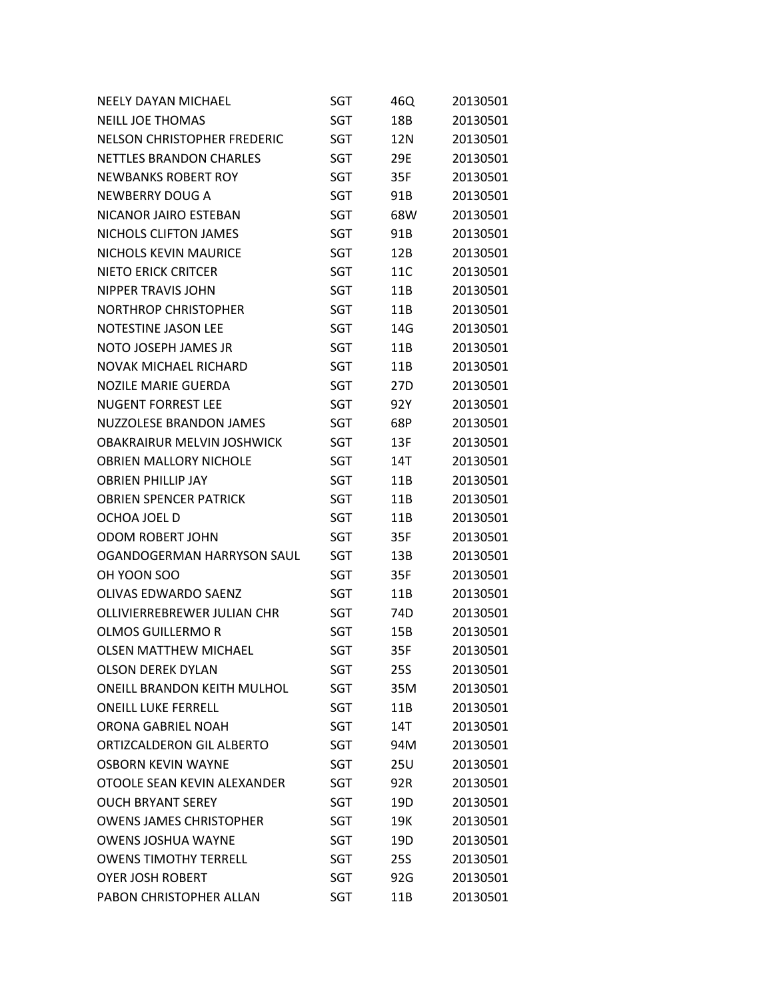| <b>NEELY DAYAN MICHAEL</b>         | SGT        | 46Q | 20130501 |
|------------------------------------|------------|-----|----------|
| <b>NEILL JOE THOMAS</b>            | <b>SGT</b> | 18B | 20130501 |
| <b>NELSON CHRISTOPHER FREDERIC</b> | <b>SGT</b> | 12N | 20130501 |
| NETTLES BRANDON CHARLES            | <b>SGT</b> | 29E | 20130501 |
| <b>NEWBANKS ROBERT ROY</b>         | SGT        | 35F | 20130501 |
| <b>NEWBERRY DOUG A</b>             | <b>SGT</b> | 91B | 20130501 |
| NICANOR JAIRO ESTEBAN              | <b>SGT</b> | 68W | 20130501 |
| NICHOLS CLIFTON JAMES              | <b>SGT</b> | 91B | 20130501 |
| <b>NICHOLS KEVIN MAURICE</b>       | SGT        | 12B | 20130501 |
| <b>NIETO ERICK CRITCER</b>         | <b>SGT</b> | 11C | 20130501 |
| <b>NIPPER TRAVIS JOHN</b>          | <b>SGT</b> | 11B | 20130501 |
| <b>NORTHROP CHRISTOPHER</b>        | <b>SGT</b> | 11B | 20130501 |
| NOTESTINE JASON LEE                | SGT        | 14G | 20130501 |
| NOTO JOSEPH JAMES JR               | <b>SGT</b> | 11B | 20130501 |
| <b>NOVAK MICHAEL RICHARD</b>       | <b>SGT</b> | 11B | 20130501 |
| <b>NOZILE MARIE GUERDA</b>         | <b>SGT</b> | 27D | 20130501 |
| <b>NUGENT FORREST LFF</b>          | SGT        | 92Y | 20130501 |
| <b>NUZZOLESE BRANDON JAMES</b>     | <b>SGT</b> | 68P | 20130501 |
| <b>OBAKRAIRUR MELVIN JOSHWICK</b>  | <b>SGT</b> | 13F | 20130501 |
| <b>OBRIEN MALLORY NICHOLE</b>      | <b>SGT</b> | 14T | 20130501 |
| <b>OBRIEN PHILLIP JAY</b>          | SGT        | 11B | 20130501 |
| <b>OBRIEN SPENCER PATRICK</b>      | <b>SGT</b> | 11B | 20130501 |
| OCHOA JOEL D                       | <b>SGT</b> | 11B | 20130501 |
| <b>ODOM ROBERT JOHN</b>            | <b>SGT</b> | 35F | 20130501 |
| OGANDOGERMAN HARRYSON SAUL         | SGT        | 13B | 20130501 |
| OH YOON SOO                        | <b>SGT</b> | 35F | 20130501 |
| OLIVAS EDWARDO SAENZ               | SGT        | 11B | 20130501 |
| OLLIVIERREBREWER JULIAN CHR        | SGT        | 74D | 20130501 |
| <b>OLMOS GUILLERMO R</b>           | SGT        | 15B | 20130501 |
| <b>OLSEN MATTHEW MICHAEL</b>       | <b>SGT</b> | 35F | 20130501 |
| <b>OLSON DEREK DYLAN</b>           | SGT        | 25S | 20130501 |
| <b>ONEILL BRANDON KEITH MULHOL</b> | SGT        | 35M | 20130501 |
| <b>ONEILL LUKE FERRELL</b>         | <b>SGT</b> | 11B | 20130501 |
| ORONA GABRIEL NOAH                 | SGT        | 14T | 20130501 |
| ORTIZCALDERON GIL ALBERTO          | SGT        | 94M | 20130501 |
| <b>OSBORN KEVIN WAYNE</b>          | SGT        | 25U | 20130501 |
| OTOOLE SEAN KEVIN ALEXANDER        | SGT        | 92R | 20130501 |
| <b>OUCH BRYANT SEREY</b>           | SGT        | 19D | 20130501 |
| <b>OWENS JAMES CHRISTOPHER</b>     | SGT        | 19K | 20130501 |
| <b>OWENS JOSHUA WAYNE</b>          | SGT        | 19D | 20130501 |
| <b>OWENS TIMOTHY TERRELL</b>       | SGT        | 25S | 20130501 |
| <b>OYER JOSH ROBERT</b>            | SGT        | 92G | 20130501 |
| PABON CHRISTOPHER ALLAN            | <b>SGT</b> | 11B | 20130501 |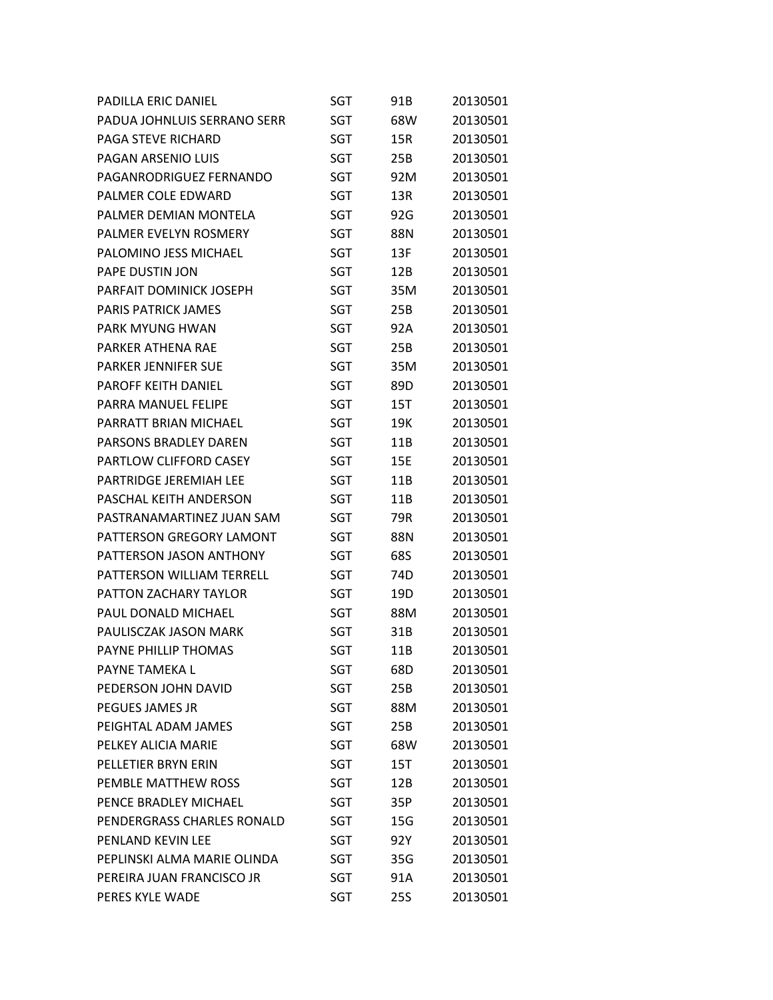| <b>PADILLA ERIC DANIEL</b>    | SGT        | 91B | 20130501 |
|-------------------------------|------------|-----|----------|
| PADUA JOHNLUIS SERRANO SERR   | SGT        | 68W | 20130501 |
| <b>PAGA STEVE RICHARD</b>     | SGT        | 15R | 20130501 |
| PAGAN ARSENIO LUIS            | <b>SGT</b> | 25B | 20130501 |
| PAGANRODRIGUEZ FERNANDO       | SGT        | 92M | 20130501 |
| PALMER COLE EDWARD            | SGT        | 13R | 20130501 |
| PALMER DEMIAN MONTELA         | SGT        | 92G | 20130501 |
| PALMER EVELYN ROSMERY         | <b>SGT</b> | 88N | 20130501 |
| PALOMINO JESS MICHAEL         | SGT        | 13F | 20130501 |
| PAPE DUSTIN JON               | SGT        | 12B | 20130501 |
| PARFAIT DOMINICK JOSEPH       | SGT        | 35M | 20130501 |
| PARIS PATRICK JAMES           | <b>SGT</b> | 25B | 20130501 |
| <b>PARK MYUNG HWAN</b>        | SGT        | 92A | 20130501 |
| PARKER ATHENA RAE             | <b>SGT</b> | 25B | 20130501 |
| <b>PARKER JENNIFER SUE</b>    | SGT        | 35M | 20130501 |
| PAROFF KEITH DANIEL           | <b>SGT</b> | 89D | 20130501 |
| PARRA MANUFL FFLIPF           | SGT        | 15T | 20130501 |
| PARRATT BRIAN MICHAEL         | SGT        | 19K | 20130501 |
| PARSONS BRADLEY DAREN         | <b>SGT</b> | 11B | 20130501 |
| PARTLOW CLIFFORD CASEY        | SGT        | 15E | 20130501 |
| <b>PARTRIDGE JEREMIAH LEE</b> | SGT        | 11B | 20130501 |
| PASCHAL KEITH ANDERSON        | SGT        | 11B | 20130501 |
| PASTRANAMARTINEZ JUAN SAM     | SGT        | 79R | 20130501 |
| PATTERSON GREGORY LAMONT      | SGT        | 88N | 20130501 |
| PATTERSON JASON ANTHONY       | SGT        | 68S | 20130501 |
| PATTERSON WILLIAM TERRELL     | SGT        | 74D | 20130501 |
| PATTON ZACHARY TAYLOR         | SGT        | 19D | 20130501 |
| PAUL DONALD MICHAEL           | SGT        | 88M | 20130501 |
| PAULISCZAK JASON MARK         | SGT        | 31B | 20130501 |
| PAYNE PHILLIP THOMAS          | <b>SGT</b> | 11B | 20130501 |
| PAYNE TAMEKA L                | SGT        | 68D | 20130501 |
| PEDERSON JOHN DAVID           | SGT        | 25B | 20130501 |
| PEGUES JAMES JR               | SGT        | 88M | 20130501 |
| PEIGHTAL ADAM JAMES           | SGT        | 25B | 20130501 |
| PELKEY ALICIA MARIE           | SGT        | 68W | 20130501 |
| PELLETIER BRYN ERIN           | SGT        | 15T | 20130501 |
| PEMBLE MATTHEW ROSS           | SGT        | 12B | 20130501 |
| PENCE BRADLEY MICHAEL         | SGT        | 35P | 20130501 |
| PENDERGRASS CHARLES RONALD    | SGT        | 15G | 20130501 |
| PENLAND KEVIN LEE             | SGT        | 92Y | 20130501 |
| PEPLINSKI ALMA MARIE OLINDA   | SGT        | 35G | 20130501 |
| PEREIRA JUAN FRANCISCO JR     | SGT        | 91A | 20130501 |
| PERES KYLE WADE               | SGT        | 25S | 20130501 |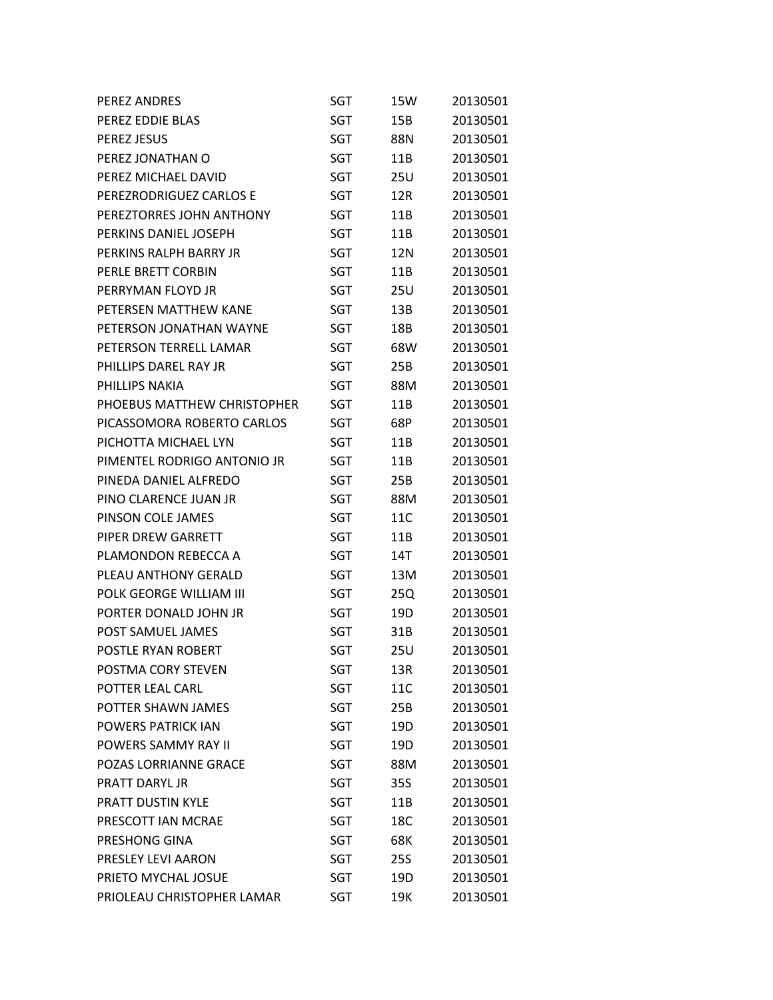| <b>PEREZ ANDRES</b>          | SGT        | 15W        | 20130501 |
|------------------------------|------------|------------|----------|
| PEREZ EDDIE BLAS             | SGT        | 15B        | 20130501 |
| <b>PEREZ JESUS</b>           | SGT        | 88N        | 20130501 |
| PEREZ JONATHAN O             | SGT        | 11B        | 20130501 |
| PEREZ MICHAEL DAVID          | SGT        | 25U        | 20130501 |
| PEREZRODRIGUEZ CARLOS E      | SGT        | 12R        | 20130501 |
| PEREZTORRES JOHN ANTHONY     | SGT        | 11B        | 20130501 |
| PERKINS DANIEL JOSEPH        | SGT        | 11B        | 20130501 |
| PERKINS RALPH BARRY JR       | SGT        | 12N        | 20130501 |
| PERLE BRETT CORBIN           | SGT        | 11B        | 20130501 |
| PERRYMAN FLOYD JR            | SGT        | <b>25U</b> | 20130501 |
| PETERSEN MATTHEW KANE        | SGT        | 13B        | 20130501 |
| PETERSON JONATHAN WAYNE      | SGT        | 18B        | 20130501 |
| PETERSON TERRELL LAMAR       | SGT        | 68W        | 20130501 |
| PHILLIPS DAREL RAY JR        | SGT        | 25B        | 20130501 |
| PHILLIPS NAKIA               | SGT        | 88M        | 20130501 |
| PHOEBUS MATTHEW CHRISTOPHER  | SGT        | 11B        | 20130501 |
| PICASSOMORA ROBERTO CARLOS   | SGT        | 68P        | 20130501 |
| PICHOTTA MICHAEL LYN         | SGT        | 11B        | 20130501 |
| PIMENTEL RODRIGO ANTONIO JR  | SGT        | 11B        | 20130501 |
| PINEDA DANIEL ALFREDO        | SGT        | 25B        | 20130501 |
| PINO CLARENCE JUAN JR        | SGT        | 88M        | 20130501 |
| PINSON COLE JAMES            | SGT        | 11C        | 20130501 |
| PIPER DREW GARRETT           | SGT        | 11B        | 20130501 |
| PLAMONDON REBECCA A          | SGT        | 14T        | 20130501 |
| PLEAU ANTHONY GERALD         | SGT        | 13M        | 20130501 |
| POLK GEORGE WILLIAM III      | SGT        | 25Q        | 20130501 |
| PORTER DONALD JOHN JR        | SGT        | 19D        | 20130501 |
| POST SAMUEL JAMES            | SGT        | 31B        | 20130501 |
| POSTLE RYAN ROBERT           | SGT        | 25U        | 20130501 |
| POSTMA CORY STEVEN           | SGT        | 13R        | 20130501 |
| POTTER LEAL CARL             | SGT        | 11C        | 20130501 |
| POTTER SHAWN JAMES           | SGT        | 25B        | 20130501 |
| <b>POWERS PATRICK IAN</b>    | SGT        | 19D        | 20130501 |
| <b>POWERS SAMMY RAY II</b>   | <b>SGT</b> | 19D        | 20130501 |
| <b>POZAS LORRIANNE GRACE</b> | SGT        | 88M        | 20130501 |
| <b>PRATT DARYL IR</b>        | SGT        | 35S        | 20130501 |
| PRATT DUSTIN KYLE            | SGT        | 11B        | 20130501 |
| PRESCOTT IAN MCRAE           | <b>SGT</b> | 18C        | 20130501 |
| PRESHONG GINA                | SGT        | 68K        | 20130501 |
| PRESLEY LEVI AARON           | SGT        | <b>25S</b> | 20130501 |
| PRIETO MYCHAL JOSUE          | SGT        | 19D        | 20130501 |
| PRIOLEAU CHRISTOPHER LAMAR   | <b>SGT</b> | 19K        | 20130501 |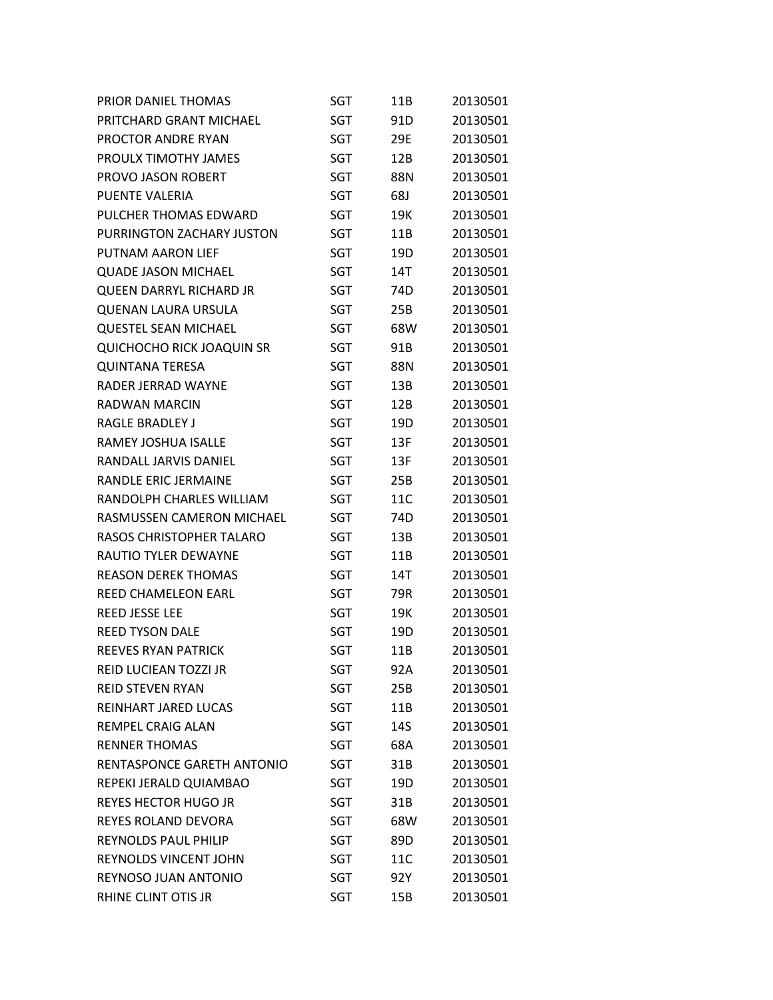| PRIOR DANIEL THOMAS              | SGT        | 11B             | 20130501 |
|----------------------------------|------------|-----------------|----------|
| PRITCHARD GRANT MICHAEL          | SGT        | 91D             | 20130501 |
| PROCTOR ANDRE RYAN               | SGT        | 29E             | 20130501 |
| PROULX TIMOTHY JAMES             | SGT        | 12B             | 20130501 |
| PROVO JASON ROBERT               | SGT        | 88N             | 20130501 |
| PUENTE VALERIA                   | SGT        | 68J             | 20130501 |
| PULCHER THOMAS EDWARD            | SGT        | 19K             | 20130501 |
| PURRINGTON ZACHARY JUSTON        | SGT        | 11B             | 20130501 |
| <b>PUTNAM AARON LIEF</b>         | SGT        | 19 <sub>D</sub> | 20130501 |
| <b>QUADE JASON MICHAEL</b>       | SGT        | 14T             | 20130501 |
| <b>QUEEN DARRYL RICHARD JR</b>   | SGT        | 74D             | 20130501 |
| <b>QUENAN LAURA URSULA</b>       | SGT        | 25B             | 20130501 |
| <b>QUESTEL SEAN MICHAEL</b>      | SGT        | 68W             | 20130501 |
| <b>QUICHOCHO RICK JOAQUIN SR</b> | SGT        | 91B             | 20130501 |
| <b>QUINTANA TERESA</b>           | SGT        | 88N             | 20130501 |
| RADER JERRAD WAYNE               | SGT        | 13B             | 20130501 |
| RADWAN MARCIN                    | SGT        | 12B             | 20130501 |
| <b>RAGLE BRADLEY J</b>           | SGT        | 19D             | 20130501 |
| <b>RAMEY JOSHUA ISALLE</b>       | SGT        | 13F             | 20130501 |
| RANDALL JARVIS DANIEL            | SGT        | 13F             | 20130501 |
| <b>RANDLE ERIC JERMAINE</b>      | SGT        | 25B             | 20130501 |
| RANDOLPH CHARLES WILLIAM         | SGT        | 11C             | 20130501 |
| RASMUSSEN CAMERON MICHAEL        | SGT        | 74D             | 20130501 |
| RASOS CHRISTOPHER TALARO         | SGT        | 13B             | 20130501 |
| <b>RAUTIO TYLER DEWAYNE</b>      | SGT        | 11B             | 20130501 |
| <b>REASON DEREK THOMAS</b>       | SGT        | 14T             | 20130501 |
| <b>REED CHAMELEON EARL</b>       | SGT        | 79R             | 20130501 |
| <b>REED JESSE LEE</b>            | SGT        | 19K             | 20130501 |
| <b>REED TYSON DALE</b>           | SGT        | 19D             | 20130501 |
| <b>REEVES RYAN PATRICK</b>       | <b>SGT</b> | 11B             | 20130501 |
| REID LUCIEAN TOZZI JR            | SGT        | 92A             | 20130501 |
| <b>REID STEVEN RYAN</b>          | SGT        | 25B             | 20130501 |
| REINHART JARED LUCAS             | SGT        | 11B             | 20130501 |
| REMPEL CRAIG ALAN                | SGT        | 14S             | 20130501 |
| <b>RENNER THOMAS</b>             | SGT        | 68A             | 20130501 |
| RENTASPONCE GARETH ANTONIO       | <b>SGT</b> | 31B             | 20130501 |
| REPEKI JERALD QUIAMBAO           | SGT        | 19D             | 20130501 |
| <b>REYES HECTOR HUGO JR</b>      | SGT        | 31B             | 20130501 |
| REYES ROLAND DEVORA              | SGT        | 68W             | 20130501 |
| <b>REYNOLDS PAUL PHILIP</b>      | SGT        | 89D             | 20130501 |
| REYNOLDS VINCENT JOHN            | SGT        | 11C             | 20130501 |
| REYNOSO JUAN ANTONIO             | SGT        | 92Y             | 20130501 |
| RHINE CLINT OTIS JR              | SGT        | 15B             | 20130501 |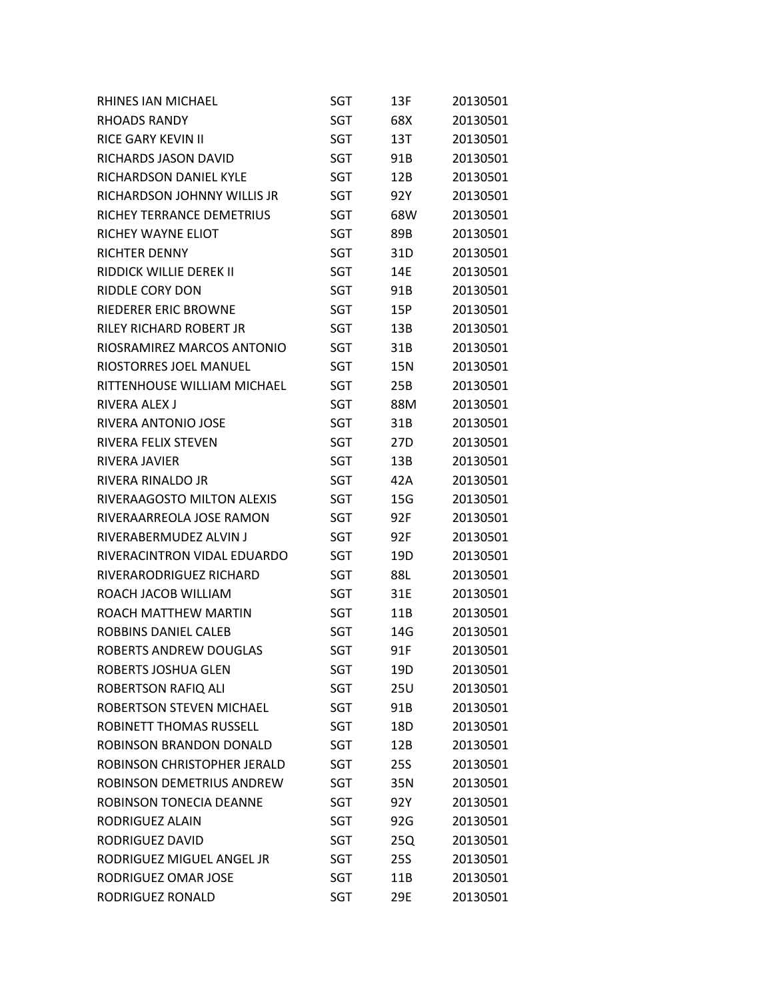| RHINES IAN MICHAEL               | SGT        | 13F             | 20130501 |
|----------------------------------|------------|-----------------|----------|
| <b>RHOADS RANDY</b>              | SGT        | 68X             | 20130501 |
| <b>RICE GARY KEVIN II</b>        | SGT        | 13T             | 20130501 |
| RICHARDS JASON DAVID             | SGT        | 91B             | 20130501 |
| RICHARDSON DANIEL KYLE           | SGT        | 12B             | 20130501 |
| RICHARDSON JOHNNY WILLIS JR      | SGT        | 92Y             | 20130501 |
| RICHEY TERRANCE DEMETRIUS        | SGT        | 68W             | 20130501 |
| RICHEY WAYNE ELIOT               | SGT        | 89B             | 20130501 |
| RICHTER DENNY                    | <b>SGT</b> | 31D             | 20130501 |
| RIDDICK WILLIE DEREK II          | SGT        | 14E             | 20130501 |
| <b>RIDDLE CORY DON</b>           | SGT        | 91B             | 20130501 |
| RIEDERER ERIC BROWNE             | SGT        | 15P             | 20130501 |
| RILEY RICHARD ROBERT JR          | SGT        | 13B             | 20130501 |
| RIOSRAMIREZ MARCOS ANTONIO       | SGT        | 31B             | 20130501 |
| <b>RIOSTORRES JOEL MANUEL</b>    | SGT        | 15N             | 20130501 |
| RITTENHOUSE WILLIAM MICHAEL      | SGT        | 25B             | 20130501 |
| <b>RIVERA ALEX J</b>             | SGT        | 88M             | 20130501 |
| RIVERA ANTONIO JOSE              | SGT        | 31B             | 20130501 |
| RIVERA FELIX STEVEN              | SGT        | 27 <sub>D</sub> | 20130501 |
| RIVERA JAVIER                    | SGT        | 13B             | 20130501 |
| RIVERA RINALDO JR                | SGT        | 42A             | 20130501 |
| RIVERAAGOSTO MILTON ALEXIS       | SGT        | 15G             | 20130501 |
| RIVERAARREOLA JOSE RAMON         | SGT        | 92F             | 20130501 |
| RIVERABERMUDEZ ALVIN J           | SGT        | 92F             | 20130501 |
| RIVERACINTRON VIDAL EDUARDO      | SGT        | 19D             | 20130501 |
| RIVERARODRIGUEZ RICHARD          | SGT        | 88L             | 20130501 |
| ROACH JACOB WILLIAM              | SGT        | 31E             | 20130501 |
| ROACH MATTHEW MARTIN             | SGT        | 11B             | 20130501 |
| ROBBINS DANIEL CALEB             | <b>SGT</b> | 14G             | 20130501 |
| ROBERTS ANDREW DOUGLAS           | <b>SGT</b> | 91F             | 20130501 |
| ROBERTS JOSHUA GLEN              | SGT        | 19D             | 20130501 |
| ROBERTSON RAFIQ ALI              | SGT        | <b>25U</b>      | 20130501 |
| ROBERTSON STEVEN MICHAEL         | SGT        | 91B             | 20130501 |
| ROBINETT THOMAS RUSSELL          | SGT        | 18D             | 20130501 |
| ROBINSON BRANDON DONALD          | SGT        | 12B             | 20130501 |
| ROBINSON CHRISTOPHER JERALD      | SGT        | <b>25S</b>      | 20130501 |
| <b>ROBINSON DEMETRIUS ANDREW</b> | SGT        | 35N             | 20130501 |
| <b>ROBINSON TONECIA DEANNE</b>   | SGT        | 92Y             | 20130501 |
| <b>RODRIGUEZ ALAIN</b>           | <b>SGT</b> | 92G             | 20130501 |
| RODRIGUEZ DAVID                  | SGT        | 25Q             | 20130501 |
| RODRIGUEZ MIGUEL ANGEL JR        | SGT        | <b>25S</b>      | 20130501 |
| RODRIGUEZ OMAR JOSE              | SGT        | 11B             | 20130501 |
| RODRIGUEZ RONALD                 | SGT        | 29E             | 20130501 |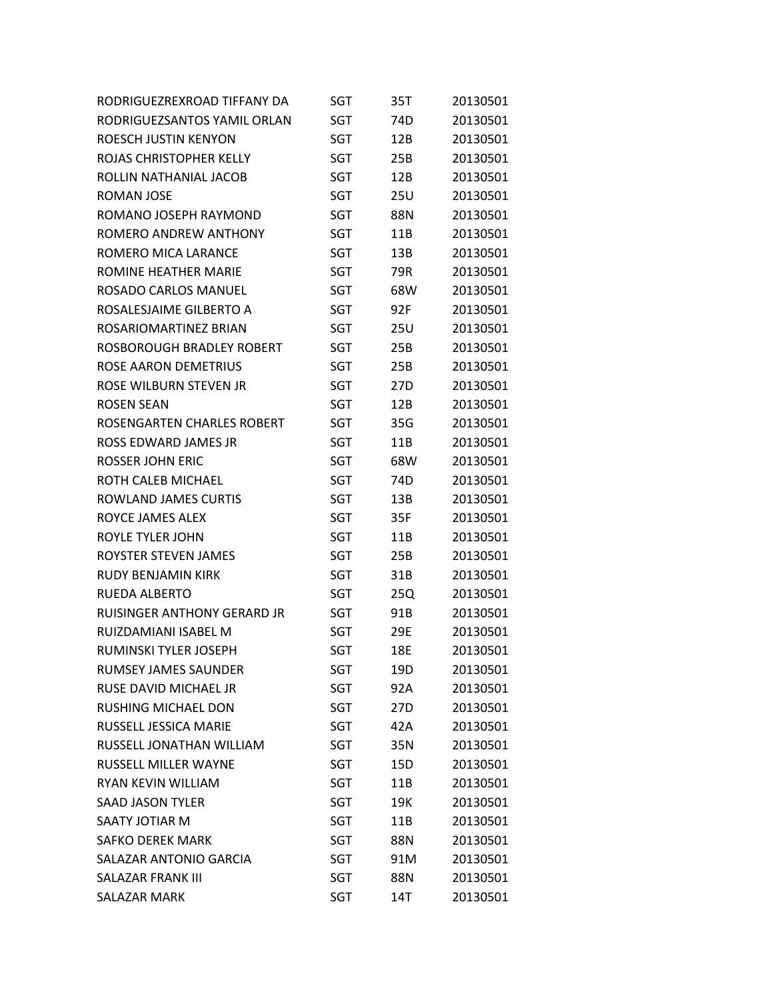| RODRIGUEZREXROAD TIFFANY DA        | SGT        | 35T | 20130501 |
|------------------------------------|------------|-----|----------|
| RODRIGUEZSANTOS YAMIL ORLAN        | SGT        | 74D | 20130501 |
| ROESCH JUSTIN KENYON               | <b>SGT</b> | 12B | 20130501 |
| ROJAS CHRISTOPHER KELLY            | SGT        | 25B | 20130501 |
| ROLLIN NATHANIAL JACOB             | SGT        | 12B | 20130501 |
| ROMAN JOSE                         | <b>SGT</b> | 25U | 20130501 |
| ROMANO JOSEPH RAYMOND              | SGT        | 88N | 20130501 |
| ROMERO ANDREW ANTHONY              | SGT        | 11B | 20130501 |
| ROMERO MICA LARANCE                | SGT        | 13B | 20130501 |
| ROMINE HEATHER MARIE               | <b>SGT</b> | 79R | 20130501 |
| ROSADO CARLOS MANUEL               | SGT        | 68W | 20130501 |
| ROSALESJAIME GILBERTO A            | SGT        | 92F | 20130501 |
| ROSARIOMARTINEZ BRIAN              | SGT        | 25U | 20130501 |
| ROSBOROUGH BRADLEY ROBERT          | <b>SGT</b> | 25B | 20130501 |
| <b>ROSE AARON DEMETRIUS</b>        | SGT        | 25B | 20130501 |
| ROSE WILBURN STEVEN JR             | <b>SGT</b> | 27D | 20130501 |
| <b>ROSEN SEAN</b>                  | SGT        | 12B | 20130501 |
| ROSENGARTEN CHARLES ROBERT         | <b>SGT</b> | 35G | 20130501 |
| <b>ROSS EDWARD JAMES JR</b>        | SGT        | 11B | 20130501 |
| <b>ROSSER JOHN ERIC</b>            | SGT        | 68W | 20130501 |
| ROTH CALEB MICHAEL                 | SGT        | 74D | 20130501 |
| ROWLAND JAMES CURTIS               | SGT        | 13B | 20130501 |
| ROYCE JAMES ALEX                   | <b>SGT</b> | 35F | 20130501 |
| ROYLE TYLER JOHN                   | SGT        | 11B | 20130501 |
| ROYSTER STEVEN JAMES               | SGT        | 25B | 20130501 |
| <b>RUDY BENJAMIN KIRK</b>          | <b>SGT</b> | 31B | 20130501 |
| <b>RUEDA ALBERTO</b>               | SGT        | 25Q | 20130501 |
| <b>RUISINGER ANTHONY GERARD JR</b> | SGT        | 91B | 20130501 |
| RUIZDAMIANI ISABFL M               | SGT        | 29E | 20130501 |
| RUMINSKI TYLER JOSEPH              | <b>SGT</b> | 18E | 20130501 |
| <b>RUMSEY JAMES SAUNDER</b>        | SGT        | 19D | 20130501 |
| RUSE DAVID MICHAEL JR              | SGT        | 92A | 20130501 |
| RUSHING MICHAEL DON                | SGT        | 27D | 20130501 |
| RUSSELL JESSICA MARIE              | <b>SGT</b> | 42A | 20130501 |
| RUSSELL JONATHAN WILLIAM           | <b>SGT</b> | 35N | 20130501 |
| <b>RUSSELL MILLER WAYNE</b>        | <b>SGT</b> | 15D | 20130501 |
| RYAN KEVIN WILLIAM                 | SGT        | 11B | 20130501 |
| <b>SAAD JASON TYLER</b>            | <b>SGT</b> | 19K | 20130501 |
| SAATY JOTIAR M                     | <b>SGT</b> | 11B | 20130501 |
| <b>SAFKO DEREK MARK</b>            | SGT        | 88N | 20130501 |
| SALAZAR ANTONIO GARCIA             | <b>SGT</b> | 91M | 20130501 |
| <b>SALAZAR FRANK III</b>           | <b>SGT</b> | 88N | 20130501 |
| <b>SALAZAR MARK</b>                | SGT        | 14T | 20130501 |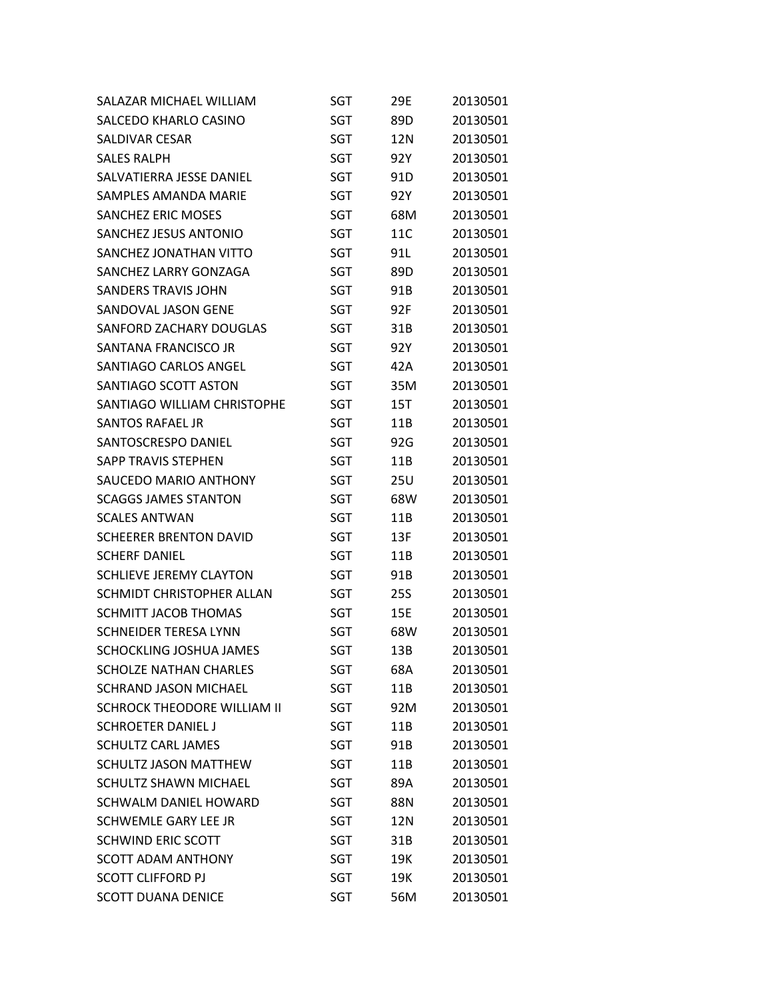| SALAZAR MICHAEL WILLIAM            | SGT        | 29E | 20130501 |
|------------------------------------|------------|-----|----------|
| SALCEDO KHARLO CASINO              | <b>SGT</b> | 89D | 20130501 |
| <b>SALDIVAR CESAR</b>              | SGT        | 12N | 20130501 |
| <b>SALES RALPH</b>                 | <b>SGT</b> | 92Y | 20130501 |
| SALVATIERRA JESSE DANIEL           | SGT        | 91D | 20130501 |
| <b>SAMPLES AMANDA MARIE</b>        | <b>SGT</b> | 92Y | 20130501 |
| <b>SANCHEZ ERIC MOSES</b>          | SGT        | 68M | 20130501 |
| SANCHEZ JESUS ANTONIO              | <b>SGT</b> | 11C | 20130501 |
| SANCHEZ JONATHAN VITTO             | SGT        | 91L | 20130501 |
| SANCHEZ LARRY GONZAGA              | <b>SGT</b> | 89D | 20130501 |
| <b>SANDERS TRAVIS JOHN</b>         | SGT        | 91B | 20130501 |
| SANDOVAL JASON GENE                | <b>SGT</b> | 92F | 20130501 |
| SANFORD ZACHARY DOUGLAS            | SGT        | 31B | 20130501 |
| SANTANA FRANCISCO JR               | <b>SGT</b> | 92Y | 20130501 |
| SANTIAGO CARLOS ANGEL              | SGT        | 42A | 20130501 |
| SANTIAGO SCOTT ASTON               | SGT        | 35M | 20130501 |
| SANTIAGO WILLIAM CHRISTOPHE        | SGT        | 15T | 20130501 |
| <b>SANTOS RAFAEL JR</b>            | <b>SGT</b> | 11B | 20130501 |
| SANTOSCRESPO DANIEL                | <b>SGT</b> | 92G | 20130501 |
| SAPP TRAVIS STEPHEN                | SGT        | 11B | 20130501 |
| <b>SAUCEDO MARIO ANTHONY</b>       | SGT        | 25U | 20130501 |
| <b>SCAGGS JAMES STANTON</b>        | <b>SGT</b> | 68W | 20130501 |
| <b>SCALES ANTWAN</b>               | SGT        | 11B | 20130501 |
| <b>SCHEERER BRENTON DAVID</b>      | SGT        | 13F | 20130501 |
| <b>SCHERF DANIEL</b>               | SGT        | 11B | 20130501 |
| SCHLIEVE JEREMY CLAYTON            | SGT        | 91B | 20130501 |
| SCHMIDT CHRISTOPHER ALLAN          | SGT        | 25S | 20130501 |
| <b>SCHMITT JACOB THOMAS</b>        | SGT        | 15E | 20130501 |
| <b>SCHNEIDER TERESA LYNN</b>       | SGT        | 68W | 20130501 |
| SCHOCKLING JOSHUA JAMES            | <b>SGT</b> | 13B | 20130501 |
| <b>SCHOLZE NATHAN CHARLES</b>      | SGT        | 68A | 20130501 |
| <b>SCHRAND JASON MICHAEL</b>       | SGT        | 11B | 20130501 |
| <b>SCHROCK THEODORE WILLIAM II</b> | SGT        | 92M | 20130501 |
| <b>SCHROETER DANIEL J</b>          | SGT        | 11B | 20130501 |
| <b>SCHULTZ CARL JAMES</b>          | SGT        | 91B | 20130501 |
| SCHULTZ JASON MATTHEW              | SGT        | 11B | 20130501 |
| <b>SCHULTZ SHAWN MICHAEL</b>       | SGT        | 89A | 20130501 |
| <b>SCHWALM DANIEL HOWARD</b>       | SGT        | 88N | 20130501 |
| SCHWEMLE GARY LEE JR               | SGT        | 12N | 20130501 |
| <b>SCHWIND ERIC SCOTT</b>          | SGT        | 31B | 20130501 |
| <b>SCOTT ADAM ANTHONY</b>          | <b>SGT</b> | 19K | 20130501 |
| <b>SCOTT CLIFFORD PJ</b>           | SGT        | 19K | 20130501 |
| <b>SCOTT DUANA DENICE</b>          | <b>SGT</b> | 56M | 20130501 |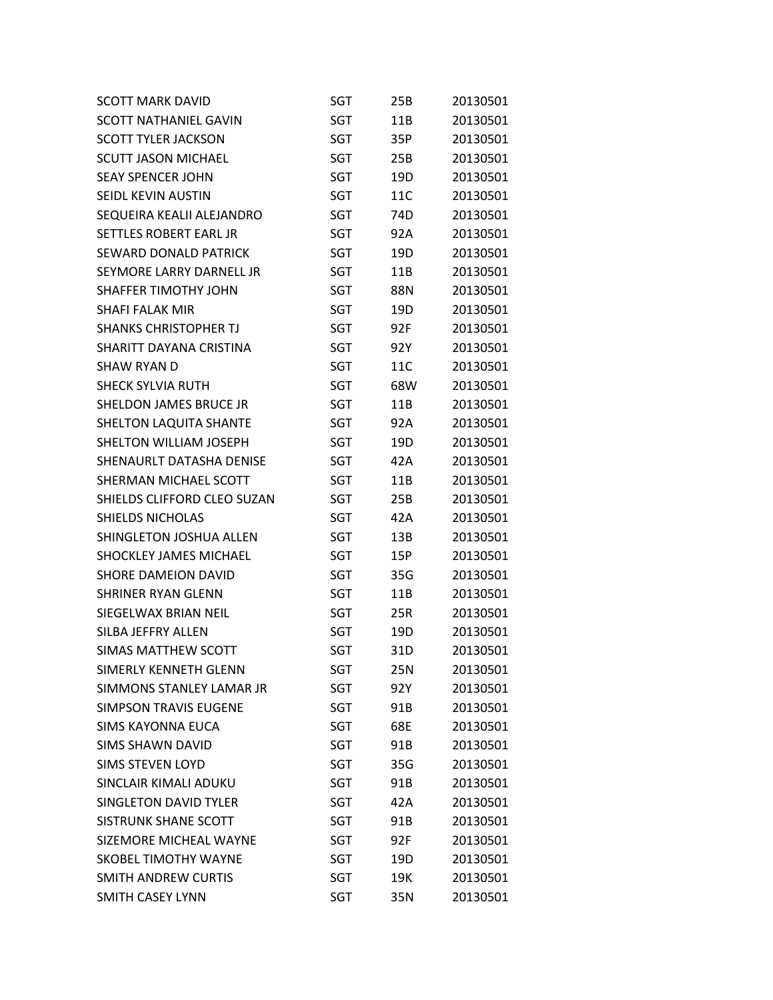| <b>SCOTT MARK DAVID</b>       | SGT        | 25B | 20130501 |
|-------------------------------|------------|-----|----------|
| <b>SCOTT NATHANIEL GAVIN</b>  | SGT        | 11B | 20130501 |
| <b>SCOTT TYLER JACKSON</b>    | SGT        | 35P | 20130501 |
| <b>SCUTT JASON MICHAEL</b>    | <b>SGT</b> | 25B | 20130501 |
| <b>SEAY SPENCER JOHN</b>      | SGT        | 19D | 20130501 |
| SEIDL KEVIN AUSTIN            | SGT        | 11C | 20130501 |
| SEQUEIRA KEALII ALEJANDRO     | SGT        | 74D | 20130501 |
| SETTLES ROBERT EARL JR        | SGT        | 92A | 20130501 |
| SEWARD DONALD PATRICK         | SGT        | 19D | 20130501 |
| SEYMORE LARRY DARNELL JR      | SGT        | 11B | 20130501 |
| <b>SHAFFER TIMOTHY JOHN</b>   | SGT        | 88N | 20130501 |
| SHAFI FALAK MIR               | SGT        | 19D | 20130501 |
| <b>SHANKS CHRISTOPHER TJ</b>  | SGT        | 92F | 20130501 |
| SHARITT DAYANA CRISTINA       | <b>SGT</b> | 92Y | 20130501 |
| SHAW RYAN D                   | SGT        | 11C | 20130501 |
| <b>SHECK SYLVIA RUTH</b>      | <b>SGT</b> | 68W | 20130501 |
| SHELDON JAMES BRUCE JR        | SGT        | 11B | 20130501 |
| SHELTON LAQUITA SHANTE        | SGT        | 92A | 20130501 |
| <b>SHELTON WILLIAM JOSEPH</b> | SGT        | 19D | 20130501 |
| SHENAURLT DATASHA DENISE      | SGT        | 42A | 20130501 |
| SHERMAN MICHAEL SCOTT         | SGT        | 11B | 20130501 |
| SHIELDS CLIFFORD CLEO SUZAN   | SGT        | 25B | 20130501 |
| <b>SHIELDS NICHOLAS</b>       | SGT        | 42A | 20130501 |
| SHINGLETON JOSHUA ALLEN       | SGT        | 13B | 20130501 |
| <b>SHOCKLEY JAMES MICHAEL</b> | SGT        | 15P | 20130501 |
| <b>SHORE DAMEION DAVID</b>    | SGT        | 35G | 20130501 |
| <b>SHRINER RYAN GLENN</b>     | SGT        | 11B | 20130501 |
| SIEGELWAX BRIAN NEIL          | SGT        | 25R | 20130501 |
| SILBA JEFFRY ALLEN            | SGT        | 19D | 20130501 |
| <b>SIMAS MATTHEW SCOTT</b>    | <b>SGT</b> | 31D | 20130501 |
| SIMERLY KENNETH GLENN         | SGT        | 25N | 20130501 |
| SIMMONS STANLEY LAMAR JR      | <b>SGT</b> | 92Y | 20130501 |
| <b>SIMPSON TRAVIS EUGENE</b>  | SGT        | 91B | 20130501 |
| SIMS KAYONNA EUCA             | SGT        | 68E | 20130501 |
| <b>SIMS SHAWN DAVID</b>       | SGT        | 91B | 20130501 |
| <b>SIMS STEVEN LOYD</b>       | SGT        | 35G | 20130501 |
| SINCLAIR KIMALI ADUKU         | SGT        | 91B | 20130501 |
| <b>SINGLETON DAVID TYLER</b>  | SGT        | 42A | 20130501 |
| SISTRUNK SHANE SCOTT          | SGT        | 91B | 20130501 |
| SIZEMORE MICHEAL WAYNE        | SGT        | 92F | 20130501 |
| <b>SKOBEL TIMOTHY WAYNE</b>   | SGT        | 19D | 20130501 |
| SMITH ANDREW CURTIS           | SGT        | 19K | 20130501 |
| <b>SMITH CASEY LYNN</b>       | <b>SGT</b> | 35N | 20130501 |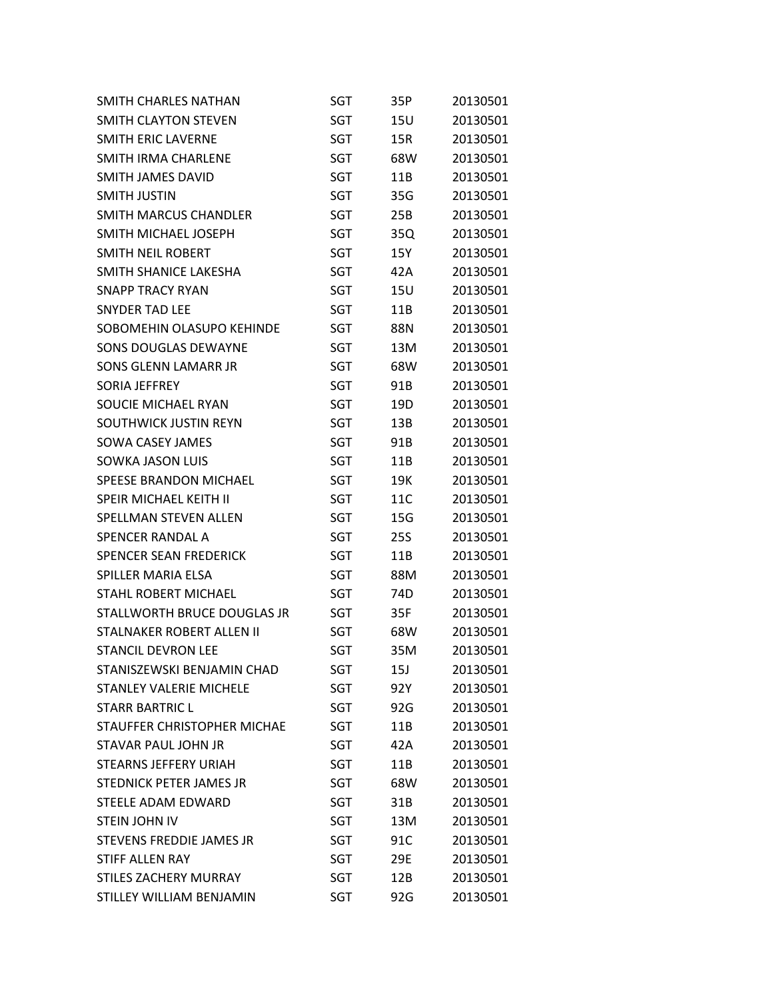| SMITH CHARLES NATHAN           | SGT        | 35P        | 20130501 |
|--------------------------------|------------|------------|----------|
| SMITH CLAYTON STEVEN           | <b>SGT</b> | 15U        | 20130501 |
| <b>SMITH ERIC LAVERNE</b>      | <b>SGT</b> | 15R        | 20130501 |
| <b>SMITH IRMA CHARLENE</b>     | <b>SGT</b> | 68W        | 20130501 |
| <b>SMITH JAMES DAVID</b>       | SGT        | 11B        | 20130501 |
| <b>SMITH JUSTIN</b>            | <b>SGT</b> | 35G        | 20130501 |
| <b>SMITH MARCUS CHANDLER</b>   | SGT        | 25B        | 20130501 |
| SMITH MICHAEL JOSEPH           | <b>SGT</b> | 35Q        | 20130501 |
| SMITH NEIL ROBERT              | SGT        | 15Y        | 20130501 |
| SMITH SHANICE LAKESHA          | <b>SGT</b> | 42A        | 20130501 |
| <b>SNAPP TRACY RYAN</b>        | SGT        | <b>15U</b> | 20130501 |
| <b>SNYDER TAD LEE</b>          | <b>SGT</b> | 11B        | 20130501 |
| SOBOMEHIN OLASUPO KEHINDE      | SGT        | 88N        | 20130501 |
| <b>SONS DOUGLAS DEWAYNE</b>    | <b>SGT</b> | 13M        | 20130501 |
| <b>SONS GLENN LAMARR JR</b>    | <b>SGT</b> | 68W        | 20130501 |
| <b>SORIA JEFFREY</b>           | <b>SGT</b> | 91B        | 20130501 |
| SOUCIE MICHAEL RYAN            | SGT        | 19D        | 20130501 |
| SOUTHWICK JUSTIN REYN          | <b>SGT</b> | 13B        | 20130501 |
| <b>SOWA CASEY JAMES</b>        | <b>SGT</b> | 91B        | 20130501 |
| <b>SOWKA JASON LUIS</b>        | <b>SGT</b> | 11B        | 20130501 |
| <b>SPEESE BRANDON MICHAEL</b>  | SGT        | 19K        | 20130501 |
| <b>SPEIR MICHAEL KEITH II</b>  | SGT        | 11C        | 20130501 |
| SPELLMAN STEVEN ALLEN          | SGT        | 15G        | 20130501 |
| <b>SPENCER RANDAL A</b>        | <b>SGT</b> | 25S        | 20130501 |
| <b>SPENCER SEAN FREDERICK</b>  | SGT        | 11B        | 20130501 |
| SPILLER MARIA ELSA             | <b>SGT</b> | 88M        | 20130501 |
| <b>STAHL ROBERT MICHAEL</b>    | SGT        | 74D        | 20130501 |
| STALLWORTH BRUCE DOUGLAS JR    | <b>SGT</b> | 35F        | 20130501 |
| STALNAKER ROBERT ALLEN II      | SGT        | 68W        | 20130501 |
| <b>STANCIL DEVRON LEE</b>      | <b>SGT</b> | 35M        | 20130501 |
| STANISZEWSKI BENJAMIN CHAD     | SGT        | 15J        | 20130501 |
| <b>STANLEY VALERIE MICHELE</b> | SGT        | 92Y        | 20130501 |
| <b>STARR BARTRIC L</b>         | SGT        | 92G        | 20130501 |
| STAUFFER CHRISTOPHER MICHAE    | SGT        | 11B        | 20130501 |
| STAVAR PAUL JOHN JR            | SGT        | 42A        | 20130501 |
| <b>STEARNS JEFFERY URIAH</b>   | SGT        | 11B        | 20130501 |
| STEDNICK PETER JAMES JR        | SGT        | 68W        | 20130501 |
| STEELE ADAM EDWARD             | SGT        | 31B        | 20130501 |
| <b>STEIN JOHN IV</b>           | SGT        | 13M        | 20130501 |
| STEVENS FREDDIE JAMES JR       | SGT        | 91C        | 20130501 |
| <b>STIFF ALLEN RAY</b>         | SGT        | 29E        | 20130501 |
| <b>STILES ZACHERY MURRAY</b>   | SGT        | 12B        | 20130501 |
| STILLEY WILLIAM BENJAMIN       | SGT        | 92G        | 20130501 |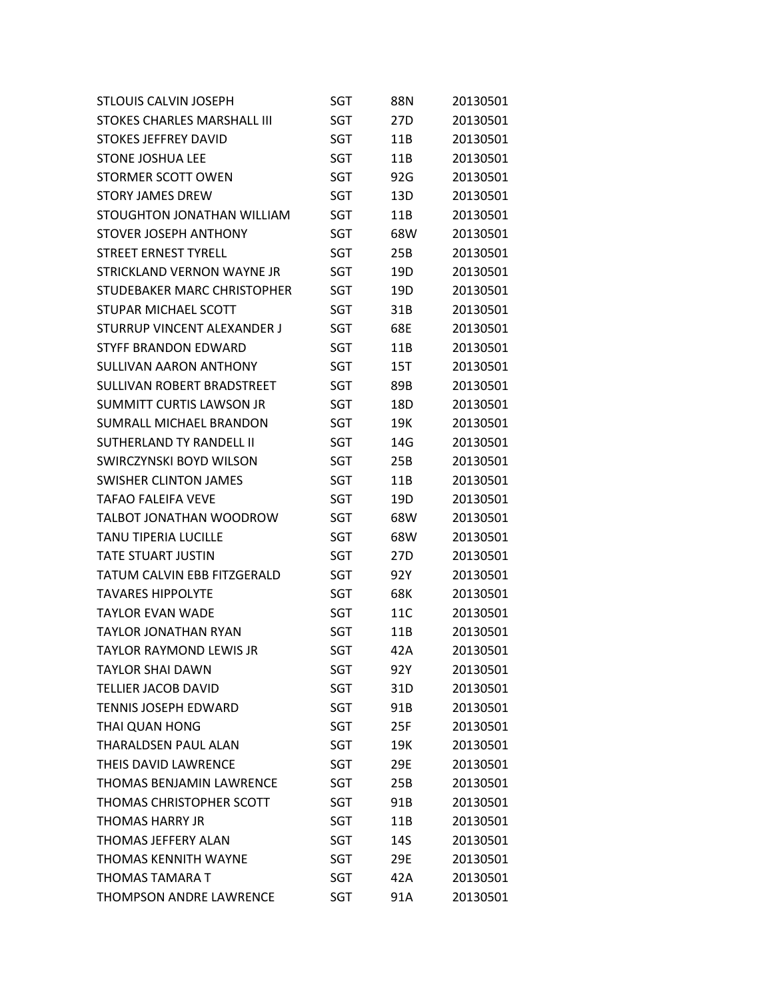| <b>STLOUIS CALVIN JOSEPH</b>    | SGT        | 88N | 20130501 |
|---------------------------------|------------|-----|----------|
| STOKES CHARLES MARSHALL III     | SGT        | 27D | 20130501 |
| <b>STOKES JEFFREY DAVID</b>     | <b>SGT</b> | 11B | 20130501 |
| <b>STONE JOSHUA LEE</b>         | <b>SGT</b> | 11B | 20130501 |
| STORMER SCOTT OWEN              | SGT        | 92G | 20130501 |
| <b>STORY JAMES DREW</b>         | SGT        | 13D | 20130501 |
| STOUGHTON JONATHAN WILLIAM      | SGT        | 11B | 20130501 |
| <b>STOVER JOSEPH ANTHONY</b>    | <b>SGT</b> | 68W | 20130501 |
| <b>STREET ERNEST TYRELL</b>     | SGT        | 25B | 20130501 |
| STRICKLAND VERNON WAYNE JR      | SGT        | 19D | 20130501 |
| STUDEBAKER MARC CHRISTOPHER     | SGT        | 19D | 20130501 |
| <b>STUPAR MICHAEL SCOTT</b>     | SGT        | 31B | 20130501 |
| STURRUP VINCENT ALEXANDER J     | SGT        | 68E | 20130501 |
| <b>STYFF BRANDON EDWARD</b>     | <b>SGT</b> | 11B | 20130501 |
| <b>SULLIVAN AARON ANTHONY</b>   | SGT        | 15T | 20130501 |
| SULLIVAN ROBERT BRADSTREET      | SGT        | 89B | 20130501 |
| <b>SUMMITT CURTIS LAWSON JR</b> | SGT        | 18D | 20130501 |
| SUMRALL MICHAFL BRANDON         | SGT        | 19K | 20130501 |
| <b>SUTHERLAND TY RANDELL II</b> | SGT        | 14G | 20130501 |
| SWIRCZYNSKI BOYD WILSON         | SGT        | 25B | 20130501 |
| <b>SWISHER CLINTON JAMES</b>    | SGT        | 11B | 20130501 |
| <b>TAFAO FALEIFA VEVE</b>       | SGT        | 19D | 20130501 |
| TALBOT JONATHAN WOODROW         | SGT        | 68W | 20130501 |
| <b>TANU TIPERIA LUCILLE</b>     | SGT        | 68W | 20130501 |
| <b>TATE STUART JUSTIN</b>       | SGT        | 27D | 20130501 |
| TATUM CALVIN EBB FITZGERALD     | SGT        | 92Y | 20130501 |
| <b>TAVARES HIPPOLYTE</b>        | SGT        | 68K | 20130501 |
| <b>TAYLOR FVAN WADF</b>         | SGT        | 11C | 20130501 |
| <b>TAYLOR JONATHAN RYAN</b>     | SGT        | 11B | 20130501 |
| <b>TAYLOR RAYMOND LEWIS JR</b>  | <b>SGT</b> | 42A | 20130501 |
| <b>TAYLOR SHAI DAWN</b>         | SGT        | 92Y | 20130501 |
| <b>TELLIER JACOB DAVID</b>      | SGT        | 31D | 20130501 |
| <b>TENNIS JOSEPH EDWARD</b>     | SGT        | 91B | 20130501 |
| THAI QUAN HONG                  | SGT        | 25F | 20130501 |
| <b>THARALDSEN PAUL ALAN</b>     | SGT        | 19K | 20130501 |
| THEIS DAVID LAWRENCE            | SGT        | 29E | 20130501 |
| <b>THOMAS BENJAMIN LAWRENCE</b> | SGT        | 25B | 20130501 |
| THOMAS CHRISTOPHER SCOTT        | SGT        | 91B | 20130501 |
| THOMAS HARRY JR                 | SGT        | 11B | 20130501 |
| THOMAS JEFFERY ALAN             | SGT        | 14S | 20130501 |
| <b>THOMAS KENNITH WAYNE</b>     | SGT        | 29E | 20130501 |
| <b>THOMAS TAMARA T</b>          | SGT        | 42A | 20130501 |
| <b>THOMPSON ANDRE LAWRENCE</b>  | <b>SGT</b> | 91A | 20130501 |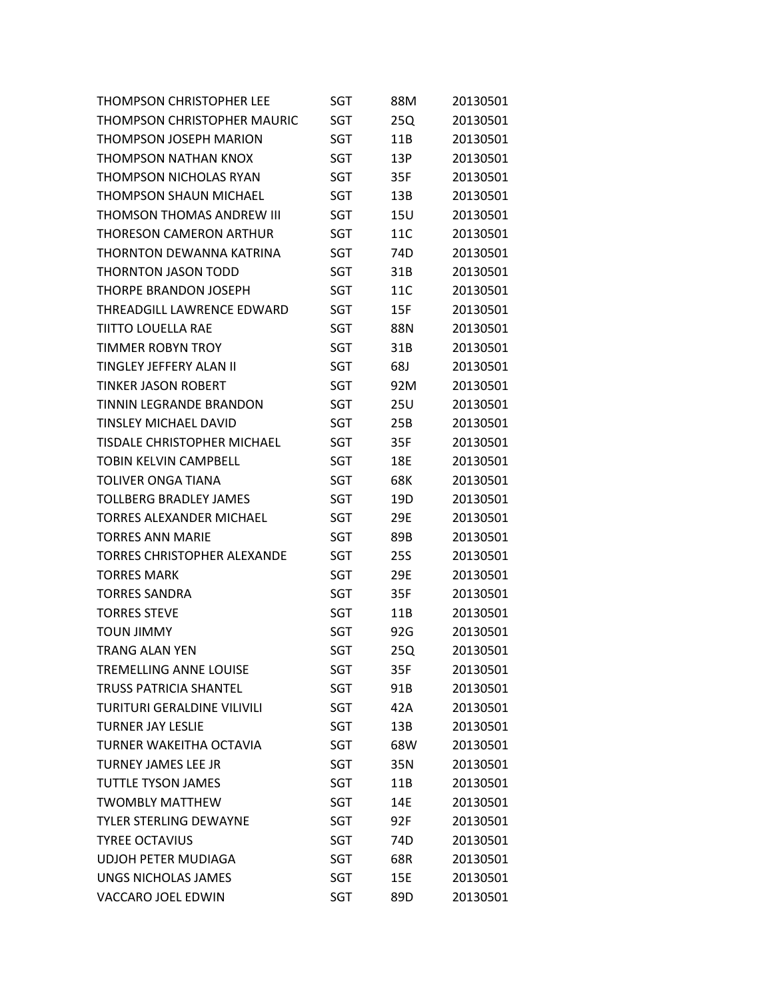| <b>THOMPSON CHRISTOPHER LEE</b>    | SGT        | 88M             | 20130501 |
|------------------------------------|------------|-----------------|----------|
| THOMPSON CHRISTOPHER MAURIC        | SGT        | 25Q             | 20130501 |
| <b>THOMPSON JOSEPH MARION</b>      | SGT        | 11B             | 20130501 |
| THOMPSON NATHAN KNOX               | SGT        | 13P             | 20130501 |
| <b>THOMPSON NICHOLAS RYAN</b>      | SGT        | 35F             | 20130501 |
| <b>THOMPSON SHAUN MICHAEL</b>      | <b>SGT</b> | 13B             | 20130501 |
| THOMSON THOMAS ANDREW III          | <b>SGT</b> | 15U             | 20130501 |
| THORESON CAMERON ARTHUR            | SGT        | 11C             | 20130501 |
| THORNTON DEWANNA KATRINA           | <b>SGT</b> | 74 <sub>D</sub> | 20130501 |
| <b>THORNTON JASON TODD</b>         | SGT        | 31B             | 20130501 |
| <b>THORPE BRANDON JOSEPH</b>       | SGT        | 11C             | 20130501 |
| THREADGILL LAWRENCE EDWARD         | SGT        | 15F             | 20130501 |
| <b>TIITTO LOUELLA RAE</b>          | SGT        | 88N             | 20130501 |
| <b>TIMMER ROBYN TROY</b>           | <b>SGT</b> | 31B             | 20130501 |
| TINGLEY JEFFERY ALAN II            | <b>SGT</b> | 68J             | 20130501 |
| <b>TINKER JASON ROBERT</b>         | SGT        | 92M             | 20130501 |
| <b>TINNIN LEGRANDE BRANDON</b>     | SGT        | 25U             | 20130501 |
| <b>TINSLEY MICHAEL DAVID</b>       | SGT        | 25B             | 20130501 |
| <b>TISDALE CHRISTOPHER MICHAEL</b> | <b>SGT</b> | 35F             | 20130501 |
| TOBIN KELVIN CAMPBELL              | SGT        | 18E             | 20130501 |
| <b>TOLIVER ONGA TIANA</b>          | SGT        | 68K             | 20130501 |
| <b>TOLLBERG BRADLEY JAMES</b>      | SGT        | 19D             | 20130501 |
| <b>TORRES ALEXANDER MICHAEL</b>    | SGT        | 29E             | 20130501 |
| <b>TORRES ANN MARIE</b>            | SGT        | 89B             | 20130501 |
| TORRES CHRISTOPHER ALEXANDE        | SGT        | 25S             | 20130501 |
| <b>TORRES MARK</b>                 | SGT        | 29E             | 20130501 |
| <b>TORRES SANDRA</b>               | <b>SGT</b> | 35F             | 20130501 |
| <b>TORRES STEVE</b>                | SGT        | 11B             | 20130501 |
| <b>TOUN JIMMY</b>                  | SGT        | 92G             | 20130501 |
| <b>TRANG ALAN YEN</b>              | <b>SGT</b> | 25Q             | 20130501 |
| <b>TREMELLING ANNE LOUISE</b>      | SGT        | 35F             | 20130501 |
| <b>TRUSS PATRICIA SHANTEL</b>      | <b>SGT</b> | 91B             | 20130501 |
| <b>TURITURI GERALDINE VILIVILI</b> | <b>SGT</b> | 42A             | 20130501 |
| <b>TURNER JAY LESLIE</b>           | SGT        | 13B             | 20130501 |
| TURNER WAKEITHA OCTAVIA            | SGT        | 68W             | 20130501 |
| <b>TURNEY JAMES LEE JR</b>         | <b>SGT</b> | 35N             | 20130501 |
| <b>TUTTLE TYSON JAMES</b>          | <b>SGT</b> | 11B             | 20130501 |
| <b>TWOMBLY MATTHEW</b>             | SGT        | 14E             | 20130501 |
| <b>TYLER STERLING DEWAYNE</b>      | SGT        | 92F             | 20130501 |
| <b>TYREE OCTAVIUS</b>              | <b>SGT</b> | 74D             | 20130501 |
| <b>UDJOH PETER MUDIAGA</b>         | <b>SGT</b> | 68R             | 20130501 |
| <b>UNGS NICHOLAS JAMES</b>         | SGT        | 15E             | 20130501 |
| VACCARO JOEL EDWIN                 | <b>SGT</b> | 89D             | 20130501 |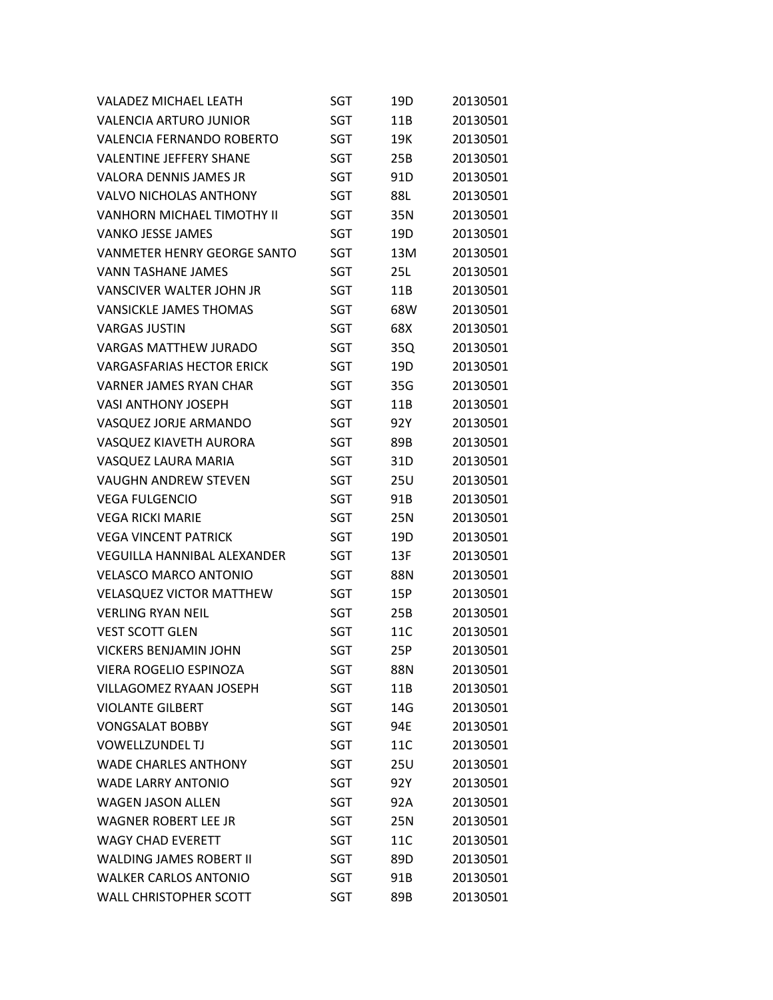| <b>VALADEZ MICHAEL LEATH</b>       | SGT        | 19D        | 20130501 |
|------------------------------------|------------|------------|----------|
| <b>VALENCIA ARTURO JUNIOR</b>      | SGT        | 11B        | 20130501 |
| <b>VALENCIA FERNANDO ROBERTO</b>   | SGT        | 19K        | 20130501 |
| <b>VALENTINE JEFFERY SHANE</b>     | SGT        | 25B        | 20130501 |
| <b>VALORA DENNIS JAMES JR</b>      | SGT        | 91D        | 20130501 |
| <b>VALVO NICHOLAS ANTHONY</b>      | SGT        | 88L        | 20130501 |
| <b>VANHORN MICHAEL TIMOTHY II</b>  | SGT        | 35N        | 20130501 |
| <b>VANKO JESSE JAMES</b>           | <b>SGT</b> | 19D        | 20130501 |
| <b>VANMETER HENRY GEORGE SANTO</b> | SGT        | 13M        | 20130501 |
| <b>VANN TASHANE JAMES</b>          | SGT        | 25L        | 20130501 |
| <b>VANSCIVER WALTER JOHN JR</b>    | SGT        | 11B        | 20130501 |
| <b>VANSICKLE JAMES THOMAS</b>      | SGT        | 68W        | 20130501 |
| <b>VARGAS JUSTIN</b>               | SGT        | 68X        | 20130501 |
| <b>VARGAS MATTHEW JURADO</b>       | SGT        | 35Q        | 20130501 |
| <b>VARGASFARIAS HECTOR ERICK</b>   | <b>SGT</b> | 19D        | 20130501 |
| <b>VARNER JAMES RYAN CHAR</b>      | SGT        | 35G        | 20130501 |
| <b>VASI ANTHONY JOSEPH</b>         | <b>SGT</b> | 11B        | 20130501 |
| VASQUEZ JORJE ARMANDO              | SGT        | 92Y        | 20130501 |
| VASQUEZ KIAVETH AURORA             | SGT        | 89B        | 20130501 |
| VASQUEZ LAURA MARIA                | <b>SGT</b> | 31D        | 20130501 |
| <b>VAUGHN ANDREW STEVEN</b>        | <b>SGT</b> | <b>25U</b> | 20130501 |
| <b>VEGA FULGENCIO</b>              | SGT        | 91B        | 20130501 |
| <b>VEGA RICKI MARIE</b>            | <b>SGT</b> | 25N        | 20130501 |
| <b>VEGA VINCENT PATRICK</b>        | SGT        | 19D        | 20130501 |
| <b>VEGUILLA HANNIBAL ALEXANDER</b> | SGT        | 13F        | 20130501 |
| <b>VELASCO MARCO ANTONIO</b>       | SGT        | 88N        | 20130501 |
| <b>VELASQUEZ VICTOR MATTHEW</b>    | <b>SGT</b> | 15P        | 20130501 |
| <b>VERLING RYAN NEIL</b>           | <b>SGT</b> | 25B        | 20130501 |
| <b>VEST SCOTT GLEN</b>             | <b>SGT</b> | 11C        | 20130501 |
| <b>VICKERS BENJAMIN JOHN</b>       | <b>SGT</b> | 25P        | 20130501 |
| <b>VIERA ROGELIO ESPINOZA</b>      | SGT        | 88N        | 20130501 |
| <b>VILLAGOMEZ RYAAN JOSEPH</b>     | SGT        | 11B        | 20130501 |
| <b>VIOLANTE GILBERT</b>            | SGT        | 14G        | 20130501 |
| <b>VONGSALAT BOBBY</b>             | SGT        | 94E        | 20130501 |
| <b>VOWELLZUNDEL TJ</b>             | <b>SGT</b> | 11C        | 20130501 |
| <b>WADE CHARLES ANTHONY</b>        | SGT        | 25U        | 20130501 |
| <b>WADE LARRY ANTONIO</b>          | <b>SGT</b> | 92Y        | 20130501 |
| <b>WAGEN JASON ALLEN</b>           | SGT        | 92A        | 20130501 |
| <b>WAGNER ROBERT LEE JR</b>        | <b>SGT</b> | 25N        | 20130501 |
| <b>WAGY CHAD EVERETT</b>           | SGT        | 11C        | 20130501 |
| <b>WALDING JAMES ROBERT II</b>     | <b>SGT</b> | 89D        | 20130501 |
| <b>WALKER CARLOS ANTONIO</b>       | SGT        | 91B        | 20130501 |
| <b>WALL CHRISTOPHER SCOTT</b>      | <b>SGT</b> | 89B        | 20130501 |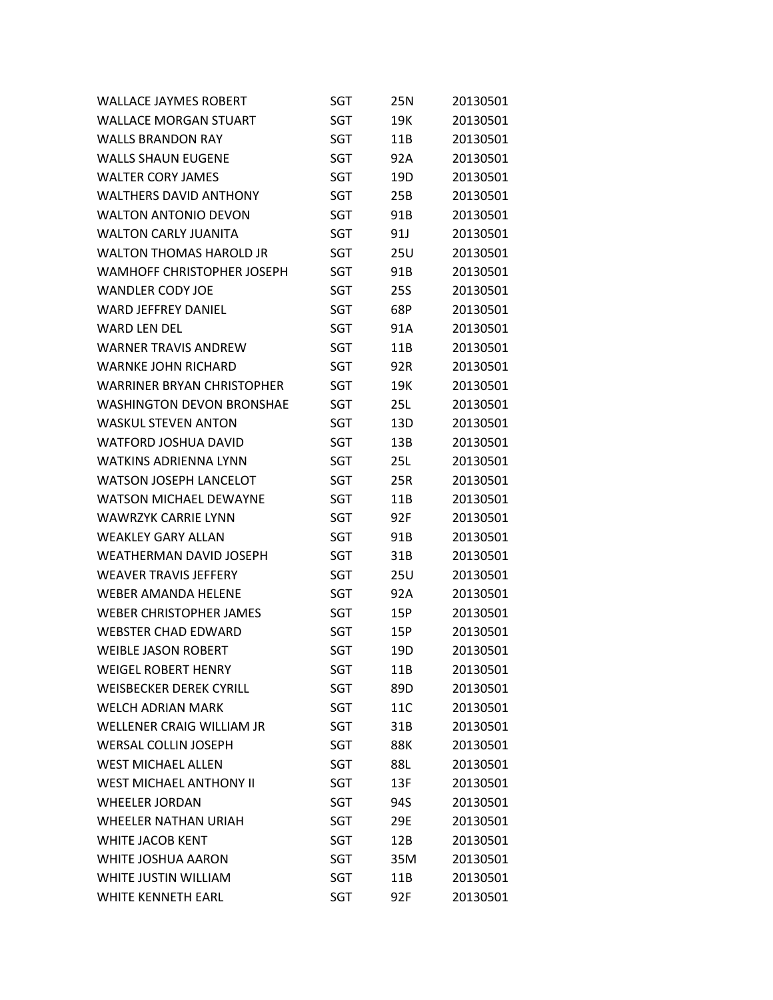| <b>WALLACE JAYMES ROBERT</b>      | SGT        | 25N        | 20130501 |
|-----------------------------------|------------|------------|----------|
| <b>WALLACE MORGAN STUART</b>      | SGT        | 19K        | 20130501 |
| <b>WALLS BRANDON RAY</b>          | <b>SGT</b> | 11B        | 20130501 |
| <b>WALLS SHAUN EUGENE</b>         | <b>SGT</b> | 92A        | 20130501 |
| <b>WALTER CORY JAMES</b>          | SGT        | 19D        | 20130501 |
| <b>WALTHERS DAVID ANTHONY</b>     | SGT        | 25B        | 20130501 |
| <b>WALTON ANTONIO DEVON</b>       | SGT        | 91B        | 20130501 |
| <b>WALTON CARLY JUANITA</b>       | <b>SGT</b> | 91J        | 20130501 |
| <b>WALTON THOMAS HAROLD JR</b>    | <b>SGT</b> | 25U        | 20130501 |
| WAMHOFF CHRISTOPHER JOSEPH        | SGT        | 91B        | 20130501 |
| <b>WANDLER CODY JOE</b>           | SGT        | <b>25S</b> | 20130501 |
| <b>WARD JEFFREY DANIEL</b>        | SGT        | 68P        | 20130501 |
| WARD LEN DEL                      | SGT        | 91A        | 20130501 |
| <b>WARNER TRAVIS ANDREW</b>       | SGT        | 11B        | 20130501 |
| <b>WARNKE JOHN RICHARD</b>        | SGT        | 92R        | 20130501 |
| <b>WARRINER BRYAN CHRISTOPHER</b> | <b>SGT</b> | 19K        | 20130501 |
| WASHINGTON DEVON BRONSHAE         | SGT        | 25L        | 20130501 |
| <b>WASKUL STEVEN ANTON</b>        | SGT        | 13D        | 20130501 |
| <b>WATFORD JOSHUA DAVID</b>       | SGT        | 13B        | 20130501 |
| WATKINS ADRIENNA LYNN             | SGT        | 25L        | 20130501 |
| <b>WATSON JOSEPH LANCELOT</b>     | SGT        | 25R        | 20130501 |
| <b>WATSON MICHAEL DEWAYNE</b>     | SGT        | 11B        | 20130501 |
| <b>WAWRZYK CARRIE LYNN</b>        | SGT        | 92F        | 20130501 |
| <b>WEAKLEY GARY ALLAN</b>         | SGT        | 91B        | 20130501 |
| WEATHERMAN DAVID JOSEPH           | SGT        | 31B        | 20130501 |
| <b>WEAVER TRAVIS JEFFERY</b>      | SGT        | 25U        | 20130501 |
| <b>WEBER AMANDA HELENE</b>        | SGT        | 92A        | 20130501 |
| <b>WEBER CHRISTOPHER JAMES</b>    | SGT        | 15P        | 20130501 |
| <b>WEBSTER CHAD EDWARD</b>        | SGT        | 15P        | 20130501 |
| <b>WEIBLE JASON ROBERT</b>        | <b>SGT</b> | 19D        | 20130501 |
| <b>WEIGEL ROBERT HENRY</b>        | SGT        | 11B        | 20130501 |
| <b>WEISBECKER DEREK CYRILL</b>    | <b>SGT</b> | 89D        | 20130501 |
| <b>WFLCH ADRIAN MARK</b>          | SGT        | 11C        | 20130501 |
| WELLENER CRAIG WILLIAM JR         | SGT        | 31B        | 20130501 |
| <b>WERSAL COLLIN JOSEPH</b>       | SGT        | 88K        | 20130501 |
| <b>WEST MICHAEL ALLEN</b>         | SGT        | 88L        | 20130501 |
| <b>WEST MICHAEL ANTHONY II</b>    | SGT        | 13F        | 20130501 |
| <b>WHEELER JORDAN</b>             | SGT        | 94S        | 20130501 |
| <b>WHEELER NATHAN URIAH</b>       | SGT        | 29E        | 20130501 |
| WHITE JACOB KENT                  | SGT        | 12B        | 20130501 |
| WHITE JOSHUA AARON                | SGT        | 35M        | 20130501 |
| WHITE JUSTIN WILLIAM              | SGT        | 11B        | 20130501 |
| WHITE KENNETH EARL                | <b>SGT</b> | 92F        | 20130501 |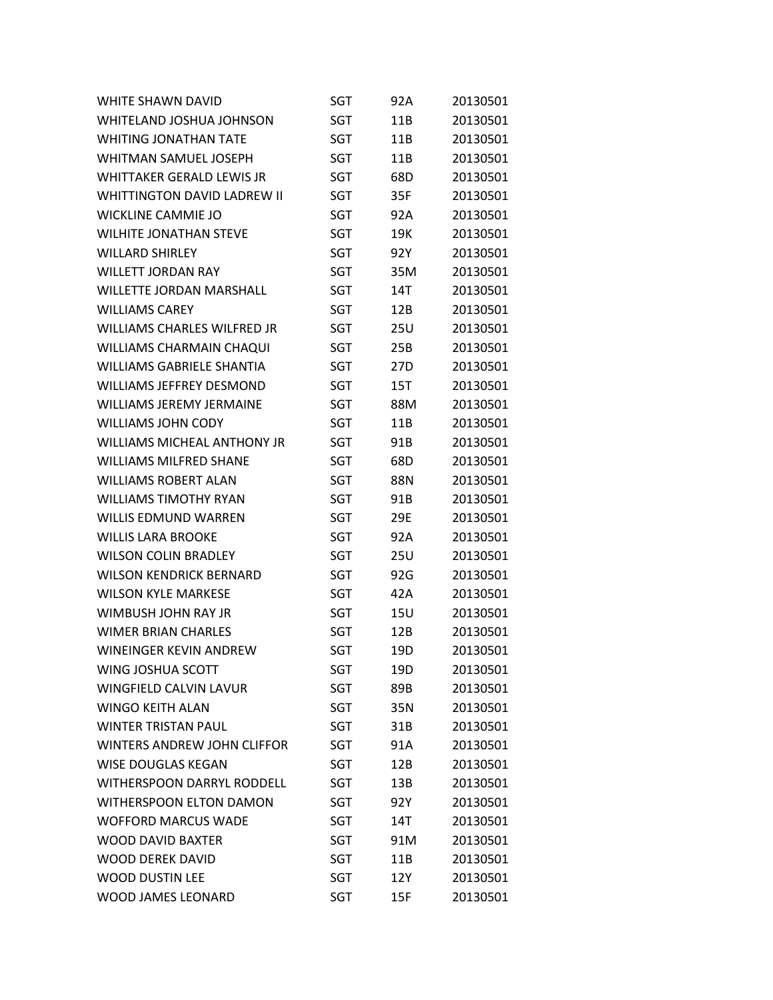| <b>WHITE SHAWN DAVID</b>           | SGT        | 92A | 20130501 |
|------------------------------------|------------|-----|----------|
| WHITELAND JOSHUA JOHNSON           | SGT        | 11B | 20130501 |
| WHITING JONATHAN TATE              | <b>SGT</b> | 11B | 20130501 |
| WHITMAN SAMUEL JOSEPH              | SGT        | 11B | 20130501 |
| <b>WHITTAKER GERALD LEWIS JR</b>   | SGT        | 68D | 20130501 |
| <b>WHITTINGTON DAVID LADREW II</b> | SGT        | 35F | 20130501 |
| <b>WICKLINE CAMMIE JO</b>          | <b>SGT</b> | 92A | 20130501 |
| <b>WILHITE JONATHAN STEVE</b>      | SGT        | 19K | 20130501 |
| <b>WILLARD SHIRLEY</b>             | SGT        | 92Y | 20130501 |
| <b>WILLETT JORDAN RAY</b>          | SGT        | 35M | 20130501 |
| <b>WILLETTE JORDAN MARSHALL</b>    | SGT        | 14T | 20130501 |
| <b>WILLIAMS CAREY</b>              | SGT        | 12B | 20130501 |
| <b>WILLIAMS CHARLES WILFRED JR</b> | SGT        | 25U | 20130501 |
| WILLIAMS CHARMAIN CHAQUI           | SGT        | 25B | 20130501 |
| <b>WILLIAMS GABRIELE SHANTIA</b>   | <b>SGT</b> | 27D | 20130501 |
| <b>WILLIAMS JEFFREY DESMOND</b>    | SGT        | 15T | 20130501 |
| <b>WILLIAMS JFRFMY JFRMAINF</b>    | SGT        | 88M | 20130501 |
| <b>WILLIAMS JOHN CODY</b>          | SGT        | 11B | 20130501 |
| <b>WILLIAMS MICHEAL ANTHONY JR</b> | SGT        | 91B | 20130501 |
| <b>WILLIAMS MILFRED SHANE</b>      | SGT        | 68D | 20130501 |
| <b>WILLIAMS ROBERT ALAN</b>        | SGT        | 88N | 20130501 |
| <b>WILLIAMS TIMOTHY RYAN</b>       | SGT        | 91B | 20130501 |
| <b>WILLIS EDMUND WARREN</b>        | SGT        | 29E | 20130501 |
| <b>WILLIS LARA BROOKE</b>          | SGT        | 92A | 20130501 |
| <b>WILSON COLIN BRADLEY</b>        | SGT        | 25U | 20130501 |
| <b>WILSON KENDRICK BERNARD</b>     | SGT        | 92G | 20130501 |
| <b>WILSON KYLE MARKESE</b>         | <b>SGT</b> | 42A | 20130501 |
| WIMBUSH JOHN RAY JR                | SGT        | 15U | 20130501 |
| <b>WIMER BRIAN CHARLES</b>         | SGT        | 12B | 20130501 |
| <b>WINEINGER KEVIN ANDREW</b>      | <b>SGT</b> | 19D | 20130501 |
| WING JOSHUA SCOTT                  | SGT        | 19D | 20130501 |
| <b>WINGFIELD CALVIN LAVUR</b>      | <b>SGT</b> | 89B | 20130501 |
| <b>WINGO KEITH ALAN</b>            | SGT        | 35N | 20130501 |
| <b>WINTER TRISTAN PAUL</b>         | SGT        | 31B | 20130501 |
| WINTERS ANDREW JOHN CLIFFOR        | SGT        | 91A | 20130501 |
| <b>WISE DOUGLAS KEGAN</b>          | <b>SGT</b> | 12B | 20130501 |
| WITHERSPOON DARRYL RODDELL         | SGT        | 13B | 20130501 |
| WITHERSPOON ELTON DAMON            | SGT        | 92Y | 20130501 |
| <b>WOFFORD MARCUS WADE</b>         | SGT        | 14T | 20130501 |
| <b>WOOD DAVID BAXTER</b>           | <b>SGT</b> | 91M | 20130501 |
| <b>WOOD DEREK DAVID</b>            | SGT        | 11B | 20130501 |
| <b>WOOD DUSTIN LEE</b>             | SGT        | 12Y | 20130501 |
| <b>WOOD JAMES LEONARD</b>          | <b>SGT</b> | 15F | 20130501 |